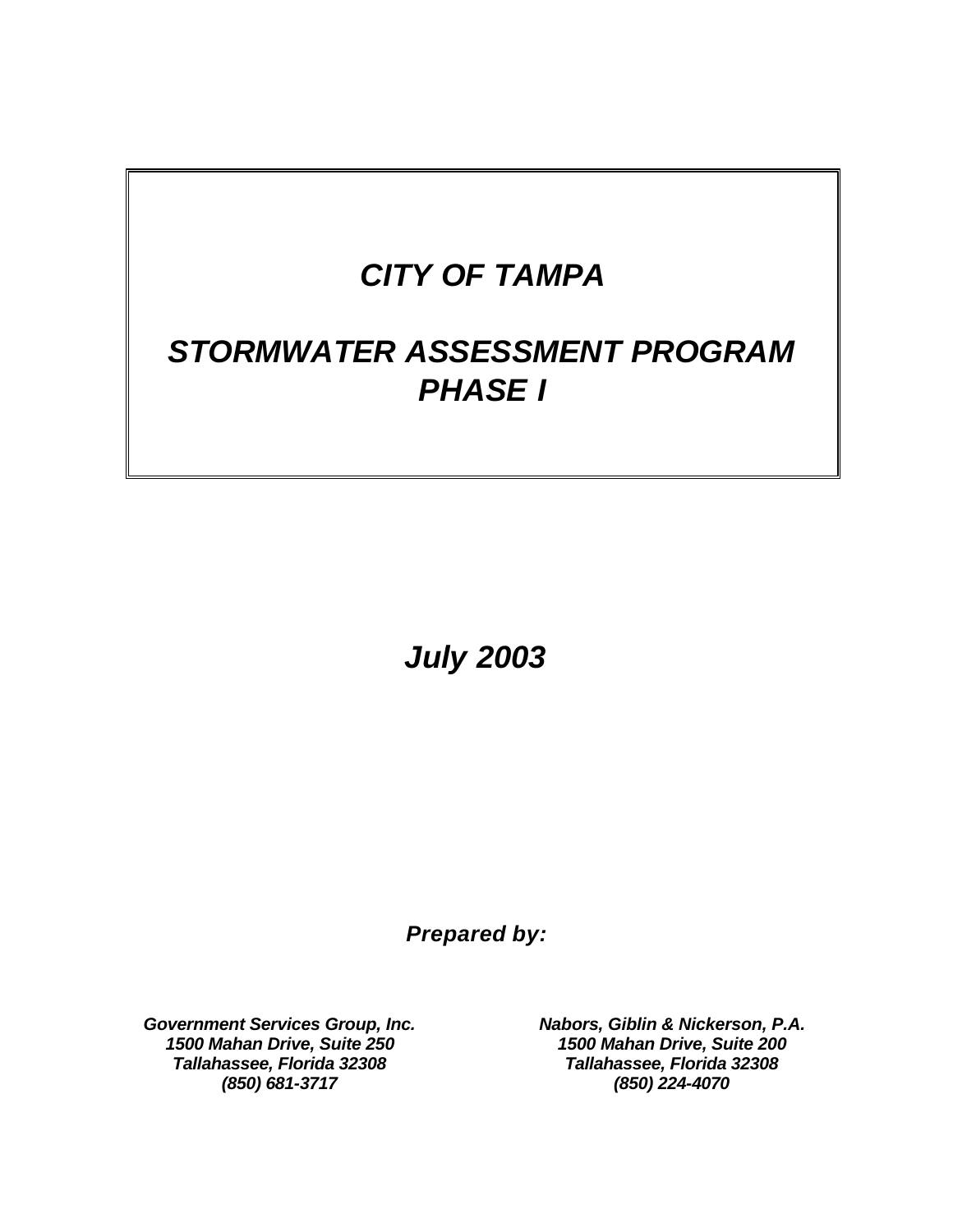# *CITY OF TAMPA*

# *STORMWATER ASSESSMENT PROGRAM PHASE I*

*July 2003* 

*Prepared by:* 

*Government Services Group, Inc. Nabors, Giblin & Nickerson, P.A. 1500 Mahan Drive, Suite 250 1500 Mahan Drive, Suite 200 Tallahassee, Florida 32308 Tallahassee, Florida 32308 (850) 681-3717 (850) 224-4070*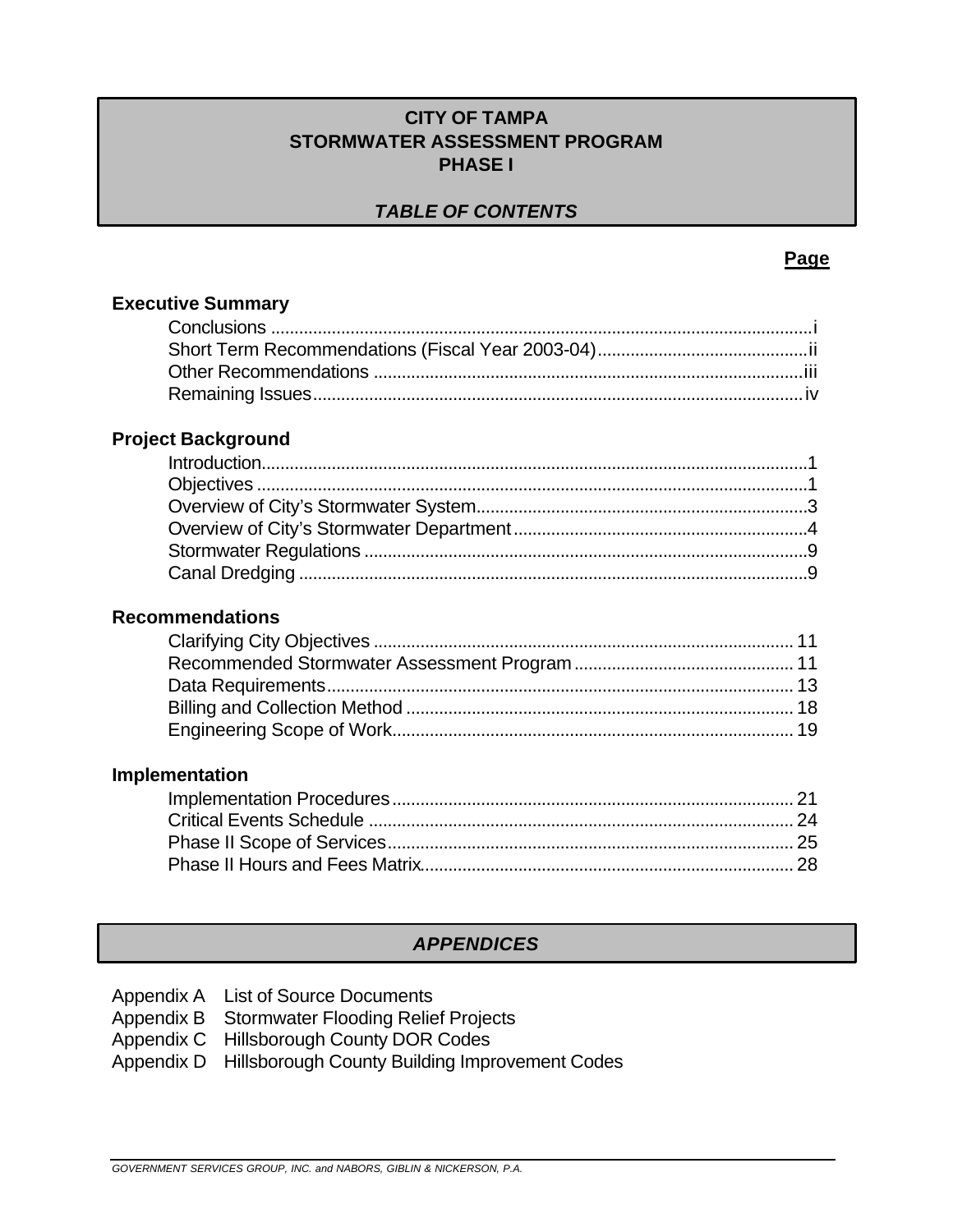#### **CITY OF TAMPA STORMWATER ASSESSMENT PROGRAM PHASE I**

### *TABLE OF CONTENTS*

#### **Page**

| <b>Executive Summary</b>  |
|---------------------------|
|                           |
|                           |
|                           |
|                           |
| <b>Project Background</b> |
|                           |
|                           |
|                           |
|                           |
|                           |
|                           |
|                           |
| <b>Recommendations</b>    |
|                           |
|                           |
|                           |
|                           |
|                           |
|                           |
| Implementation            |
|                           |
|                           |
|                           |
|                           |
|                           |
|                           |

## *APPENDICES*

- Appendix A List of Source Documents
- Appendix B Stormwater Flooding Relief Projects
- Appendix C Hillsborough County DOR Codes
- Appendix D Hillsborough County Building Improvement Codes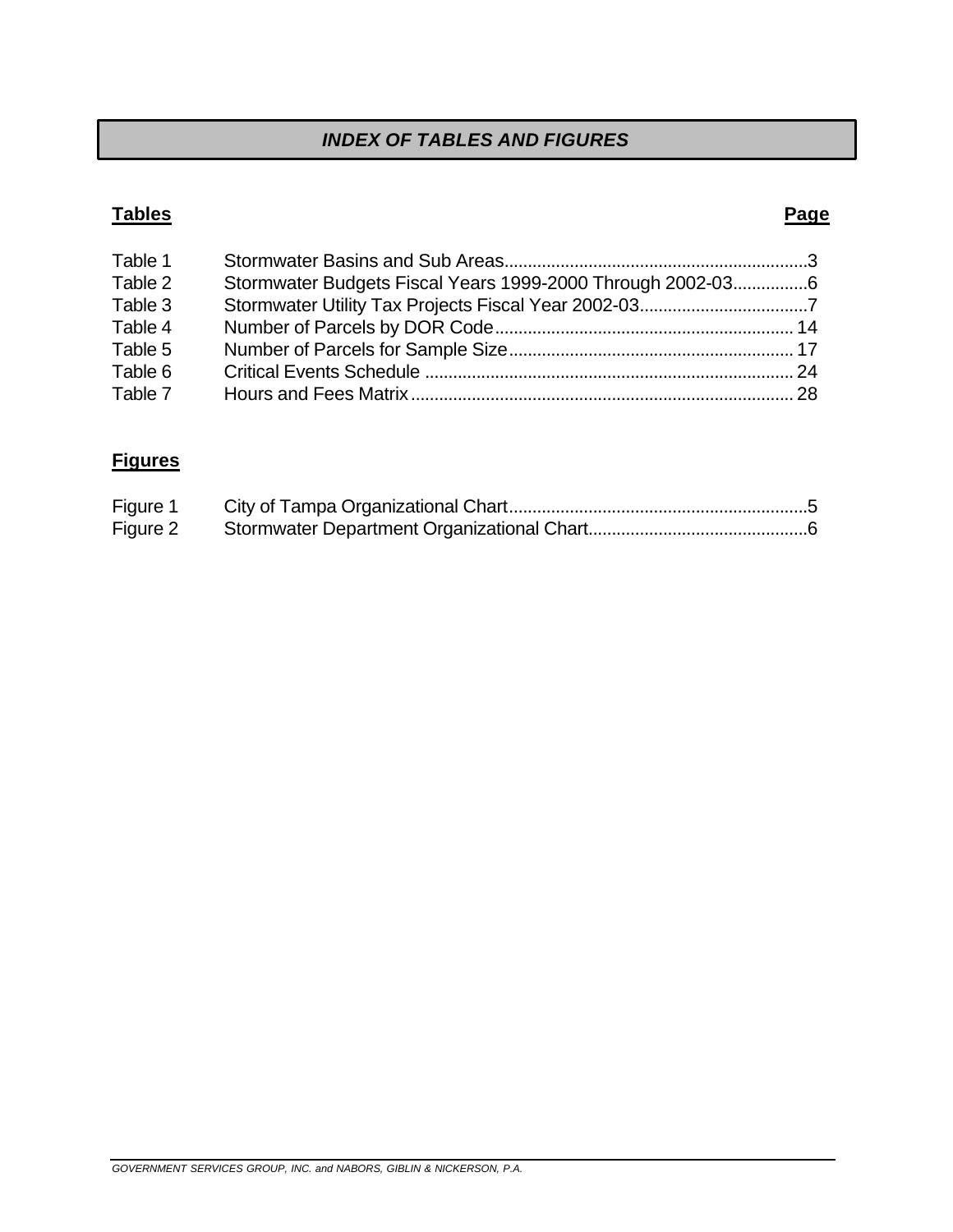### *INDEX OF TABLES AND FIGURES*

#### **Tables Tables Page**

| Table 1 |                                                            |  |
|---------|------------------------------------------------------------|--|
| Table 2 | Stormwater Budgets Fiscal Years 1999-2000 Through 2002-036 |  |
| Table 3 |                                                            |  |
| Table 4 |                                                            |  |
| Table 5 |                                                            |  |
| Table 6 |                                                            |  |
| Table 7 |                                                            |  |

## **Figures**

| Figure 1 |  |
|----------|--|
| Figure 2 |  |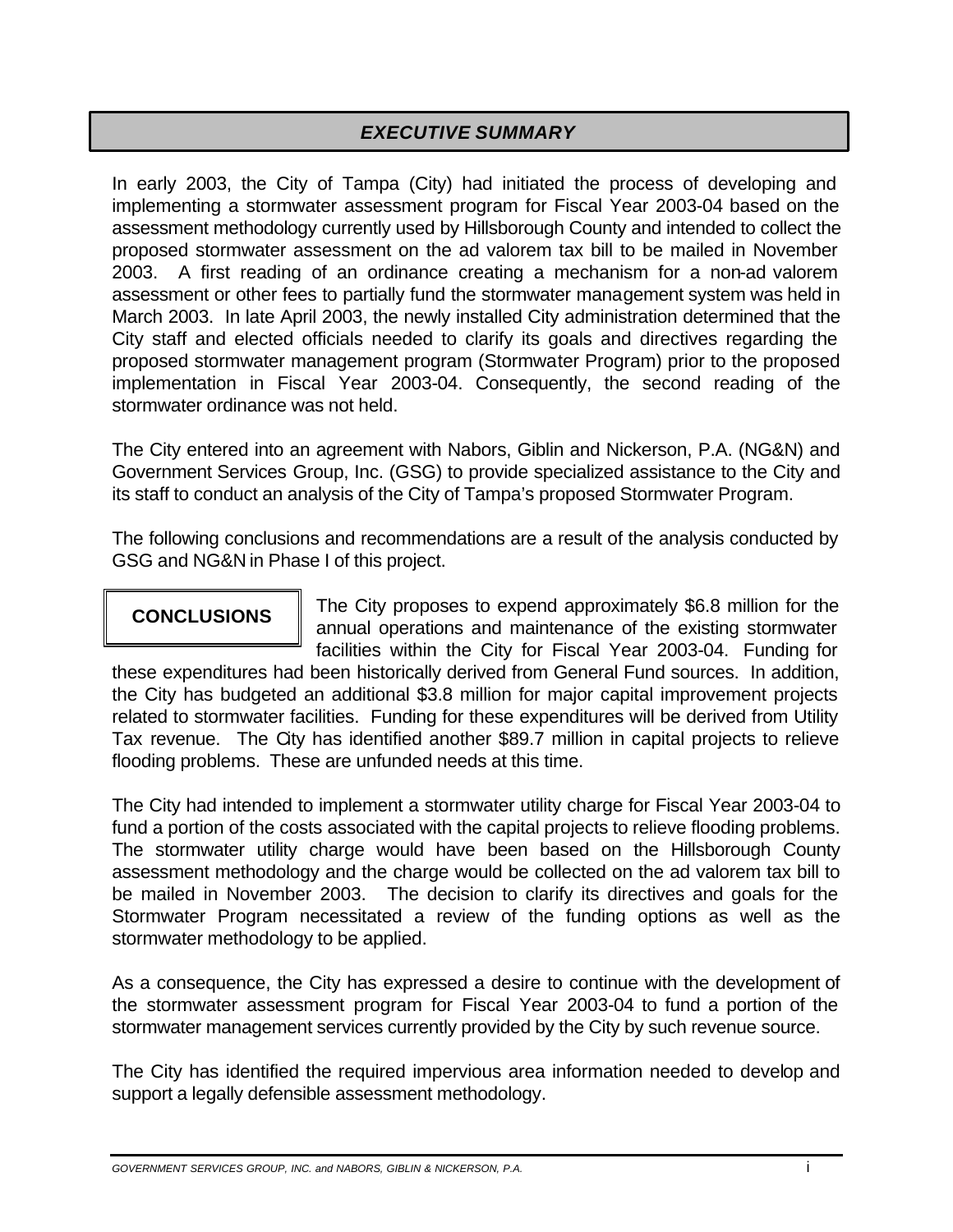### *EXECUTIVE SUMMARY*

In early 2003, the City of Tampa (City) had initiated the process of developing and implementing a stormwater assessment program for Fiscal Year 2003-04 based on the assessment methodology currently used by Hillsborough County and intended to collect the proposed stormwater assessment on the ad valorem tax bill to be mailed in November 2003. A first reading of an ordinance creating a mechanism for a non-ad valorem assessment or other fees to partially fund the stormwater management system was held in March 2003. In late April 2003, the newly installed City administration determined that the City staff and elected officials needed to clarify its goals and directives regarding the proposed stormwater management program (Stormwater Program) prior to the proposed implementation in Fiscal Year 2003-04. Consequently, the second reading of the stormwater ordinance was not held.

The City entered into an agreement with Nabors, Giblin and Nickerson, P.A. (NG&N) and Government Services Group, Inc. (GSG) to provide specialized assistance to the City and its staff to conduct an analysis of the City of Tampa's proposed Stormwater Program.

The following conclusions and recommendations are a result of the analysis conducted by GSG and NG&N in Phase I of this project.

The City proposes to expend approximately \$6.8 million for the **CONCLUSIONS** annual operations and maintenance of the existing stormwater facilities within the City for Fiscal Year 2003-04. Funding for

these expenditures had been historically derived from General Fund sources. In addition, the City has budgeted an additional \$3.8 million for major capital improvement projects related to stormwater facilities. Funding for these expenditures will be derived from Utility Tax revenue. The City has identified another \$89.7 million in capital projects to relieve flooding problems. These are unfunded needs at this time.

The City had intended to implement a stormwater utility charge for Fiscal Year 2003-04 to fund a portion of the costs associated with the capital projects to relieve flooding problems. The stormwater utility charge would have been based on the Hillsborough County assessment methodology and the charge would be collected on the ad valorem tax bill to be mailed in November 2003. The decision to clarify its directives and goals for the Stormwater Program necessitated a review of the funding options as well as the stormwater methodology to be applied.

As a consequence, the City has expressed a desire to continue with the development of the stormwater assessment program for Fiscal Year 2003-04 to fund a portion of the stormwater management services currently provided by the City by such revenue source.

The City has identified the required impervious area information needed to develop and support a legally defensible assessment methodology.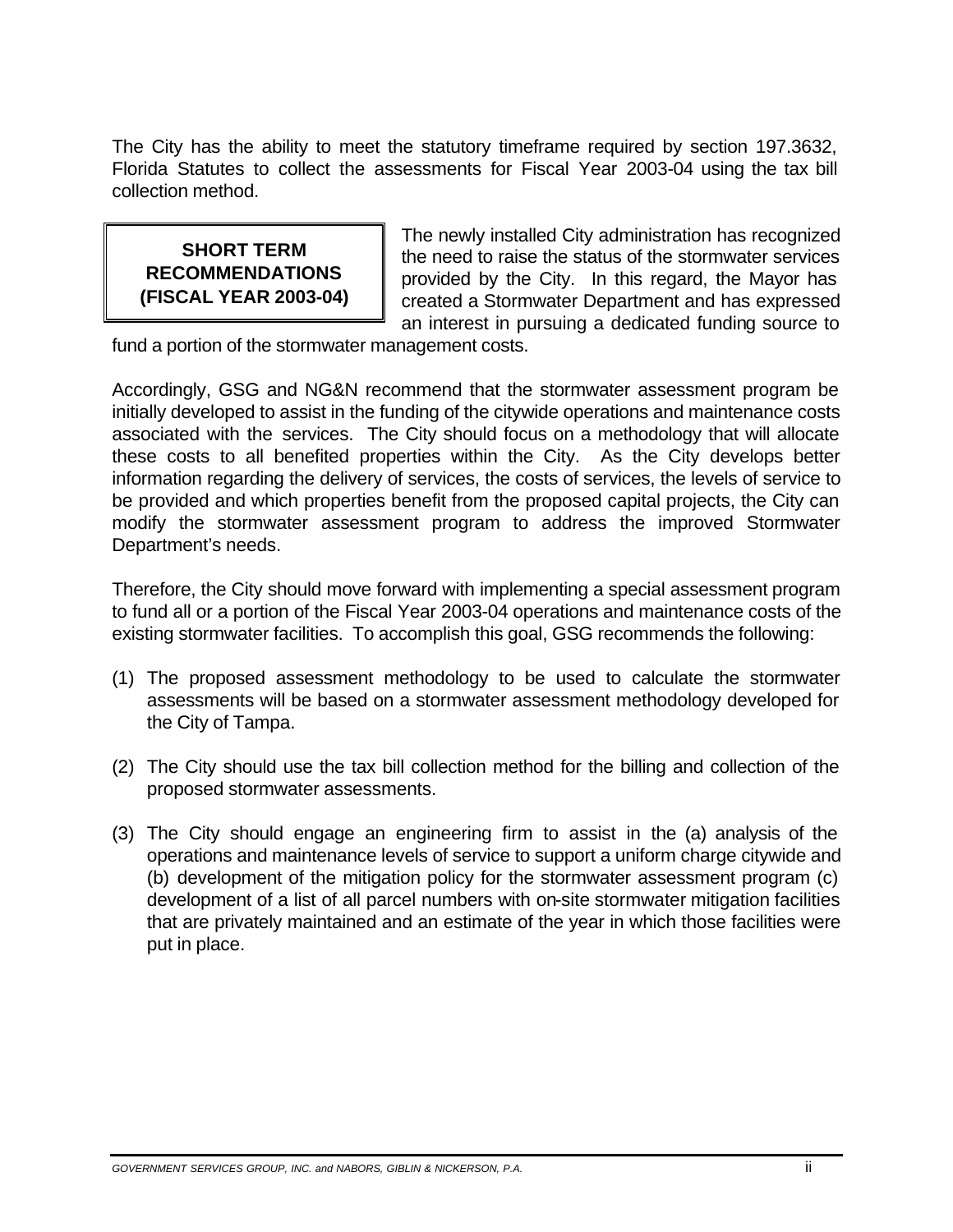The City has the ability to meet the statutory timeframe required by section 197.3632, Florida Statutes to collect the assessments for Fiscal Year 2003-04 using the tax bill collection method.

**SHORT TERM** The newly installed City administration has recognized<br>**RECOMMENDATIONS** The need to raise the status of the stormwater services<br>record the Mayer base **RECOMMENDATIONS or all provided by the City. In this regard, the Mayor has <b>(FISCAL YEAR 2003-04)** created a Stormwater Department and has expressed an interest in pursuing a dedicated funding source to

fund a portion of the stormwater management costs.

Accordingly, GSG and NG&N recommend that the stormwater assessment program be initially developed to assist in the funding of the citywide operations and maintenance costs associated with the services. The City should focus on a methodology that will allocate these costs to all benefited properties within the City. As the City develops better information regarding the delivery of services, the costs of services, the levels of service to be provided and which properties benefit from the proposed capital projects, the City can modify the stormwater assessment program to address the improved Stormwater Department's needs.

Therefore, the City should move forward with implementing a special assessment program to fund all or a portion of the Fiscal Year 2003-04 operations and maintenance costs of the existing stormwater facilities. To accomplish this goal, GSG recommends the following:

- (1) The proposed assessment methodology to be used to calculate the stormwater assessments will be based on a stormwater assessment methodology developed for the City of Tampa.
- (2) The City should use the tax bill collection method for the billing and collection of the proposed stormwater assessments.
- (3) The City should engage an engineering firm to assist in the (a) analysis of the operations and maintenance levels of service to support a uniform charge citywide and (b) development of the mitigation policy for the stormwater assessment program (c) development of a list of all parcel numbers with on-site stormwater mitigation facilities that are privately maintained and an estimate of the year in which those facilities were put in place.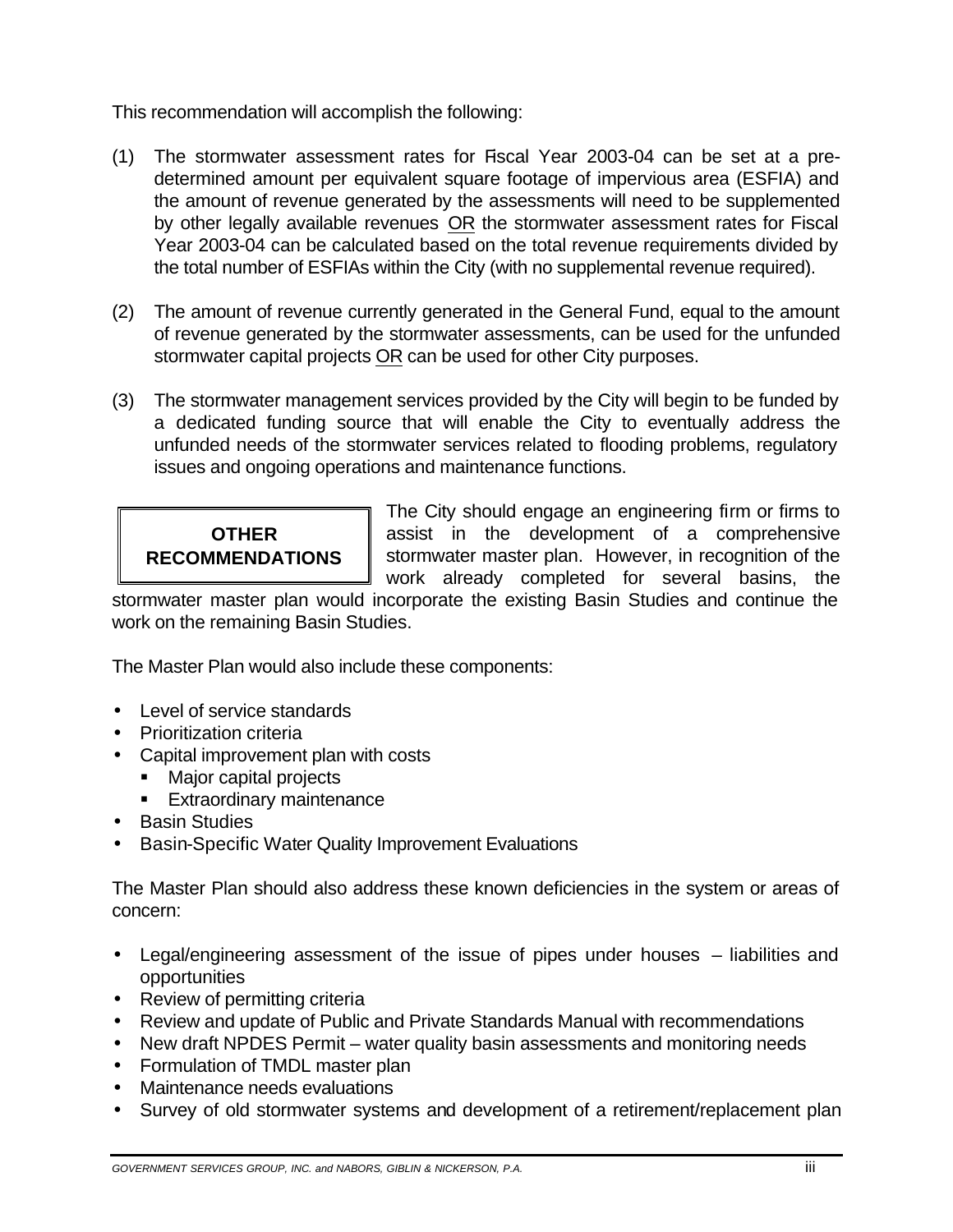This recommendation will accomplish the following:

- (1) The stormwater assessment rates for Fiscal Year 2003-04 can be set at a predetermined amount per equivalent square footage of impervious area (ESFIA) and the amount of revenue generated by the assessments will need to be supplemented by other legally available revenues OR the stormwater assessment rates for Fiscal Year 2003-04 can be calculated based on the total revenue requirements divided by the total number of ESFIAs within the City (with no supplemental revenue required).
- (2) The amount of revenue currently generated in the General Fund, equal to the amount of revenue generated by the stormwater assessments, can be used for the unfunded stormwater capital projects OR can be used for other City purposes.
- (3) The stormwater management services provided by the City will begin to be funded by a dedicated funding source that will enable the City to eventually address the unfunded needs of the stormwater services related to flooding problems, regulatory issues and ongoing operations and maintenance functions.

The City should engage an engineering firm or firms to **OTHER assist in the development of a comprehensive RECOMMENDATIONS** Stormwater master plan. However, in recognition of the work already completed for several basins, the

stormwater master plan would incorporate the existing Basin Studies and continue the work on the remaining Basin Studies.

The Master Plan would also include these components:

- · Level of service standards
- · Prioritization criteria
- · Capital improvement plan with costs
	- Major capital projects
	- Extraordinary maintenance
- · Basin Studies
- · Basin-Specific Water Quality Improvement Evaluations

The Master Plan should also address these known deficiencies in the system or areas of concern:

- · Legal/engineering assessment of the issue of pipes under houses liabilities and opportunities
- Review of permitting criteria
- · Review and update of Public and Private Standards Manual with recommendations
- · New draft NPDES Permit water quality basin assessments and monitoring needs
- · Formulation of TMDL master plan
- · Maintenance needs evaluations
- · Survey of old stormwater systems and development of a retirement/replacement plan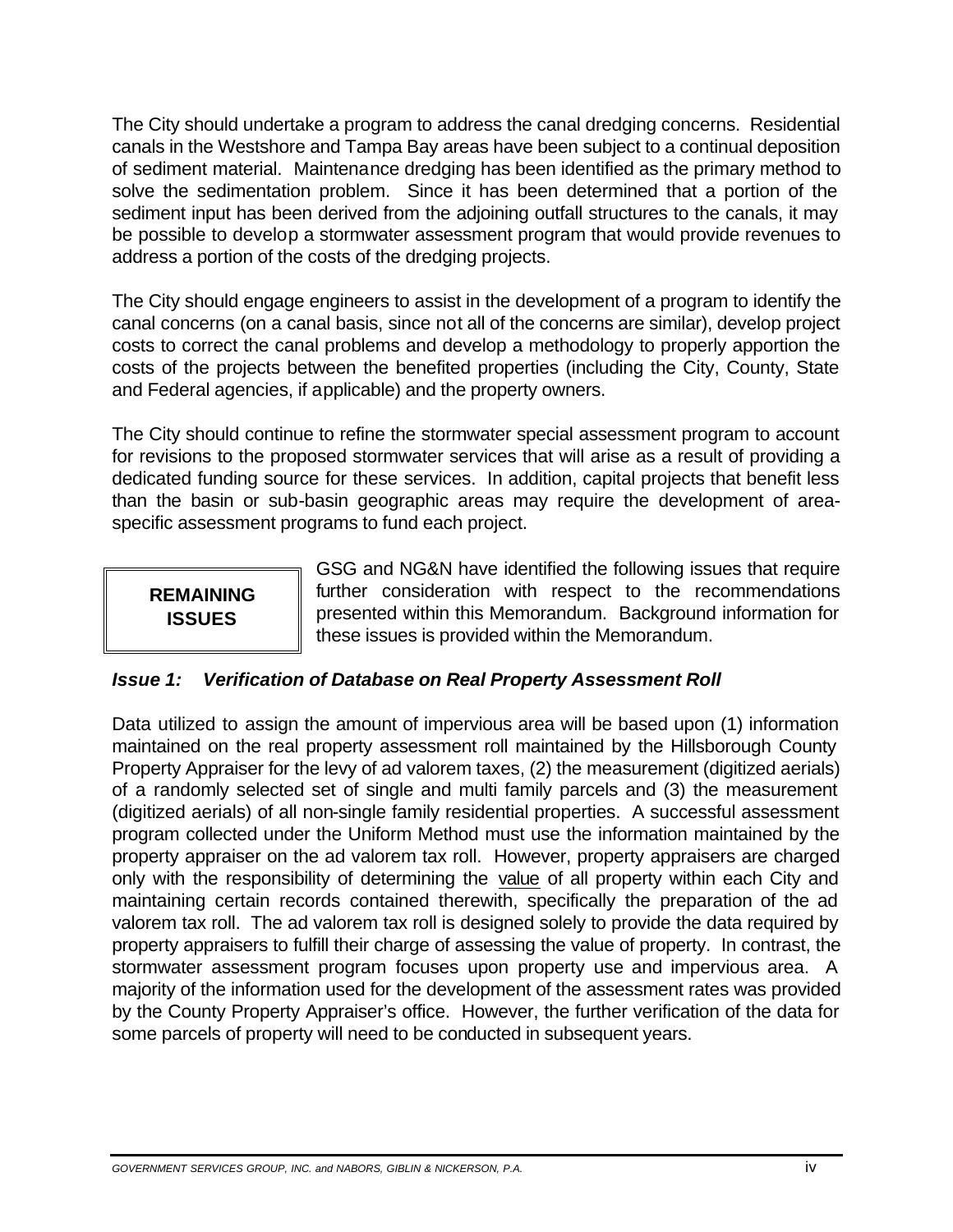The City should undertake a program to address the canal dredging concerns. Residential canals in the Westshore and Tampa Bay areas have been subject to a continual deposition of sediment material. Maintenance dredging has been identified as the primary method to solve the sedimentation problem. Since it has been determined that a portion of the sediment input has been derived from the adjoining outfall structures to the canals, it may be possible to develop a stormwater assessment program that would provide revenues to address a portion of the costs of the dredging projects.

The City should engage engineers to assist in the development of a program to identify the canal concerns (on a canal basis, since not all of the concerns are similar), develop project costs to correct the canal problems and develop a methodology to properly apportion the costs of the projects between the benefited properties (including the City, County, State and Federal agencies, if applicable) and the property owners.

The City should continue to refine the stormwater special assessment program to account for revisions to the proposed stormwater services that will arise as a result of providing a dedicated funding source for these services. In addition, capital projects that benefit less than the basin or sub-basin geographic areas may require the development of areaspecific assessment programs to fund each project.

GSG and NG&N have identified the following issues that require **REMAINING** further consideration with respect to the recommendations **ISSUES** presented within this Memorandum. Background information for these issues is provided within the Memorandum.

#### *Issue 1: Verification of Database on Real Property Assessment Roll*

Data utilized to assign the amount of impervious area will be based upon (1) information maintained on the real property assessment roll maintained by the Hillsborough County Property Appraiser for the levy of ad valorem taxes, (2) the measurement (digitized aerials) of a randomly selected set of single and multi family parcels and (3) the measurement (digitized aerials) of all non-single family residential properties. A successful assessment program collected under the Uniform Method must use the information maintained by the property appraiser on the ad valorem tax roll. However, property appraisers are charged only with the responsibility of determining the value of all property within each City and maintaining certain records contained therewith, specifically the preparation of the ad valorem tax roll. The ad valorem tax roll is designed solely to provide the data required by property appraisers to fulfill their charge of assessing the value of property. In contrast, the stormwater assessment program focuses upon property use and impervious area. A majority of the information used for the development of the assessment rates was provided by the County Property Appraiser's office. However, the further verification of the data for some parcels of property will need to be conducted in subsequent years.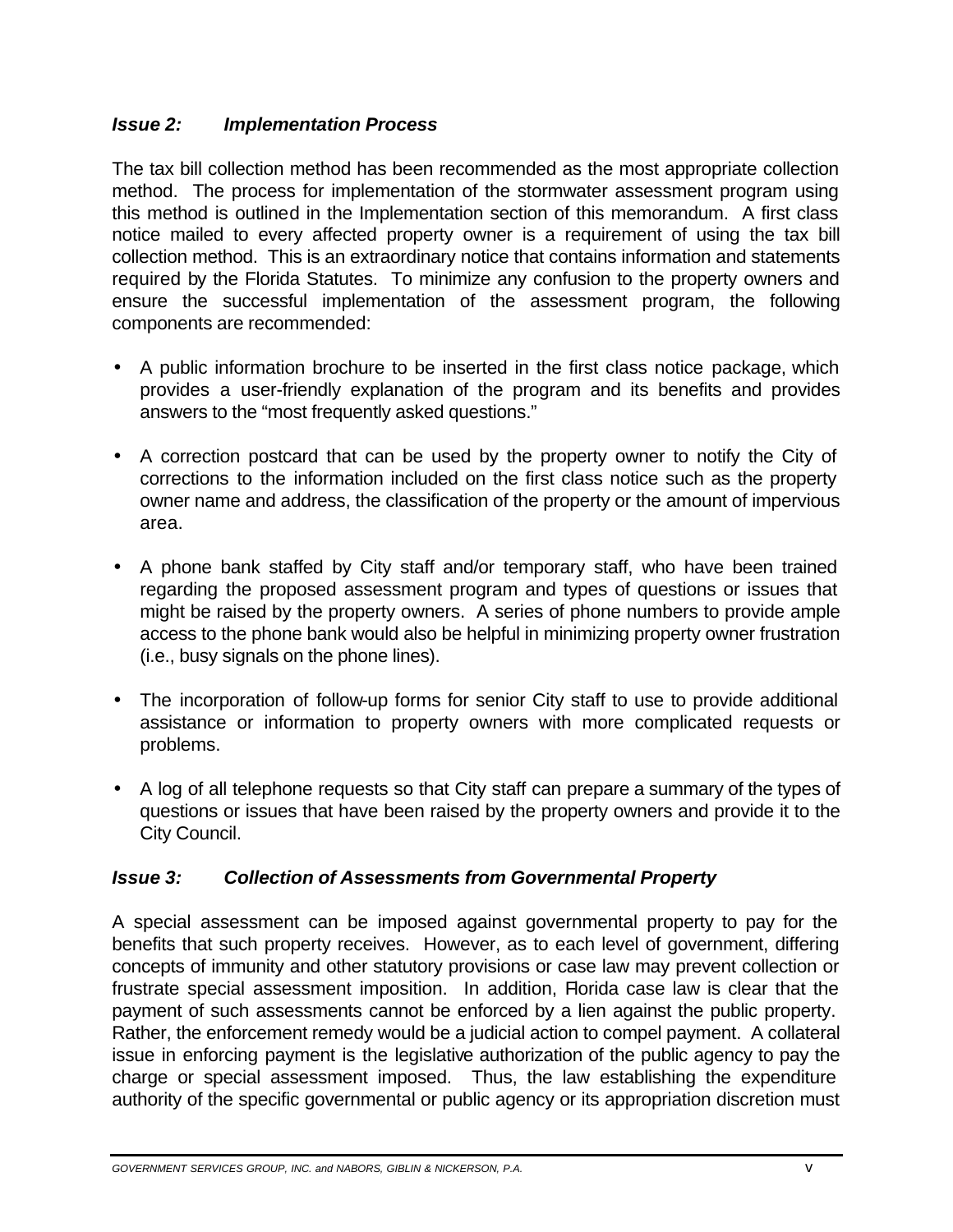#### *Issue 2: Implementation Process*

The tax bill collection method has been recommended as the most appropriate collection method. The process for implementation of the stormwater assessment program using this method is outlined in the Implementation section of this memorandum. A first class notice mailed to every affected property owner is a requirement of using the tax bill collection method. This is an extraordinary notice that contains information and statements required by the Florida Statutes. To minimize any confusion to the property owners and ensure the successful implementation of the assessment program, the following components are recommended:

- A public information brochure to be inserted in the first class notice package, which provides a user-friendly explanation of the program and its benefits and provides answers to the "most frequently asked questions."
- · A correction postcard that can be used by the property owner to notify the City of corrections to the information included on the first class notice such as the property owner name and address, the classification of the property or the amount of impervious area.
- · A phone bank staffed by City staff and/or temporary staff, who have been trained regarding the proposed assessment program and types of questions or issues that might be raised by the property owners. A series of phone numbers to provide ample access to the phone bank would also be helpful in minimizing property owner frustration (i.e., busy signals on the phone lines).
- The incorporation of follow-up forms for senior City staff to use to provide additional assistance or information to property owners with more complicated requests or problems.
- · A log of all telephone requests so that City staff can prepare a summary of the types of questions or issues that have been raised by the property owners and provide it to the City Council.

#### *Issue 3: Collection of Assessments from Governmental Property*

A special assessment can be imposed against governmental property to pay for the benefits that such property receives. However, as to each level of government, differing concepts of immunity and other statutory provisions or case law may prevent collection or frustrate special assessment imposition. In addition, Florida case law is clear that the payment of such assessments cannot be enforced by a lien against the public property. Rather, the enforcement remedy would be a judicial action to compel payment. A collateral issue in enforcing payment is the legislative authorization of the public agency to pay the charge or special assessment imposed. Thus, the law establishing the expenditure authority of the specific governmental or public agency or its appropriation discretion must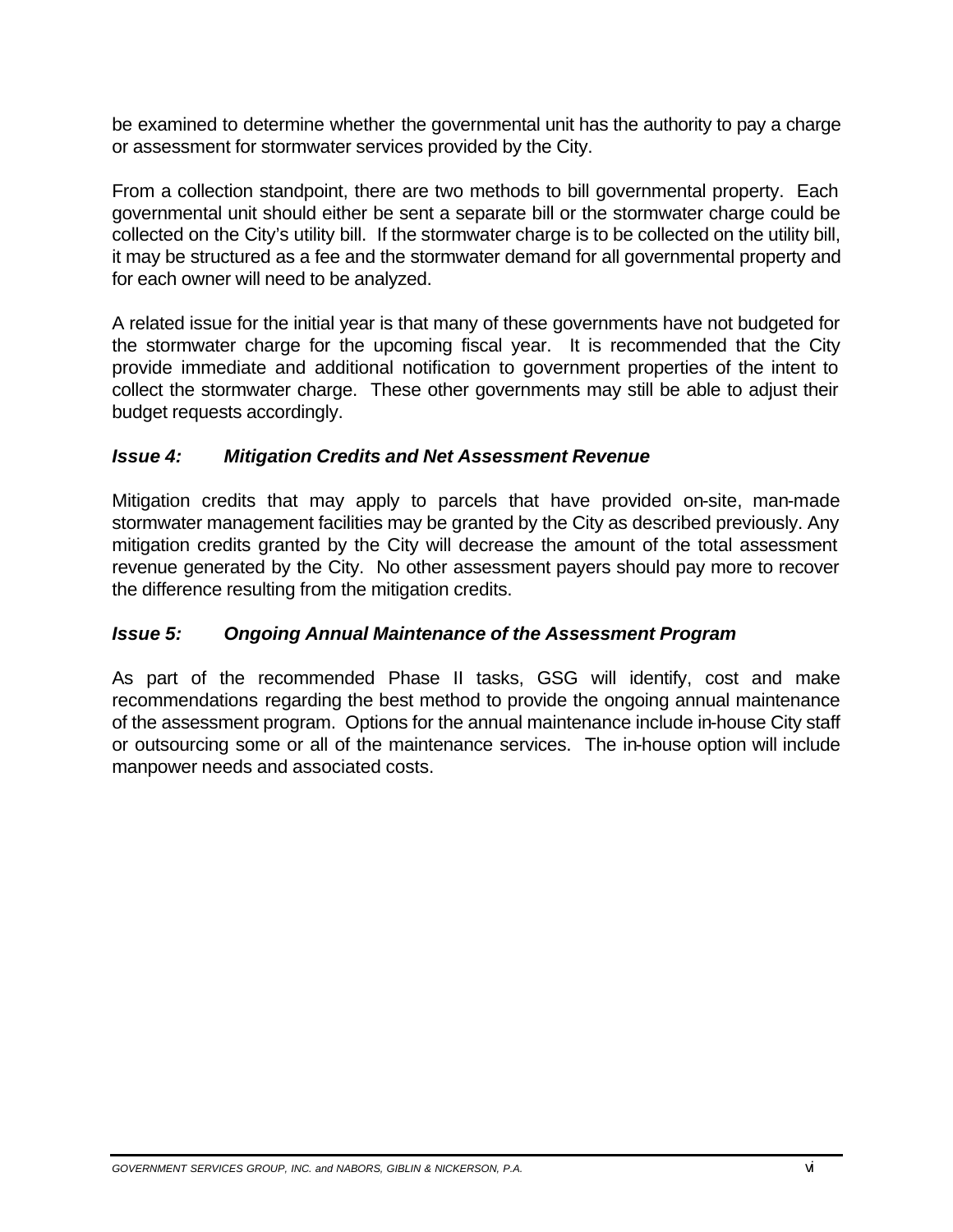be examined to determine whether the governmental unit has the authority to pay a charge or assessment for stormwater services provided by the City.

From a collection standpoint, there are two methods to bill governmental property. Each governmental unit should either be sent a separate bill or the stormwater charge could be collected on the City's utility bill. If the stormwater charge is to be collected on the utility bill, it may be structured as a fee and the stormwater demand for all governmental property and for each owner will need to be analyzed.

A related issue for the initial year is that many of these governments have not budgeted for the stormwater charge for the upcoming fiscal year. It is recommended that the City provide immediate and additional notification to government properties of the intent to collect the stormwater charge. These other governments may still be able to adjust their budget requests accordingly.

#### *Issue 4: Mitigation Credits and Net Assessment Revenue*

Mitigation credits that may apply to parcels that have provided on-site, man-made stormwater management facilities may be granted by the City as described previously. Any mitigation credits granted by the City will decrease the amount of the total assessment revenue generated by the City. No other assessment payers should pay more to recover the difference resulting from the mitigation credits.

#### *lssue 5: Ongoing Annual Maintenance of the Assessment Program*

As part of the recommended Phase II tasks, GSG will identify, cost and make recommendations regarding the best method to provide the ongoing annual maintenance of the assessment program. Options for the annual maintenance include in-house City staff or outsourcing some or all of the maintenance services. The in-house option will include manpower needs and associated costs.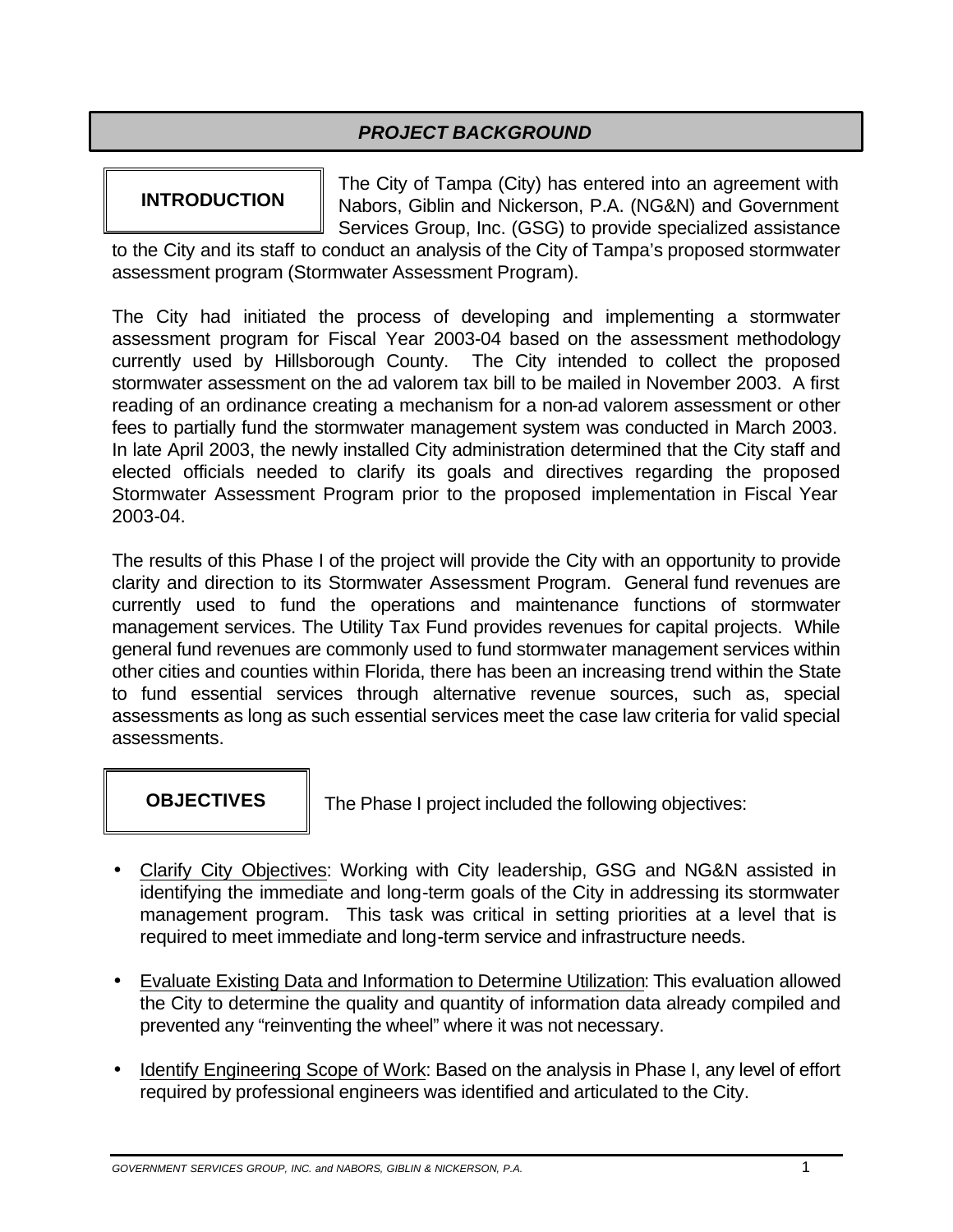### *PROJECT BACKGROUND*

**INTRODUCTION** The City of Tampa (City) has entered into an agreement with **INTRODUCTION** Nabors, Giblin and Nickerson, P.A. (NG&N) and Government Services Group, Inc. (GSG) to provide specialized assistance

to the City and its staff to conduct an analysis of the City of Tampa's proposed stormwater assessment program (Stormwater Assessment Program).

The City had initiated the process of developing and implementing a stormwater assessment program for Fiscal Year 2003-04 based on the assessment methodology currently used by Hillsborough County. The City intended to collect the proposed stormwater assessment on the ad valorem tax bill to be mailed in November 2003. A first reading of an ordinance creating a mechanism for a non-ad valorem assessment or other fees to partially fund the stormwater management system was conducted in March 2003. In late April 2003, the newly installed City administration determined that the City staff and elected officials needed to clarify its goals and directives regarding the proposed Stormwater Assessment Program prior to the proposed implementation in Fiscal Year 2003-04.

The results of this Phase I of the project will provide the City with an opportunity to provide clarity and direction to its Stormwater Assessment Program. General fund revenues are currently used to fund the operations and maintenance functions of stormwater management services. The Utility Tax Fund provides revenues for capital projects. While general fund revenues are commonly used to fund stormwater management services within other cities and counties within Florida, there has been an increasing trend within the State to fund essential services through alternative revenue sources, such as, special assessments as long as such essential services meet the case law criteria for valid special assessments.

**OBJECTIVES** The Phase I project included the following objectives:

- · Clarify City Objectives: Working with City leadership, GSG and NG&N assisted in identifying the immediate and long-term goals of the City in addressing its stormwater management program. This task was critical in setting priorities at a level that is required to meet immediate and long-term service and infrastructure needs.
- · Evaluate Existing Data and Information to Determine Utilization: This evaluation allowed the City to determine the quality and quantity of information data already compiled and prevented any "reinventing the wheel" where it was not necessary.
- · Identify Engineering Scope of Work: Based on the analysis in Phase I, any level of effort required by professional engineers was identified and articulated to the City.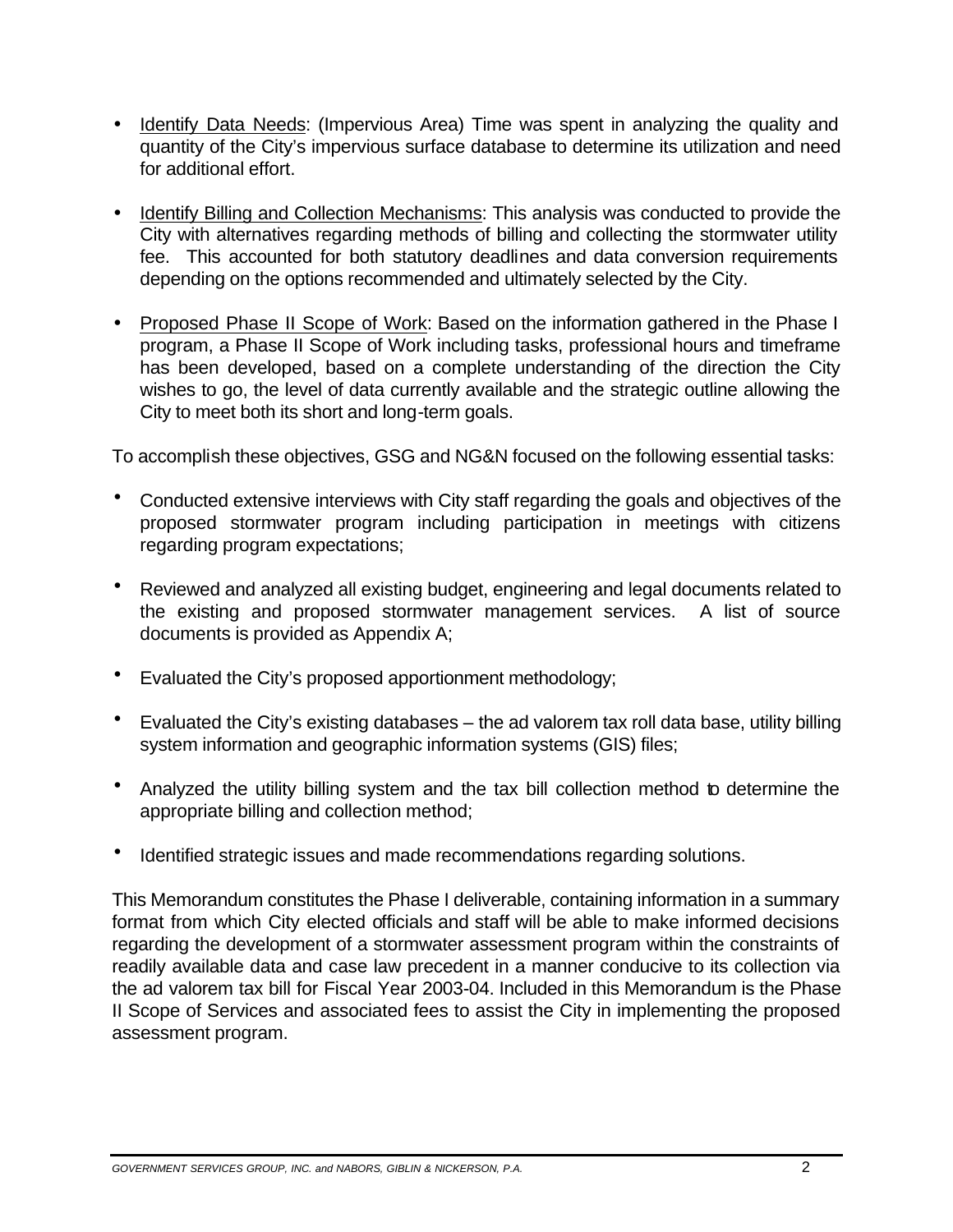- · Identify Data Needs: (Impervious Area) Time was spent in analyzing the quality and quantity of the City's impervious surface database to determine its utilization and need for additional effort.
- · Identify Billing and Collection Mechanisms: This analysis was conducted to provide the City with alternatives regarding methods of billing and collecting the stormwater utility fee. This accounted for both statutory deadlines and data conversion requirements depending on the options recommended and ultimately selected by the City.
- · Proposed Phase II Scope of Work: Based on the information gathered in the Phase I program, a Phase II Scope of Work including tasks, professional hours and timeframe has been developed, based on a complete understanding of the direction the City wishes to go, the level of data currently available and the strategic outline allowing the City to meet both its short and long-term goals.

To accomplish these objectives, GSG and NG&N focused on the following essential tasks:

- Conducted extensive interviews with City staff regarding the goals and objectives of the proposed stormwater program including participation in meetings with citizens regarding program expectations;
- · Reviewed and analyzed all existing budget, engineering and legal documents related to the existing and proposed stormwater management services. A list of source documents is provided as Appendix A;
- · Evaluated the City's proposed apportionment methodology;
- · Evaluated the City's existing databases the ad valorem tax roll data base, utility billing system information and geographic information systems (GIS) files;
- · Analyzed the utility billing system and the tax bill collection method to determine the appropriate billing and collection method;
- Identified strategic issues and made recommendations regarding solutions.

This Memorandum constitutes the Phase I deliverable, containing information in a summary format from which City elected officials and staff will be able to make informed decisions regarding the development of a stormwater assessment program within the constraints of readily available data and case law precedent in a manner conducive to its collection via the ad valorem tax bill for Fiscal Year 2003-04. Included in this Memorandum is the Phase II Scope of Services and associated fees to assist the City in implementing the proposed assessment program.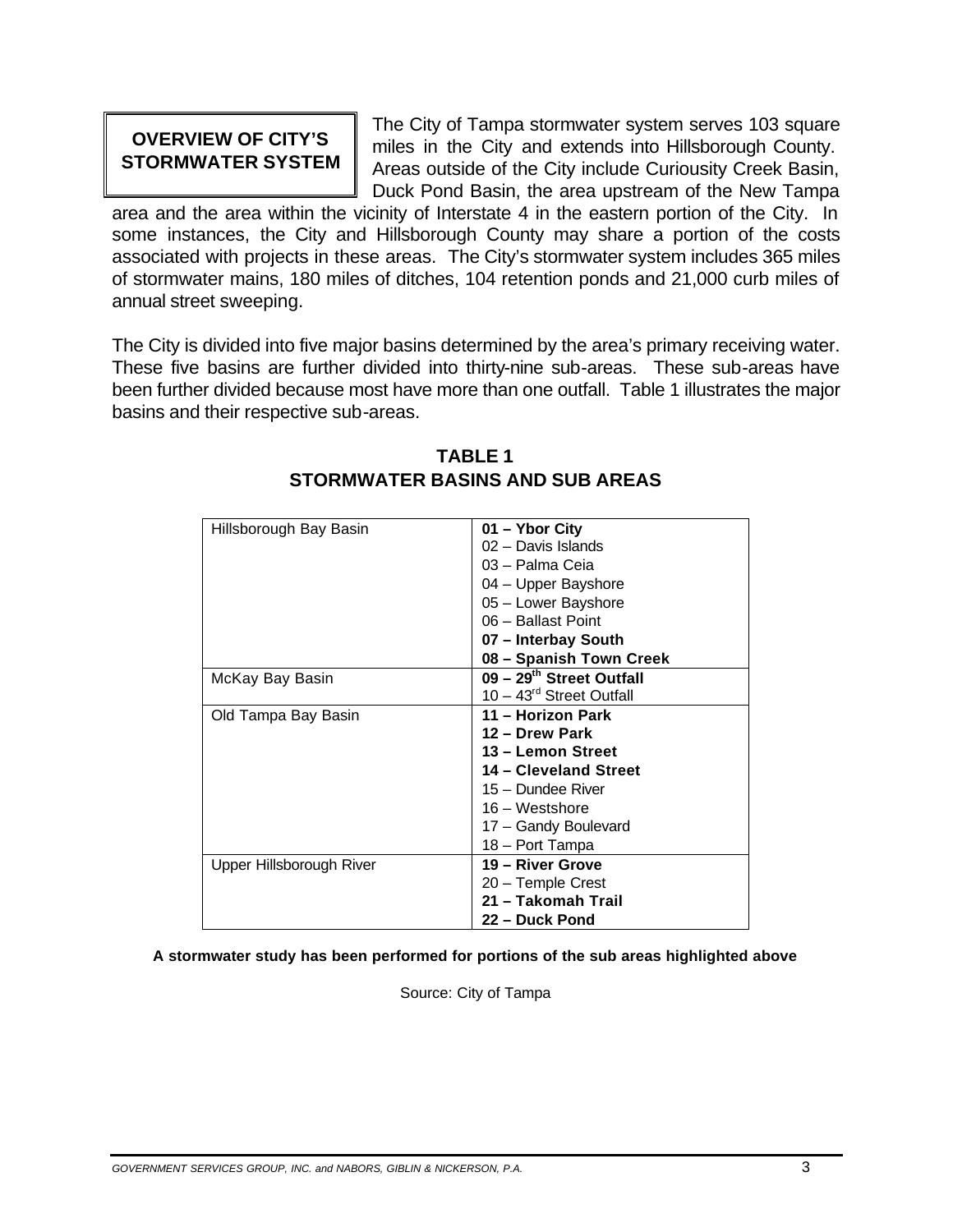**OVERVIEW OF CITY'S** The City of Tampa stormwater system serves 103 square<br>**STORMWATER SYSTEM** Areas outside of the City include Curiousity Creek Basin, Duck Pond Basin, the area upstream of the New Tampa

area and the area within the vicinity of Interstate 4 in the eastern portion of the City. In some instances, the City and Hillsborough County may share a portion of the costs associated with projects in these areas. The City's stormwater system includes 365 miles of stormwater mains, 180 miles of ditches, 104 retention ponds and 21,000 curb miles of annual street sweeping.

The City is divided into five major basins determined by the area's primary receiving water. These five basins are further divided into thirty-nine sub-areas. These sub-areas have been further divided because most have more than one outfall. Table 1 illustrates the major basins and their respective sub-areas.

| Hillsborough Bay Basin   | 01 - Ybor City             |
|--------------------------|----------------------------|
|                          | 02 - Davis Islands         |
|                          | 03 - Palma Ceia            |
|                          | 04 - Upper Bayshore        |
|                          | 05 - Lower Bayshore        |
|                          | 06 - Ballast Point         |
|                          | 07 - Interbay South        |
|                          | 08 - Spanish Town Creek    |
| McKay Bay Basin          | 09 - 29th Street Outfall   |
|                          | $10 - 43rd$ Street Outfall |
| Old Tampa Bay Basin      | 11 - Horizon Park          |
|                          | 12 - Drew Park             |
|                          | 13 - Lemon Street          |
|                          | 14 - Cleveland Street      |
|                          | 15 - Dundee River          |
|                          | $16 - Westshore$           |
|                          | 17 - Gandy Boulevard       |
|                          | 18 - Port Tampa            |
| Upper Hillsborough River | 19 - River Grove           |
|                          | 20 - Temple Crest          |
|                          | 21 - Takomah Trail         |
|                          | 22 – Duck Pond             |

### **TABLE 1 STORMWATER BASINS AND SUB AREAS**

**A stormwater study has been performed for portions of the sub areas highlighted above** 

Source: City of Tampa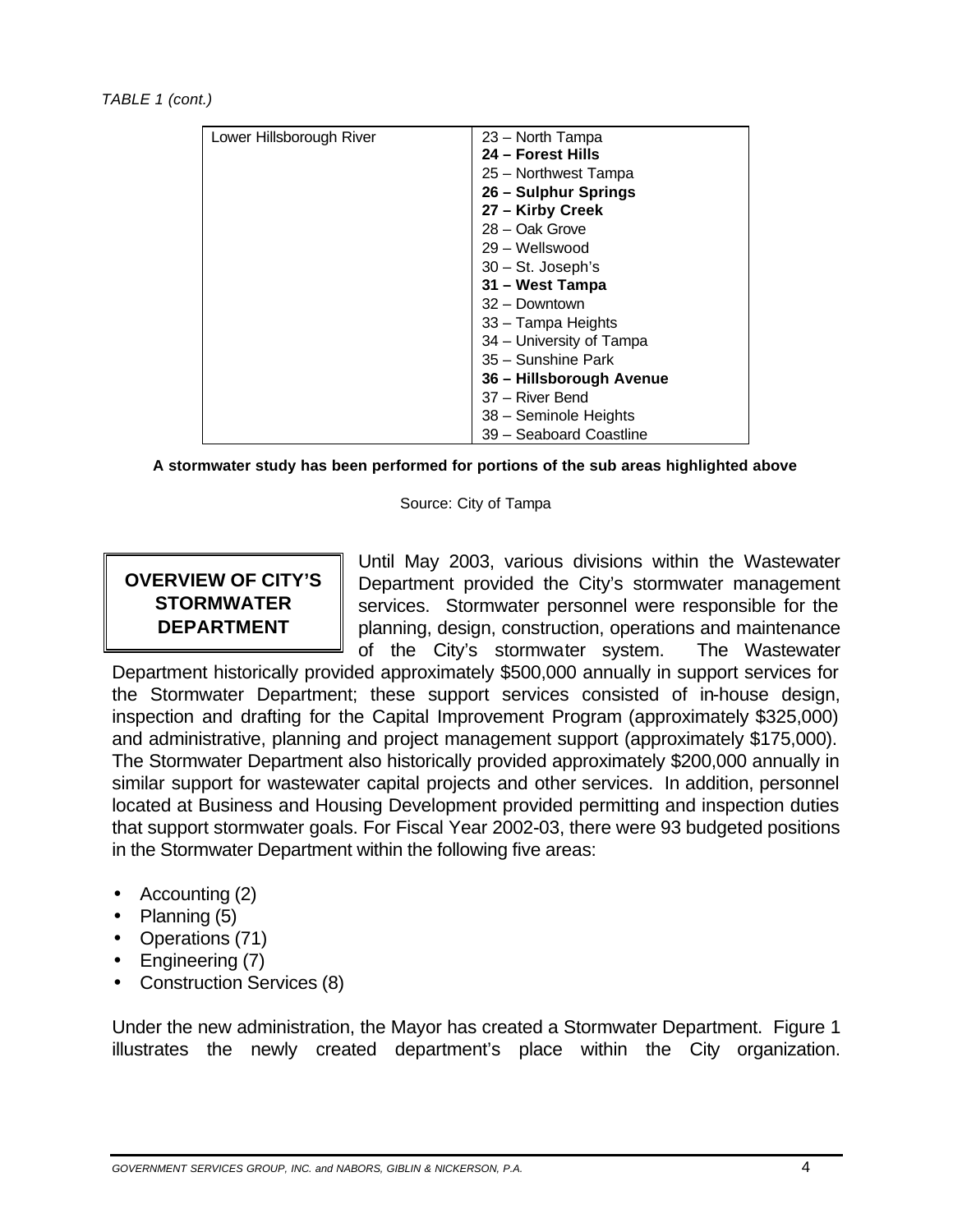*TABLE 1 (cont.)* 

|                          | 23 – North Tampa         |
|--------------------------|--------------------------|
| Lower Hillsborough River |                          |
|                          | 24 – Forest Hills        |
|                          | 25 - Northwest Tampa     |
|                          | 26 - Sulphur Springs     |
|                          | 27 - Kirby Creek         |
|                          | 28 - Oak Grove           |
|                          | 29 - Wellswood           |
|                          | 30 - St. Joseph's        |
|                          | 31 – West Tampa          |
|                          | 32 - Downtown            |
|                          | 33 - Tampa Heights       |
|                          | 34 - University of Tampa |
|                          | 35 - Sunshine Park       |
|                          | 36 – Hillsborough Avenue |
|                          | 37 - River Bend          |
|                          | 38 - Seminole Heights    |
|                          | 39 - Seaboard Coastline  |

**A stormwater study has been performed for portions of the sub areas highlighted above** 

Source: City of Tampa

Until May 2003, various divisions within the Wastewater **OVERVIEW OF CITY'S** Department provided the City's stormwater management **STORMWATER** Services. Stormwater personnel were responsible for the **DEPARTMENT** | planning, design, construction, operations and maintenance of the City's stormwater system. The Wastewater

Department historically provided approximately \$500,000 annually in support services for the Stormwater Department; these support services consisted of in-house design, inspection and drafting for the Capital Improvement Program (approximately \$325,000) and administrative, planning and project management support (approximately \$175,000). The Stormwater Department also historically provided approximately \$200,000 annually in similar support for wastewater capital projects and other services. In addition, personnel located at Business and Housing Development provided permitting and inspection duties that support stormwater goals. For Fiscal Year 2002-03, there were 93 budgeted positions in the Stormwater Department within the following five areas:

- Accounting (2)
- Planning (5)
- Operations (71)
- Engineering (7)
- Construction Services (8)

Under the new administration, the Mayor has created a Stormwater Department. Figure 1 illustrates the newly created department's place within the City organization.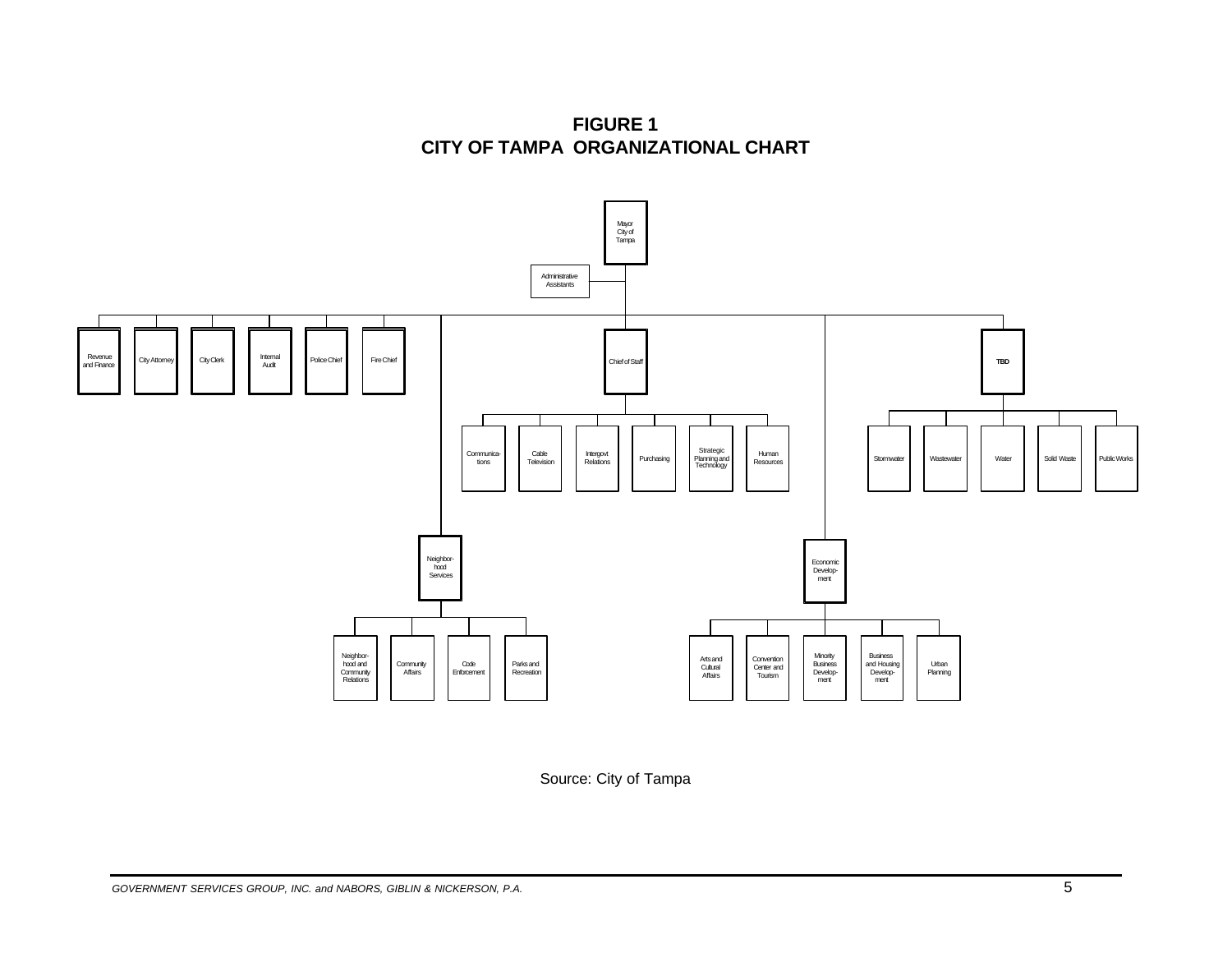**FIGURE 1 CITY OF TAMPA ORGANIZATIONAL CHART** 



Source: City of Tampa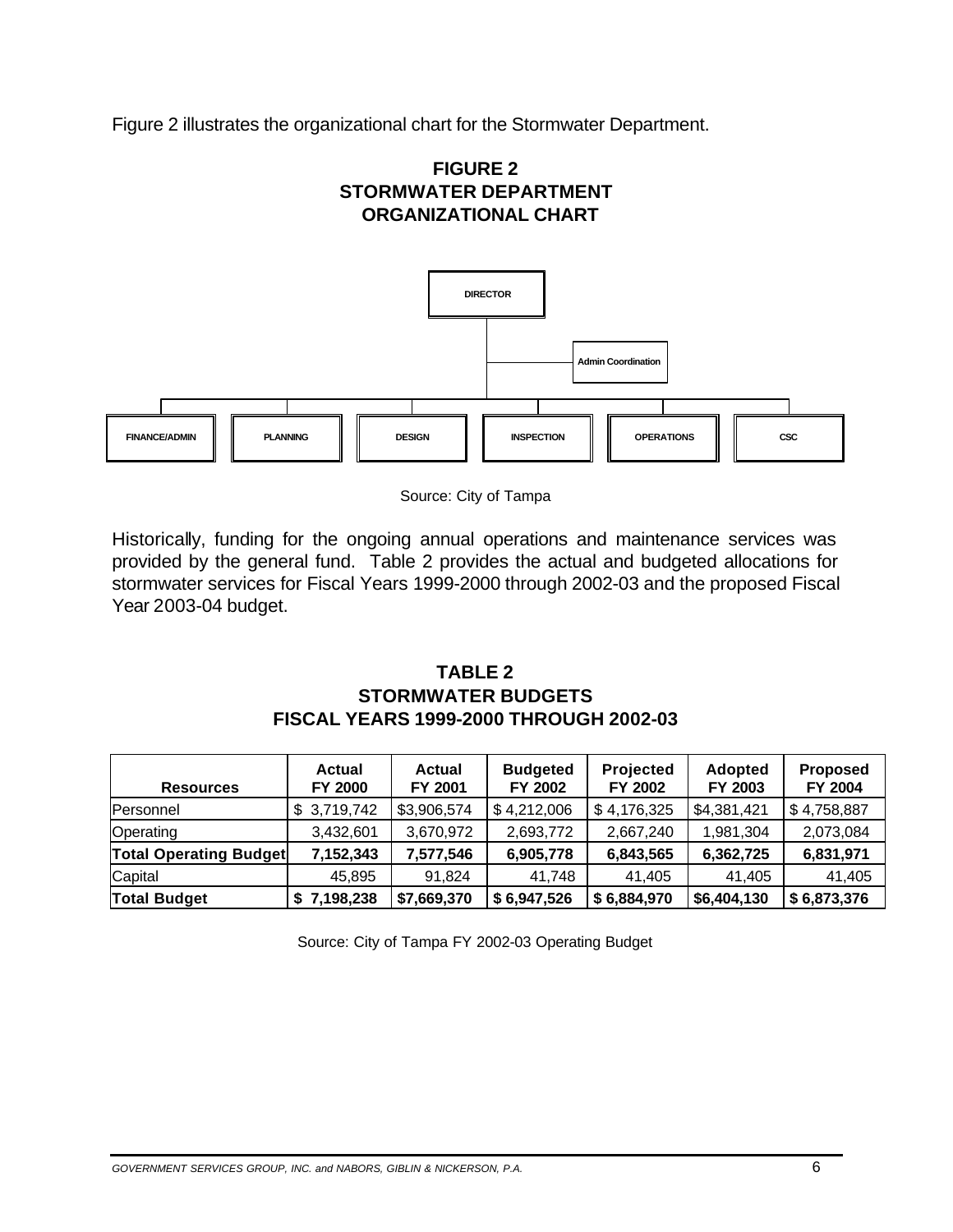Figure 2 illustrates the organizational chart for the Stormwater Department.





Source: City of Tampa

Historically, funding for the ongoing annual operations and maintenance services was provided by the general fund. Table 2 provides the actual and budgeted allocations for stormwater services for Fiscal Years 1999-2000 through 2002-03 and the proposed Fiscal Year 2003-04 budget.

### **TABLE 2 STORMWATER BUDGETS FISCAL YEARS 1999-2000 THROUGH 2002-03**

| <b>Resources</b>              | <b>Actual</b><br>FY 2000 | <b>Actual</b><br>FY 2001 | <b>Budgeted</b><br>FY 2002 | <b>Projected</b><br>FY 2002 | <b>Adopted</b><br>FY 2003 | <b>Proposed</b><br>FY 2004 |
|-------------------------------|--------------------------|--------------------------|----------------------------|-----------------------------|---------------------------|----------------------------|
| Personnel                     | \$3,719,742              | \$3,906,574              | \$4,212,006                | \$4,176,325                 | \$4,381,421               | \$4,758,887                |
| Operating                     | 3,432,601                | 3,670,972                | 2,693,772                  | 2,667,240                   | 1,981,304                 | 2,073,084                  |
| <b>Total Operating Budget</b> | 7,152,343                | 7,577,546                | 6,905,778                  | 6,843,565                   | 6,362,725                 | 6,831,971                  |
| Capital                       | 45.895                   | 91.824                   | 41.748                     | 41.405                      | 41.405                    | 41,405                     |
| <b>Total Budget</b>           | \$7,198,238              | \$7,669,370              | \$6,947,526                | \$6,884,970                 | \$6,404,130               | \$6,873,376                |

Source: City of Tampa FY 2002-03 Operating Budget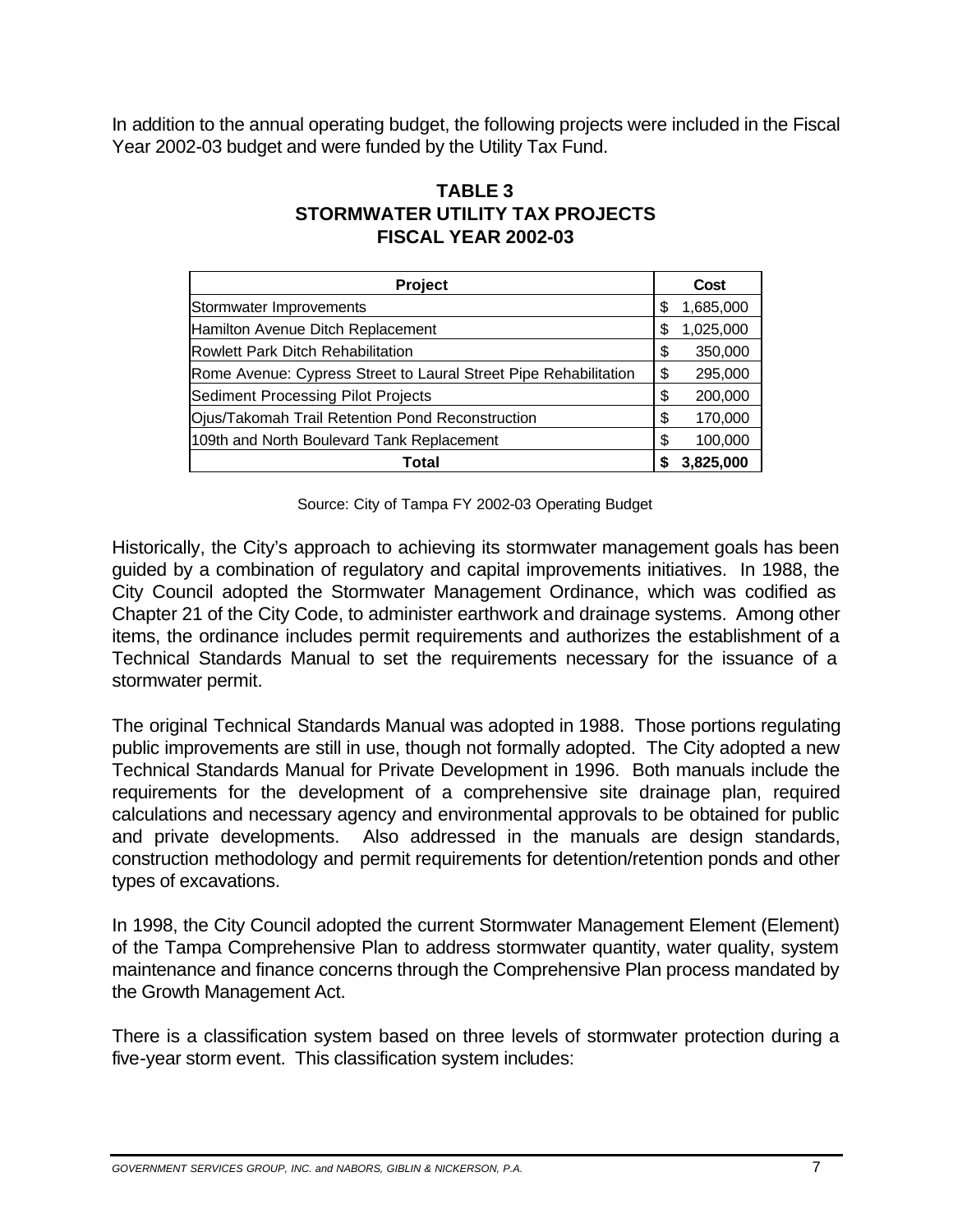In addition to the annual operating budget, the following projects were included in the Fiscal Year 2002-03 budget and were funded by the Utility Tax Fund.

### **TABLE 3 STORMWATER UTILITY TAX PROJECTS FISCAL YEAR 2002-03**

| Project                                                          |    | Cost      |
|------------------------------------------------------------------|----|-----------|
| Stormwater Improvements                                          | S  | 1,685,000 |
| Hamilton Avenue Ditch Replacement                                | \$ | 1,025,000 |
| <b>Rowlett Park Ditch Rehabilitation</b>                         | \$ | 350,000   |
| Rome Avenue: Cypress Street to Laural Street Pipe Rehabilitation | \$ | 295,000   |
| <b>Sediment Processing Pilot Projects</b>                        | \$ | 200,000   |
| Ojus/Takomah Trail Retention Pond Reconstruction                 | \$ | 170,000   |
| 109th and North Boulevard Tank Replacement                       | \$ | 100,000   |
| Total                                                            | S  | 3,825,000 |

Source: City of Tampa FY 2002-03 Operating Budget

Historically, the City's approach to achieving its stormwater management goals has been guided by a combination of regulatory and capital improvements initiatives. In 1988, the City Council adopted the Stormwater Management Ordinance, which was codified as Chapter 21 of the City Code, to administer earthwork and drainage systems. Among other items, the ordinance includes permit requirements and authorizes the establishment of a Technical Standards Manual to set the requirements necessary for the issuance of a stormwater permit.

The original Technical Standards Manual was adopted in 1988. Those portions regulating public improvements are still in use, though not formally adopted. The City adopted a new Technical Standards Manual for Private Development in 1996. Both manuals include the requirements for the development of a comprehensive site drainage plan, required calculations and necessary agency and environmental approvals to be obtained for public and private developments. Also addressed in the manuals are design standards, construction methodology and permit requirements for detention/retention ponds and other types of excavations.

In 1998, the City Council adopted the current Stormwater Management Element (Element) of the Tampa Comprehensive Plan to address stormwater quantity, water quality, system maintenance and finance concerns through the Comprehensive Plan process mandated by the Growth Management Act.

There is a classification system based on three levels of stormwater protection during a five-year storm event. This classification system includes: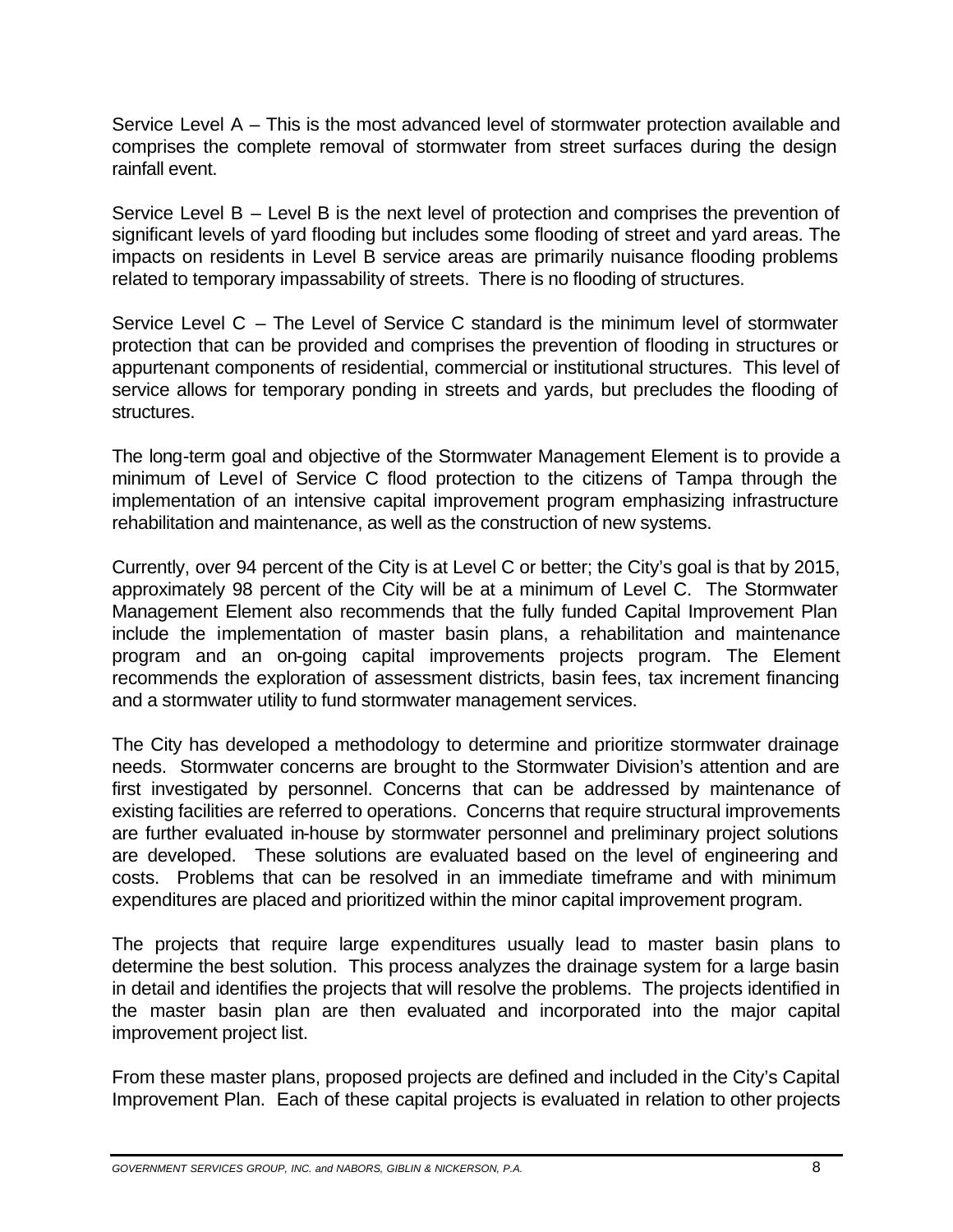Service Level A – This is the most advanced level of stormwater protection available and comprises the complete removal of stormwater from street surfaces during the design rainfall event.

Service Level B – Level B is the next level of protection and comprises the prevention of significant levels of yard flooding but includes some flooding of street and yard areas. The impacts on residents in Level B service areas are primarily nuisance flooding problems related to temporary impassability of streets. There is no flooding of structures.

Service Level C – The Level of Service C standard is the minimum level of stormwater protection that can be provided and comprises the prevention of flooding in structures or appurtenant components of residential, commercial or institutional structures. This level of service allows for temporary ponding in streets and yards, but precludes the flooding of structures.

The long-term goal and objective of the Stormwater Management Element is to provide a minimum of Level of Service C flood protection to the citizens of Tampa through the implementation of an intensive capital improvement program emphasizing infrastructure rehabilitation and maintenance, as well as the construction of new systems.

Currently, over 94 percent of the City is at Level C or better; the City's goal is that by 2015, approximately 98 percent of the City will be at a minimum of Level C. The Stormwater Management Element also recommends that the fully funded Capital Improvement Plan include the implementation of master basin plans, a rehabilitation and maintenance program and an on-going capital improvements projects program. The Element recommends the exploration of assessment districts, basin fees, tax increment financing and a stormwater utility to fund stormwater management services.

The City has developed a methodology to determine and prioritize stormwater drainage needs. Stormwater concerns are brought to the Stormwater Division's attention and are first investigated by personnel. Concerns that can be addressed by maintenance of existing facilities are referred to operations. Concerns that require structural improvements are further evaluated in-house by stormwater personnel and preliminary project solutions are developed. These solutions are evaluated based on the level of engineering and costs. Problems that can be resolved in an immediate timeframe and with minimum expenditures are placed and prioritized within the minor capital improvement program.

The projects that require large expenditures usually lead to master basin plans to determine the best solution. This process analyzes the drainage system for a large basin in detail and identifies the projects that will resolve the problems. The projects identified in the master basin plan are then evaluated and incorporated into the major capital improvement project list.

From these master plans, proposed projects are defined and included in the City's Capital Improvement Plan. Each of these capital projects is evaluated in relation to other projects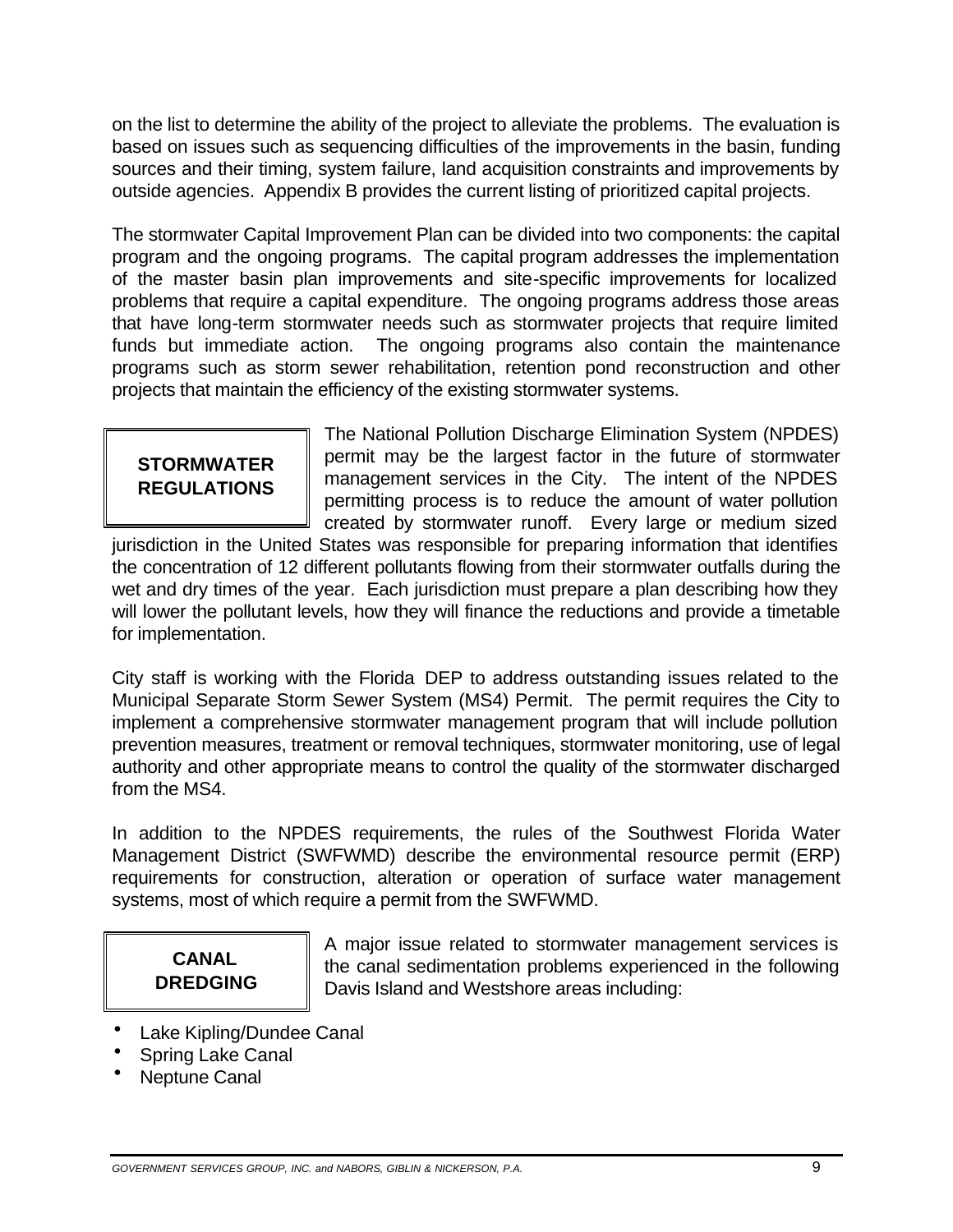on the list to determine the ability of the project to alleviate the problems. The evaluation is based on issues such as sequencing difficulties of the improvements in the basin, funding sources and their timing, system failure, land acquisition constraints and improvements by outside agencies. Appendix B provides the current listing of prioritized capital projects.

The stormwater Capital Improvement Plan can be divided into two components: the capital program and the ongoing programs. The capital program addresses the implementation of the master basin plan improvements and site-specific improvements for localized problems that require a capital expenditure. The ongoing programs address those areas that have long-term stormwater needs such as stormwater projects that require limited funds but immediate action. The ongoing programs also contain the maintenance programs such as storm sewer rehabilitation, retention pond reconstruction and other projects that maintain the efficiency of the existing stormwater systems.

The National Pollution Discharge Elimination System (NPDES) **STORMWATER permit may be the largest factor in the future of stormwater <b>REGULATIONS permitting process is to reduce the amount of water pollution** created by stormwater runoff. Every large or medium sized

jurisdiction in the United States was responsible for preparing information that identifies the concentration of 12 different pollutants flowing from their stormwater outfalls during the wet and dry times of the year. Each jurisdiction must prepare a plan describing how they will lower the pollutant levels, how they will finance the reductions and provide a timetable for implementation.

City staff is working with the Florida DEP to address outstanding issues related to the Municipal Separate Storm Sewer System (MS4) Permit. The permit requires the City to implement a comprehensive stormwater management program that will include pollution prevention measures, treatment or removal techniques, stormwater monitoring, use of legal authority and other appropriate means to control the quality of the stormwater discharged from the MS4.

In addition to the NPDES requirements, the rules of the Southwest Florida Water Management District (SWFWMD) describe the environmental resource permit (ERP) requirements for construction, alteration or operation of surface water management systems, most of which require a permit from the SWFWMD.

A major issue related to stormwater management services is **CANAL the canal sedimentation problems experienced in the following <b>DREDGING** Davis Island and Westshore areas including:

- Lake Kipling/Dundee Canal
- · Spring Lake Canal
- Neptune Canal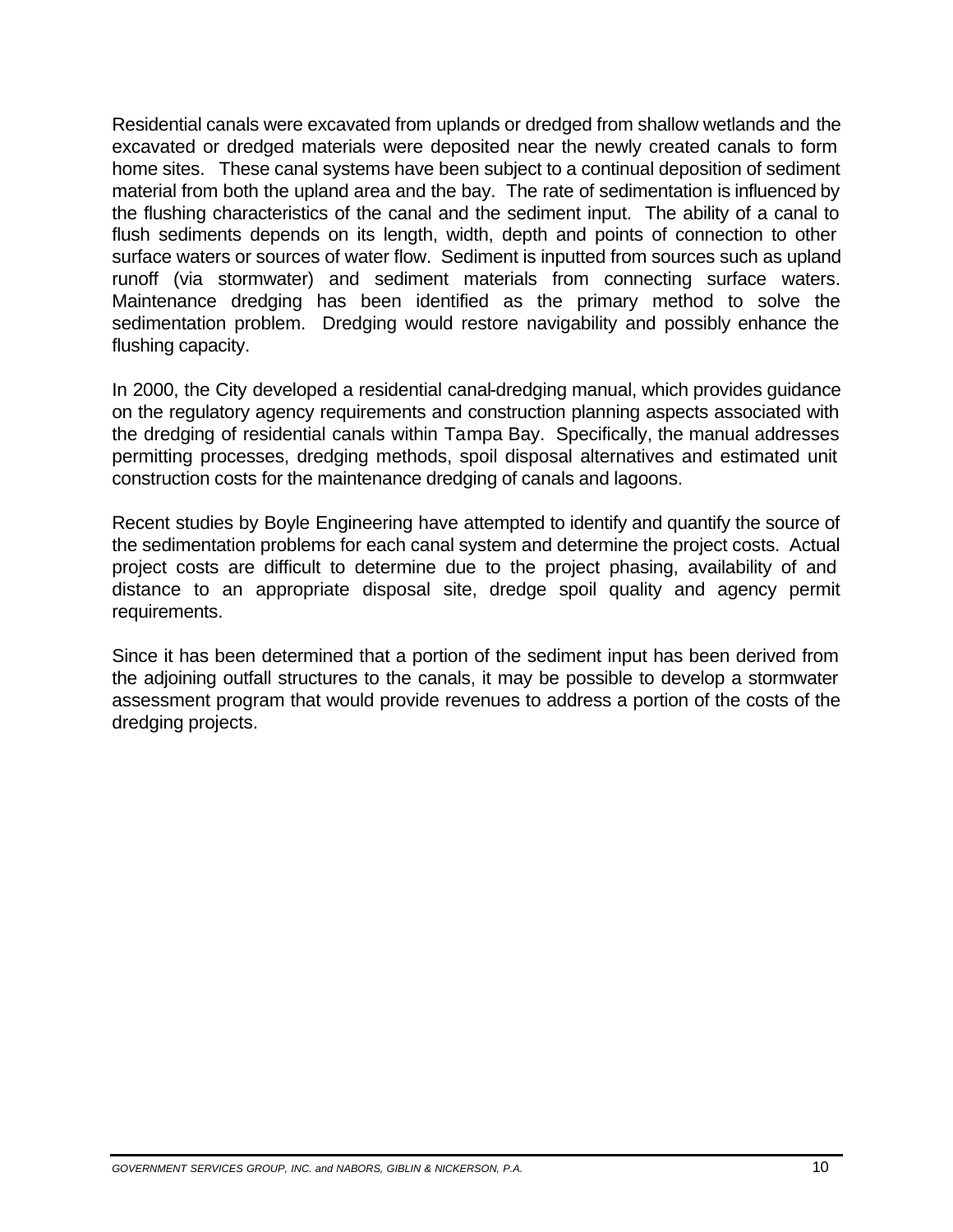Residential canals were excavated from uplands or dredged from shallow wetlands and the excavated or dredged materials were deposited near the newly created canals to form home sites. These canal systems have been subject to a continual deposition of sediment material from both the upland area and the bay. The rate of sedimentation is influenced by the flushing characteristics of the canal and the sediment input. The ability of a canal to flush sediments depends on its length, width, depth and points of connection to other surface waters or sources of water flow. Sediment is inputted from sources such as upland runoff (via stormwater) and sediment materials from connecting surface waters. Maintenance dredging has been identified as the primary method to solve the sedimentation problem. Dredging would restore navigability and possibly enhance the flushing capacity.

In 2000, the City developed a residential canal-dredging manual, which provides guidance on the regulatory agency requirements and construction planning aspects associated with the dredging of residential canals within Tampa Bay. Specifically, the manual addresses permitting processes, dredging methods, spoil disposal alternatives and estimated unit construction costs for the maintenance dredging of canals and lagoons.

Recent studies by Boyle Engineering have attempted to identify and quantify the source of the sedimentation problems for each canal system and determine the project costs. Actual project costs are difficult to determine due to the project phasing, availability of and distance to an appropriate disposal site, dredge spoil quality and agency permit requirements.

Since it has been determined that a portion of the sediment input has been derived from the adjoining outfall structures to the canals, it may be possible to develop a stormwater assessment program that would provide revenues to address a portion of the costs of the dredging projects.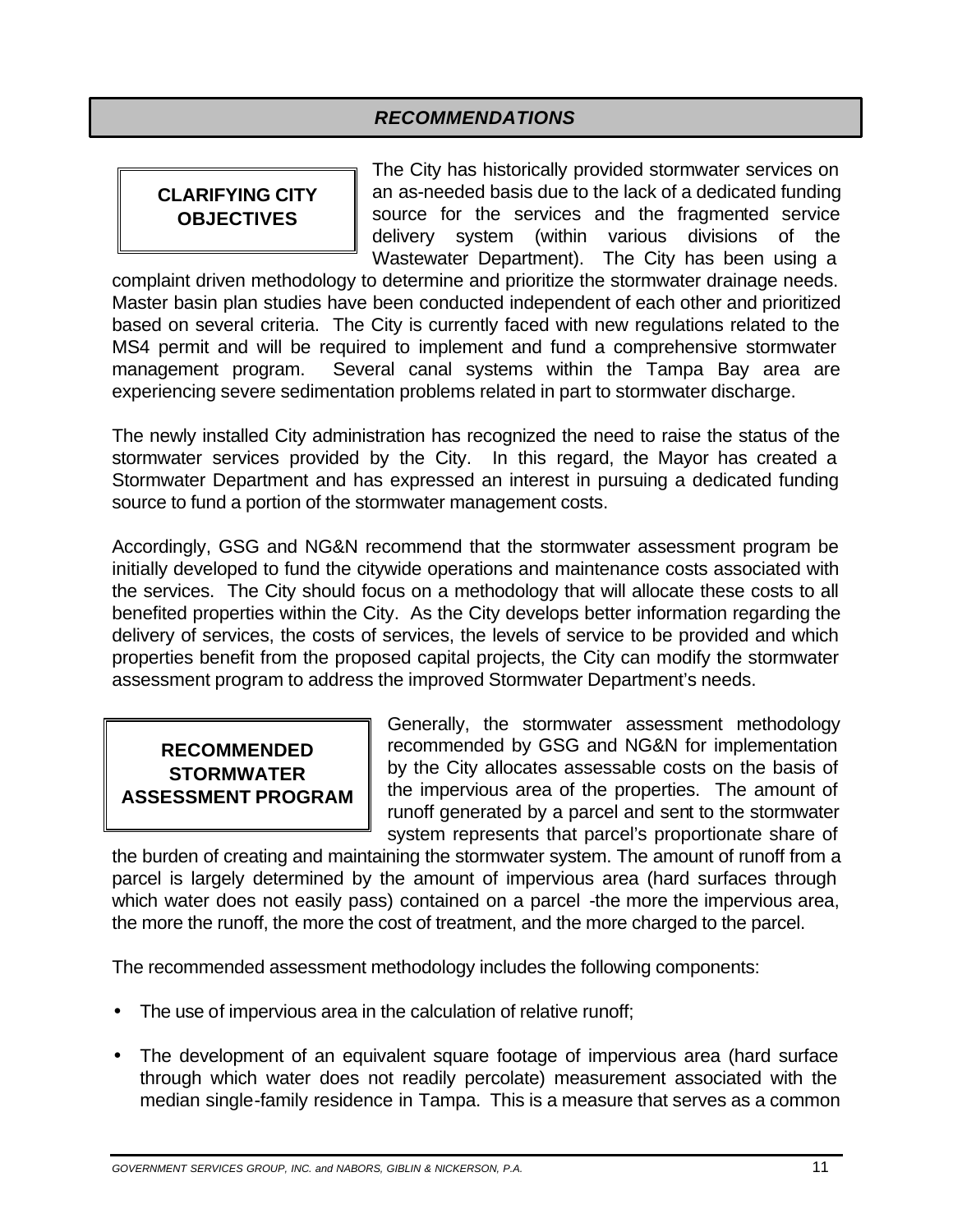#### *RECOMMENDATIONS*

The City has historically provided stormwater services on **CLARIFYING CITY** | an as-needed basis due to the lack of a dedicated funding **OBJECTIVES** | source for the services and the fragmented service delivery system (within various divisions of the Wastewater Department). The City has been using a

complaint driven methodology to determine and prioritize the stormwater drainage needs. Master basin plan studies have been conducted independent of each other and prioritized based on several criteria. The City is currently faced with new regulations related to the MS4 permit and will be required to implement and fund a comprehensive stormwater management program. Several canal systems within the Tampa Bay area are experiencing severe sedimentation problems related in part to stormwater discharge.

The newly installed City administration has recognized the need to raise the status of the stormwater services provided by the City. In this regard, the Mayor has created a Stormwater Department and has expressed an interest in pursuing a dedicated funding source to fund a portion of the stormwater management costs.

Accordingly, GSG and NG&N recommend that the stormwater assessment program be initially developed to fund the citywide operations and maintenance costs associated with the services. The City should focus on a methodology that will allocate these costs to all benefited properties within the City. As the City develops better information regarding the delivery of services, the costs of services, the levels of service to be provided and which properties benefit from the proposed capital projects, the City can modify the stormwater assessment program to address the improved Stormwater Department's needs.

Generally, the stormwater assessment methodology **RECOMMENDED** recommended by GSG and NG&N for implementation **STORMWATER** by the City allocates assessable costs on the basis of **ASSESSMENT PROGRAM** If the impervious area of the properties. The amount of runoff generated by a parcel and sent to the stormwater system represents that parcel's proportionate share of

the burden of creating and maintaining the stormwater system. The amount of runoff from a parcel is largely determined by the amount of impervious area (hard surfaces through which water does not easily pass) contained on a parcel -the more the impervious area, the more the runoff, the more the cost of treatment, and the more charged to the parcel.

The recommended assessment methodology includes the following components:

- The use of impervious area in the calculation of relative runoff;
- · The development of an equivalent square footage of impervious area (hard surface through which water does not readily percolate) measurement associated with the median single-family residence in Tampa. This is a measure that serves as a common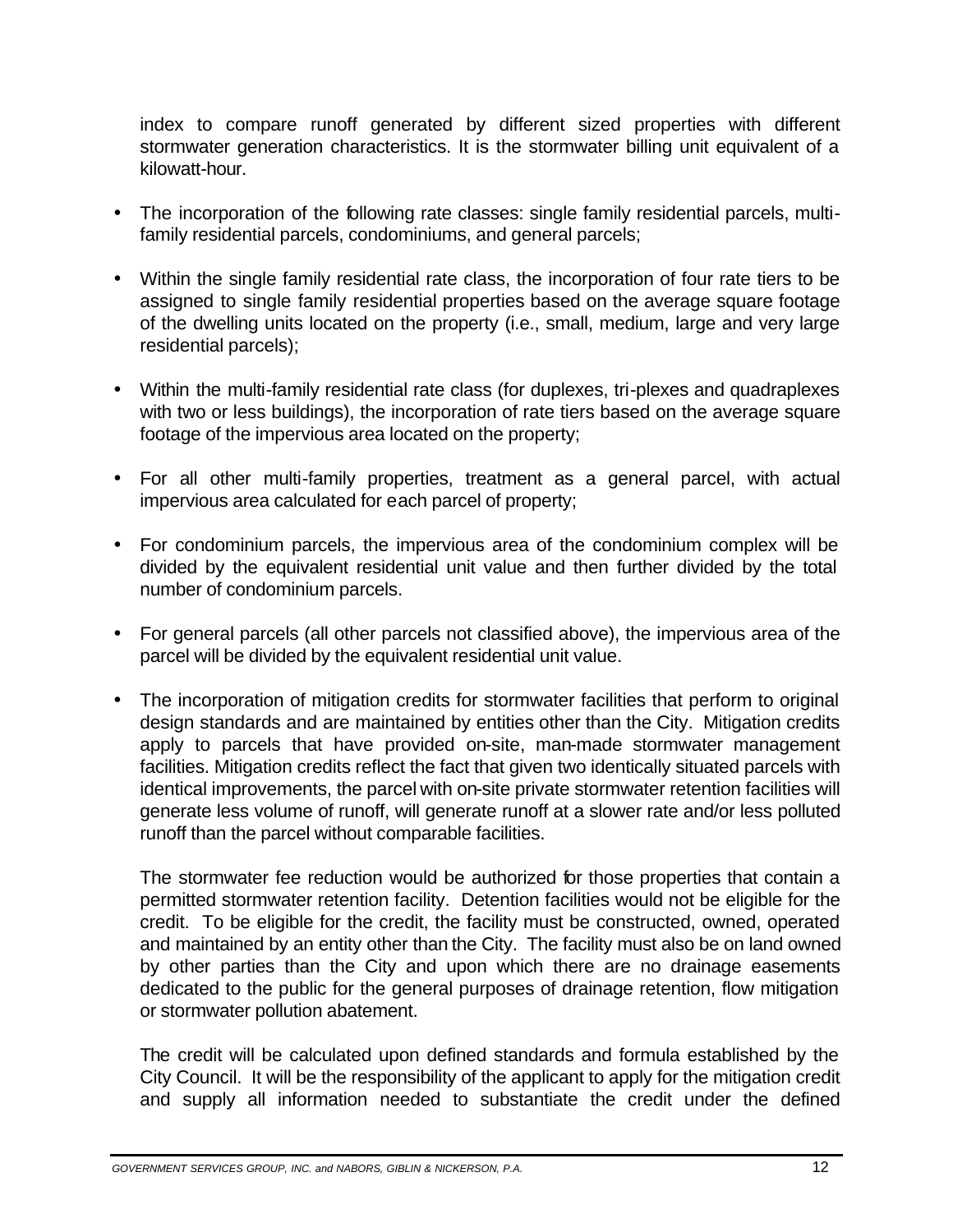index to compare runoff generated by different sized properties with different stormwater generation characteristics. It is the stormwater billing unit equivalent of a kilowatt-hour.

- · The incorporation of the following rate classes: single family residential parcels, multifamily residential parcels, condominiums, and general parcels;
- · Within the single family residential rate class, the incorporation of four rate tiers to be assigned to single family residential properties based on the average square footage of the dwelling units located on the property (i.e., small, medium, large and very large residential parcels);
- · Within the multi-family residential rate class (for duplexes, tri-plexes and quadraplexes with two or less buildings), the incorporation of rate tiers based on the average square footage of the impervious area located on the property;
- · For all other multi-family properties, treatment as a general parcel, with actual impervious area calculated for each parcel of property;
- · For condominium parcels, the impervious area of the condominium complex will be divided by the equivalent residential unit value and then further divided by the total number of condominium parcels.
- · For general parcels (all other parcels not classified above), the impervious area of the parcel will be divided by the equivalent residential unit value.
- The incorporation of mitigation credits for stormwater facilities that perform to original design standards and are maintained by entities other than the City. Mitigation credits apply to parcels that have provided on-site, man-made stormwater management facilities. Mitigation credits reflect the fact that given two identically situated parcels with identical improvements, the parcel with on-site private stormwater retention facilities will generate less volume of runoff, will generate runoff at a slower rate and/or less polluted runoff than the parcel without comparable facilities.

The stormwater fee reduction would be authorized for those properties that contain a permitted stormwater retention facility. Detention facilities would not be eligible for the credit. To be eligible for the credit, the facility must be constructed, owned, operated and maintained by an entity other than the City. The facility must also be on land owned by other parties than the City and upon which there are no drainage easements dedicated to the public for the general purposes of drainage retention, flow mitigation or stormwater pollution abatement.

The credit will be calculated upon defined standards and formula established by the City Council. It will be the responsibility of the applicant to apply for the mitigation credit and supply all information needed to substantiate the credit under the defined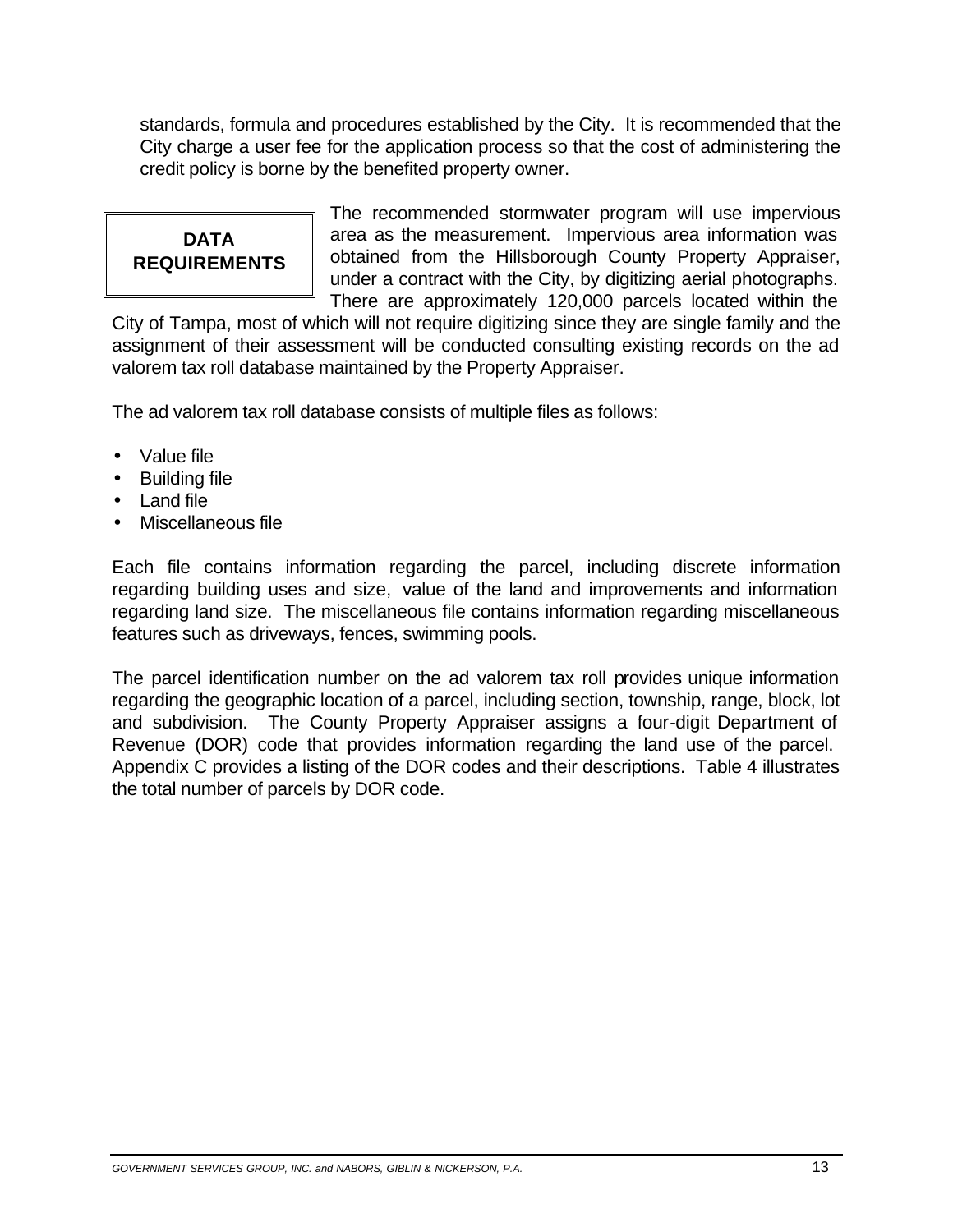standards, formula and procedures established by the City. It is recommended that the City charge a user fee for the application process so that the cost of administering the credit policy is borne by the benefited property owner.

The recommended stormwater program will use impervious **DATA area as the measurement.** Impervious area information was **REQUIREMENTS** | obtained from the Hillsborough County Property Appraiser, under a contract with the City, by digitizing aerial photographs. There are approximately 120,000 parcels located within the

City of Tampa, most of which will not require digitizing since they are single family and the assignment of their assessment will be conducted consulting existing records on the ad valorem tax roll database maintained by the Property Appraiser.

The ad valorem tax roll database consists of multiple files as follows:

- · Value file
- Building file
- Land file
- · Miscellaneous file

Each file contains information regarding the parcel, including discrete information regarding building uses and size, value of the land and improvements and information regarding land size. The miscellaneous file contains information regarding miscellaneous features such as driveways, fences, swimming pools.

The parcel identification number on the ad valorem tax roll provides unique information regarding the geographic location of a parcel, including section, township, range, block, lot and subdivision. The County Property Appraiser assigns a four-digit Department of Revenue (DOR) code that provides information regarding the land use of the parcel. Appendix C provides a listing of the DOR codes and their descriptions. Table 4 illustrates the total number of parcels by DOR code.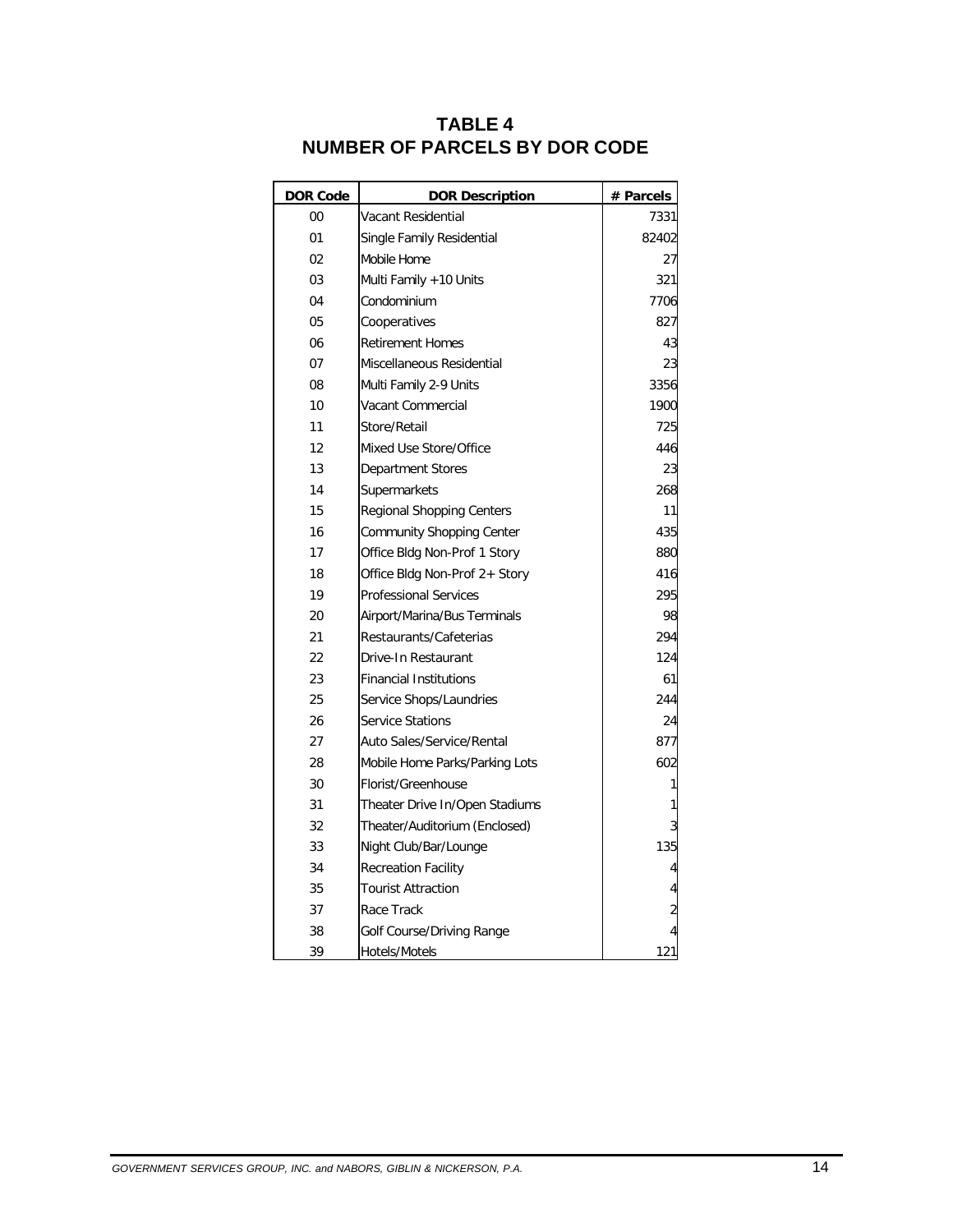| <b>DOR Code</b> | <b>DOR Description</b>           | # Parcels      |
|-----------------|----------------------------------|----------------|
| 00              | Vacant Residential               | 7331           |
| 01              | Single Family Residential        | 82402          |
| 02              | Mobile Home                      | 27             |
| 03              | Multi Family +10 Units           | 321            |
| 04              | Condominium                      | 7706           |
| 05              | Cooperatives                     | 827            |
| 06              | <b>Retirement Homes</b>          | 43             |
| 07              | Miscellaneous Residential        | 23             |
| 08              | Multi Family 2-9 Units           | 3356           |
| 10              | Vacant Commercial                | 1900           |
| 11              | Store/Retail                     | 725            |
| 12              | Mixed Use Store/Office           | 446            |
| 13              | Department Stores                | 23             |
| 14              | Supermarkets                     | 268            |
| 15              | Regional Shopping Centers        | 11             |
| 16              | <b>Community Shopping Center</b> | 435            |
| 17              | Office Bldg Non-Prof 1 Story     | 880            |
| 18              | Office Bldg Non-Prof 2+ Story    | 416            |
| 19              | <b>Professional Services</b>     | 295            |
| 20              | Airport/Marina/Bus Terminals     | 98             |
| 21              | Restaurants/Cafeterias           | 294            |
| 22              | Drive-In Restaurant              | 124            |
| 23              | <b>Financial Institutions</b>    | 61             |
| 25              | Service Shops/Laundries          | 244            |
| 26              | Service Stations                 | 24             |
| 27              | Auto Sales/Service/Rental        | 877            |
| 28              | Mobile Home Parks/Parking Lots   | 602            |
| 30              | Florist/Greenhouse               | 1              |
| 31              | Theater Drive In/Open Stadiums   |                |
| 32              | Theater/Auditorium (Enclosed)    | 3              |
| 33              | Night Club/Bar/Lounge            | 135            |
| 34              | <b>Recreation Facility</b>       | 4              |
| 35              | <b>Tourist Attraction</b>        |                |
| 37              | Race Track                       | $\overline{c}$ |
| 38              | Golf Course/Driving Range        | 4              |
| 39              | Hotels/Motels                    | 121            |

### **TABLE 4 NUMBER OF PARCELS BY DOR CODE**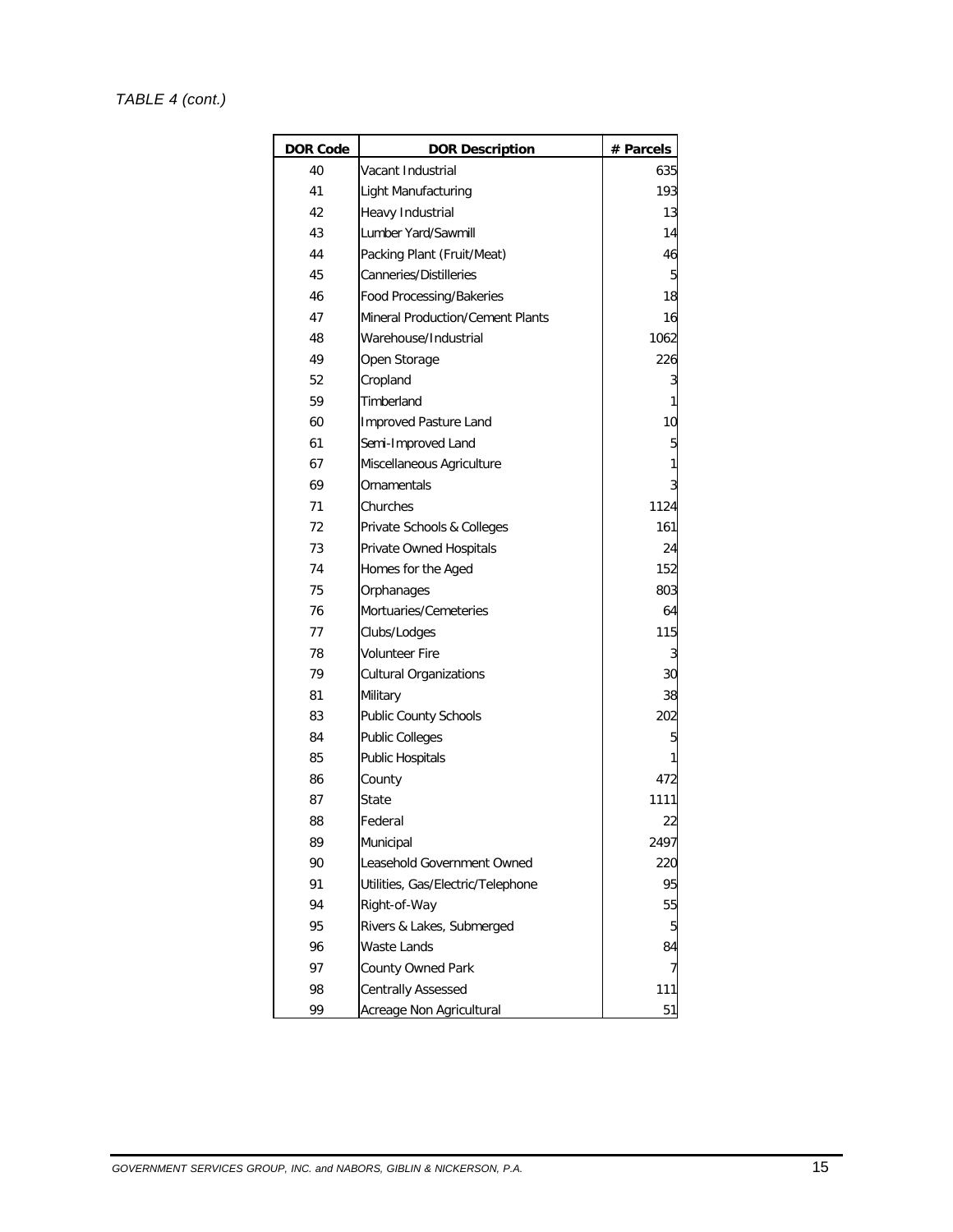#### *TABLE 4 (cont.)*

| <b>DOR Code</b> | <b>DOR Description</b>                  | # Parcels |
|-----------------|-----------------------------------------|-----------|
| 40              | Vacant Industrial                       | 635       |
| 41              | Light Manufacturing                     | 193       |
| 42              | Heavy Industrial                        | 13        |
| 43              | Lumber Yard/Sawmill                     | 14        |
| 44              | Packing Plant (Fruit/Meat)              | 46        |
| 45              | Canneries/Distilleries                  | 5         |
| 46              | Food Processing/Bakeries                | 18        |
| 47              | <b>Mineral Production/Cement Plants</b> | 16        |
| 48              | Warehouse/Industrial                    | 1062      |
| 49              | Open Storage                            | 226       |
| 52              | Cropland                                | 3         |
| 59              | Timberland                              | 1         |
| 60              | Improved Pasture Land                   | 10        |
| 61              | Semi-Improved Land                      | 5         |
| 67              | Miscellaneous Agriculture               | 1         |
| 69              | Ornamentals                             | 3         |
| 71              | Churches                                | 1124      |
| 72              | Private Schools & Colleges              | 161       |
| 73              | Private Owned Hospitals                 | 24        |
| 74              | Homes for the Aged                      | 152       |
| 75              | Orphanages                              | 803       |
| 76              | Mortuaries/Cemeteries                   | 64        |
| 77              | Clubs/Lodges                            | 115       |
| 78              | Volunteer Fire                          | 3         |
| 79              | <b>Cultural Organizations</b>           | 30        |
| 81              | Military                                | 38        |
| 83              | <b>Public County Schools</b>            | 202       |
| 84              | <b>Public Colleges</b>                  | 5         |
| 85              | <b>Public Hospitals</b>                 | 1         |
| 86              | County                                  | 472       |
| 87              | State                                   | 1111      |
| 88              | Federal                                 | 22        |
| 89              | Municipal                               | 2497      |
| 90              | Leasehold Government Owned              | 220       |
| 91              | Utilities, Gas/Electric/Telephone       | 95        |
| 94              | Right-of-Way                            | 55        |
| 95              | Rivers & Lakes, Submerged               | 5         |
| 96              | Waste Lands                             | 84        |
| 97              | County Owned Park                       | 7         |
| 98              | Centrally Assessed                      | 111       |
| 99              | Acreage Non Agricultural                | 51        |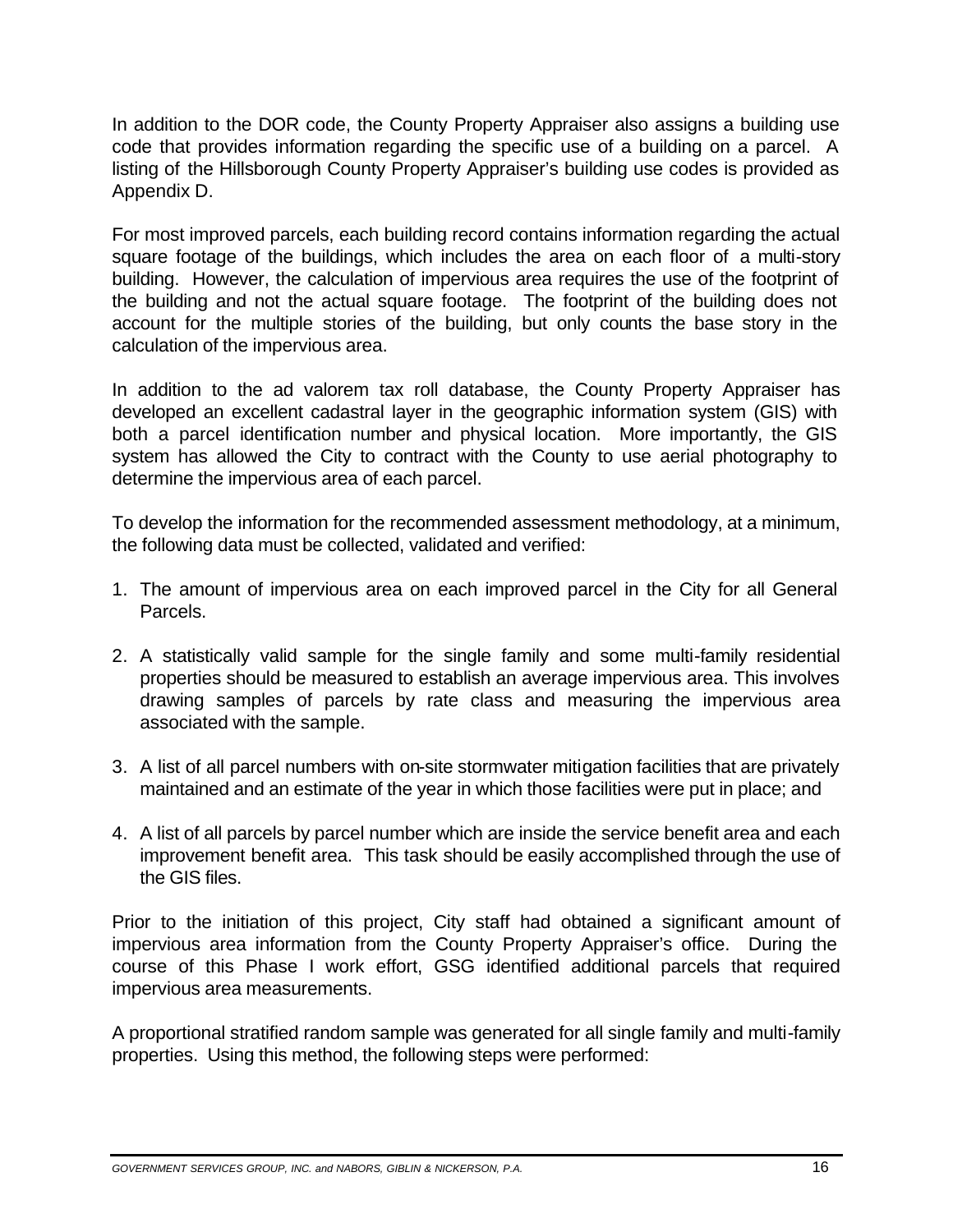In addition to the DOR code, the County Property Appraiser also assigns a building use code that provides information regarding the specific use of a building on a parcel. A listing of the Hillsborough County Property Appraiser's building use codes is provided as Appendix D.

For most improved parcels, each building record contains information regarding the actual square footage of the buildings, which includes the area on each floor of a multi-story building. However, the calculation of impervious area requires the use of the footprint of the building and not the actual square footage. The footprint of the building does not account for the multiple stories of the building, but only counts the base story in the calculation of the impervious area.

In addition to the ad valorem tax roll database, the County Property Appraiser has developed an excellent cadastral layer in the geographic information system (GIS) with both a parcel identification number and physical location. More importantly, the GIS system has allowed the City to contract with the County to use aerial photography to determine the impervious area of each parcel.

To develop the information for the recommended assessment methodology, at a minimum, the following data must be collected, validated and verified:

- 1. The amount of impervious area on each improved parcel in the City for all General Parcels.
- 2. A statistically valid sample for the single family and some multi-family residential properties should be measured to establish an average impervious area. This involves drawing samples of parcels by rate class and measuring the impervious area associated with the sample.
- 3. A list of all parcel numbers with on-site stormwater mitigation facilities that are privately maintained and an estimate of the year in which those facilities were put in place; and
- 4. A list of all parcels by parcel number which are inside the service benefit area and each improvement benefit area. This task should be easily accomplished through the use of the GIS files.

Prior to the initiation of this project, City staff had obtained a significant amount of impervious area information from the County Property Appraiser's office. During the course of this Phase I work effort, GSG identified additional parcels that required impervious area measurements.

A proportional stratified random sample was generated for all single family and multi-family properties. Using this method, the following steps were performed: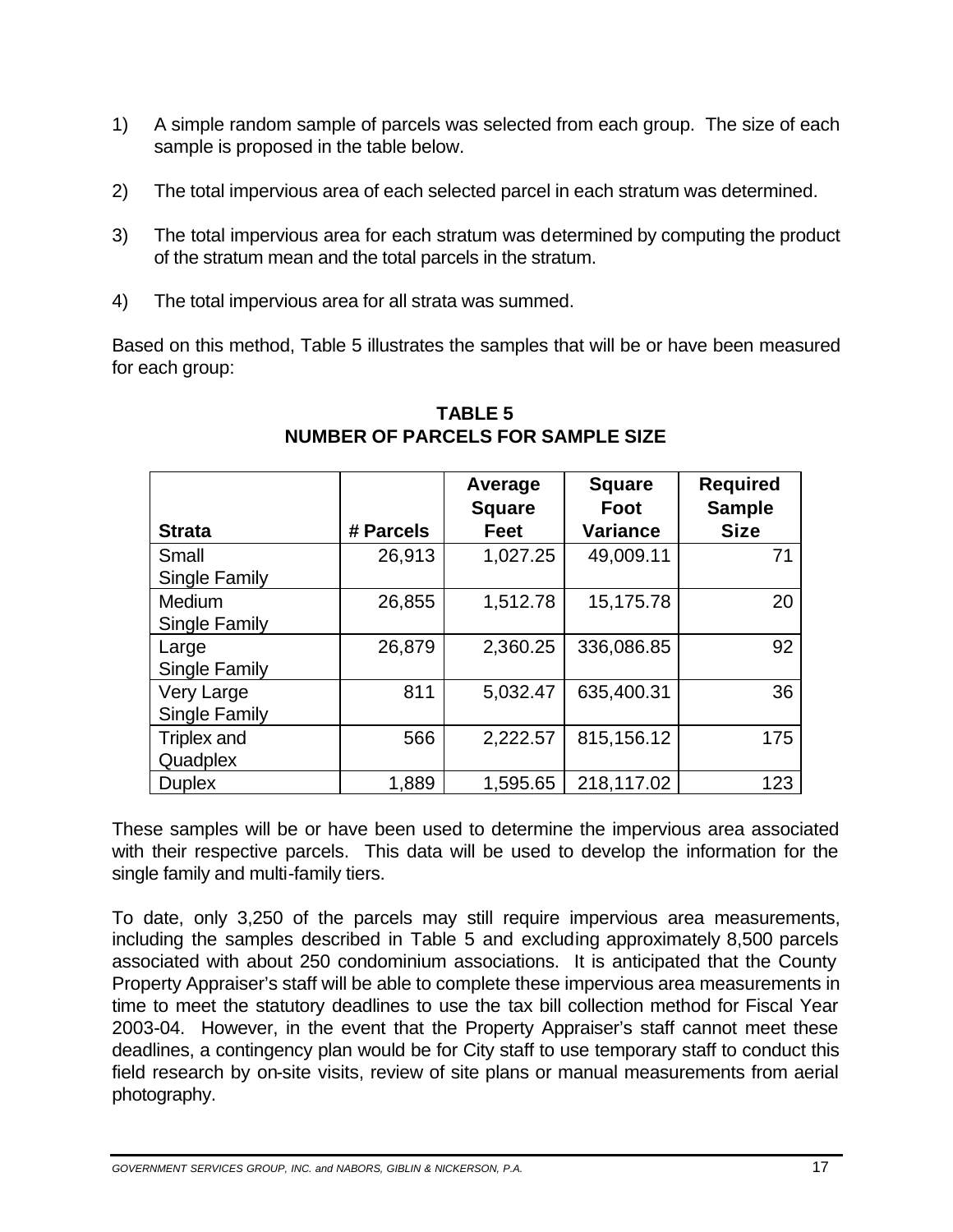- 1) A simple random sample of parcels was selected from each group. The size of each sample is proposed in the table below.
- 2) The total impervious area of each selected parcel in each stratum was determined.
- 3) The total impervious area for each stratum was determined by computing the product of the stratum mean and the total parcels in the stratum.
- 4) The total impervious area for all strata was summed.

Based on this method, Table 5 illustrates the samples that will be or have been measured for each group:

|                      |           | Average<br><b>Square</b> | <b>Square</b><br>Foot | <b>Required</b><br><b>Sample</b> |
|----------------------|-----------|--------------------------|-----------------------|----------------------------------|
| <b>Strata</b>        | # Parcels | <b>Feet</b>              | <b>Variance</b>       | <b>Size</b>                      |
| Small                | 26,913    | 1,027.25                 | 49,009.11             | 71                               |
| Single Family        |           |                          |                       |                                  |
| Medium               | 26,855    | 1,512.78                 | 15,175.78             | 20                               |
| <b>Single Family</b> |           |                          |                       |                                  |
| Large                | 26,879    | 2,360.25                 | 336,086.85            | 92                               |
| <b>Single Family</b> |           |                          |                       |                                  |
| Very Large           | 811       | 5,032.47                 | 635,400.31            | 36                               |
| Single Family        |           |                          |                       |                                  |
| Triplex and          | 566       | 2,222.57                 | 815,156.12            | 175                              |
| Quadplex             |           |                          |                       |                                  |
| <b>Duplex</b>        | 1,889     | 1,595.65                 | 218,117.02            | 123                              |

### **TABLE 5 NUMBER OF PARCELS FOR SAMPLE SIZE**

These samples will be or have been used to determine the impervious area associated with their respective parcels. This data will be used to develop the information for the single family and multi-family tiers.

To date, only 3,250 of the parcels may still require impervious area measurements, including the samples described in Table 5 and excluding approximately 8,500 parcels associated with about 250 condominium associations. It is anticipated that the County Property Appraiser's staff will be able to complete these impervious area measurements in time to meet the statutory deadlines to use the tax bill collection method for Fiscal Year 2003-04. However, in the event that the Property Appraiser's staff cannot meet these deadlines, a contingency plan would be for City staff to use temporary staff to conduct this field research by on-site visits, review of site plans or manual measurements from aerial photography.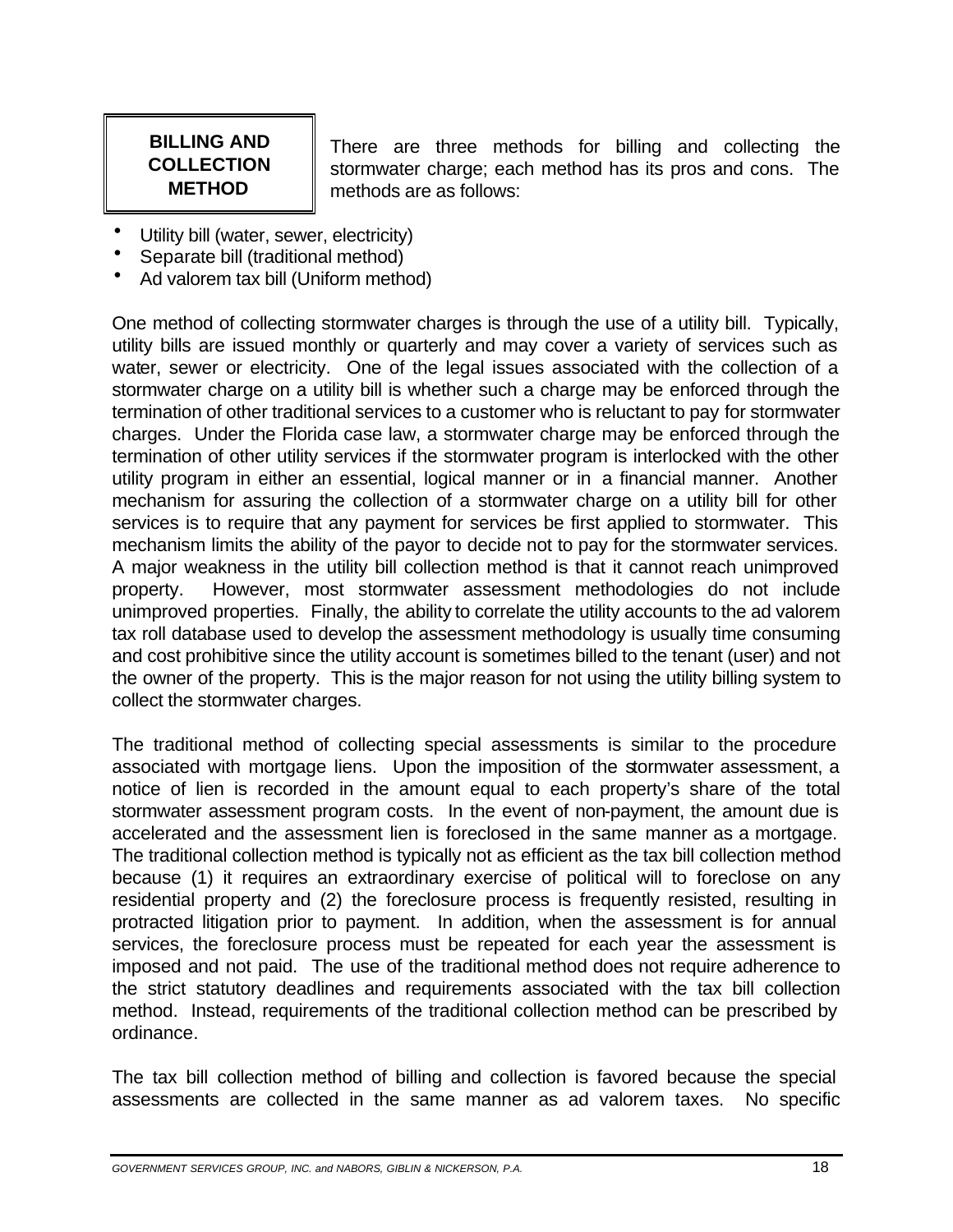### **BILLING AND COLLECTION METHOD**

There are three methods for billing and collecting the stormwater charge; each method has its pros and cons. The methods are as follows:

- Utility bill (water, sewer, electricity)
- Separate bill (traditional method)
- Ad valorem tax bill (Uniform method)

One method of collecting stormwater charges is through the use of a utility bill. Typically, utility bills are issued monthly or quarterly and may cover a variety of services such as water, sewer or electricity. One of the legal issues associated with the collection of a stormwater charge on a utility bill is whether such a charge may be enforced through the termination of other traditional services to a customer who is reluctant to pay for stormwater charges. Under the Florida case law, a stormwater charge may be enforced through the termination of other utility services if the stormwater program is interlocked with the other utility program in either an essential, logical manner or in a financial manner. Another mechanism for assuring the collection of a stormwater charge on a utility bill for other services is to require that any payment for services be first applied to stormwater. This mechanism limits the ability of the payor to decide not to pay for the stormwater services. A major weakness in the utility bill collection method is that it cannot reach unimproved property. However, most stormwater assessment methodologies do not include unimproved properties. Finally, the ability to correlate the utility accounts to the ad valorem tax roll database used to develop the assessment methodology is usually time consuming and cost prohibitive since the utility account is sometimes billed to the tenant (user) and not the owner of the property. This is the major reason for not using the utility billing system to collect the stormwater charges.

The traditional method of collecting special assessments is similar to the procedure associated with mortgage liens. Upon the imposition of the stormwater assessment, a notice of lien is recorded in the amount equal to each property's share of the total stormwater assessment program costs. In the event of non-payment, the amount due is accelerated and the assessment lien is foreclosed in the same manner as a mortgage. The traditional collection method is typically not as efficient as the tax bill collection method because (1) it requires an extraordinary exercise of political will to foreclose on any residential property and (2) the foreclosure process is frequently resisted, resulting in protracted litigation prior to payment. In addition, when the assessment is for annual services, the foreclosure process must be repeated for each year the assessment is imposed and not paid. The use of the traditional method does not require adherence to the strict statutory deadlines and requirements associated with the tax bill collection method. Instead, requirements of the traditional collection method can be prescribed by ordinance.

The tax bill collection method of billing and collection is favored because the special assessments are collected in the same manner as ad valorem taxes. No specific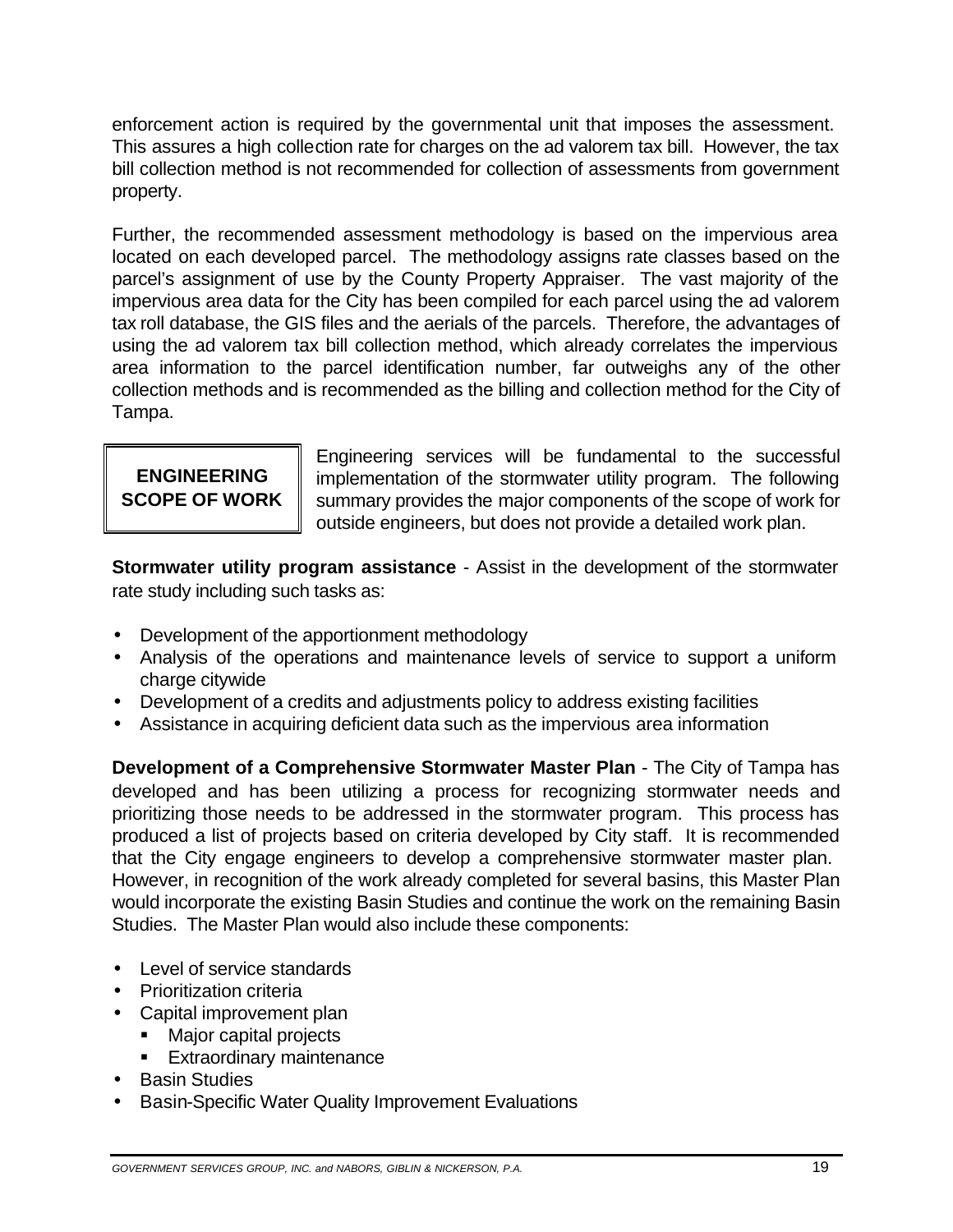enforcement action is required by the governmental unit that imposes the assessment. This assures a high collection rate for charges on the ad valorem tax bill. However, the tax bill collection method is not recommended for collection of assessments from government property.

 area information to the parcel identification number, far outweighs any of the other Further, the recommended assessment methodology is based on the impervious area located on each developed parcel. The methodology assigns rate classes based on the parcel's assignment of use by the County Property Appraiser. The vast majority of the impervious area data for the City has been compiled for each parcel using the ad valorem tax roll database, the GIS files and the aerials of the parcels. Therefore, the advantages of using the ad valorem tax bill collection method, which already correlates the impervious collection methods and is recommended as the billing and collection method for the City of Tampa.

Engineering services will be fundamental to the successful **ENGINEERING** | implementation of the stormwater utility program. The following **SCOPE OF WORK** summary provides the major components of the scope of work for outside engineers, but does not provide a detailed work plan.

**Stormwater utility program assistance** - Assist in the development of the stormwater rate study including such tasks as:

- · Development of the apportionment methodology
- · Analysis of the operations and maintenance levels of service to support a uniform charge citywide
- · Development of a credits and adjustments policy to address existing facilities
- · Assistance in acquiring deficient data such as the impervious area information

 **Development of a Comprehensive Stormwater Master Plan** - The City of Tampa has developed and has been utilizing a process for recognizing stormwater needs and prioritizing those needs to be addressed in the stormwater program. This process has produced a list of projects based on criteria developed by City staff. It is recommended that the City engage engineers to develop a comprehensive stormwater master plan. However, in recognition of the work already completed for several basins, this Master Plan would incorporate the existing Basin Studies and continue the work on the remaining Basin Studies. The Master Plan would also include these components:

- · Level of service standards
- · Prioritization criteria
- · Capital improvement plan
	- Major capital projects
	- Extraordinary maintenance
- · Basin Studies
- · Basin-Specific Water Quality Improvement Evaluations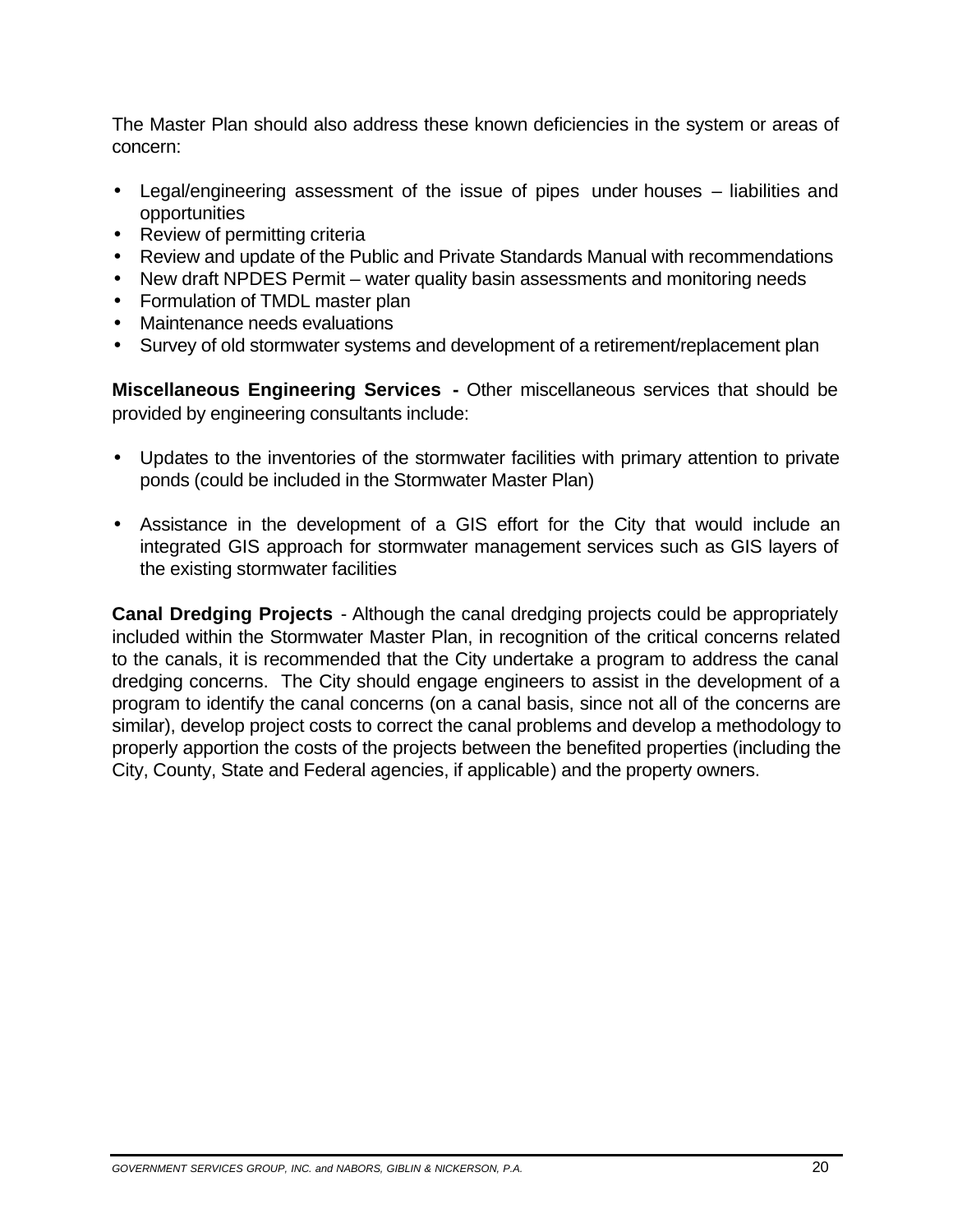The Master Plan should also address these known deficiencies in the system or areas of concern:

- · Legal/engineering assessment of the issue of pipes under houses liabilities and opportunities
- Review of permitting criteria
- · Review and update of the Public and Private Standards Manual with recommendations
- · New draft NPDES Permit water quality basin assessments and monitoring needs
- · Formulation of TMDL master plan
- · Maintenance needs evaluations
- · Survey of old stormwater systems and development of a retirement/replacement plan

**Miscellaneous Engineering Services -** Other miscellaneous services that should be provided by engineering consultants include:

- · Updates to the inventories of the stormwater facilities with primary attention to private ponds (could be included in the Stormwater Master Plan)
- · Assistance in the development of a GIS effort for the City that would include an integrated GIS approach for stormwater management services such as GIS layers of the existing stormwater facilities

**Canal Dredging Projects** - Although the canal dredging projects could be appropriately included within the Stormwater Master Plan, in recognition of the critical concerns related to the canals, it is recommended that the City undertake a program to address the canal dredging concerns. The City should engage engineers to assist in the development of a program to identify the canal concerns (on a canal basis, since not all of the concerns are similar), develop project costs to correct the canal problems and develop a methodology to properly apportion the costs of the projects between the benefited properties (including the City, County, State and Federal agencies, if applicable) and the property owners.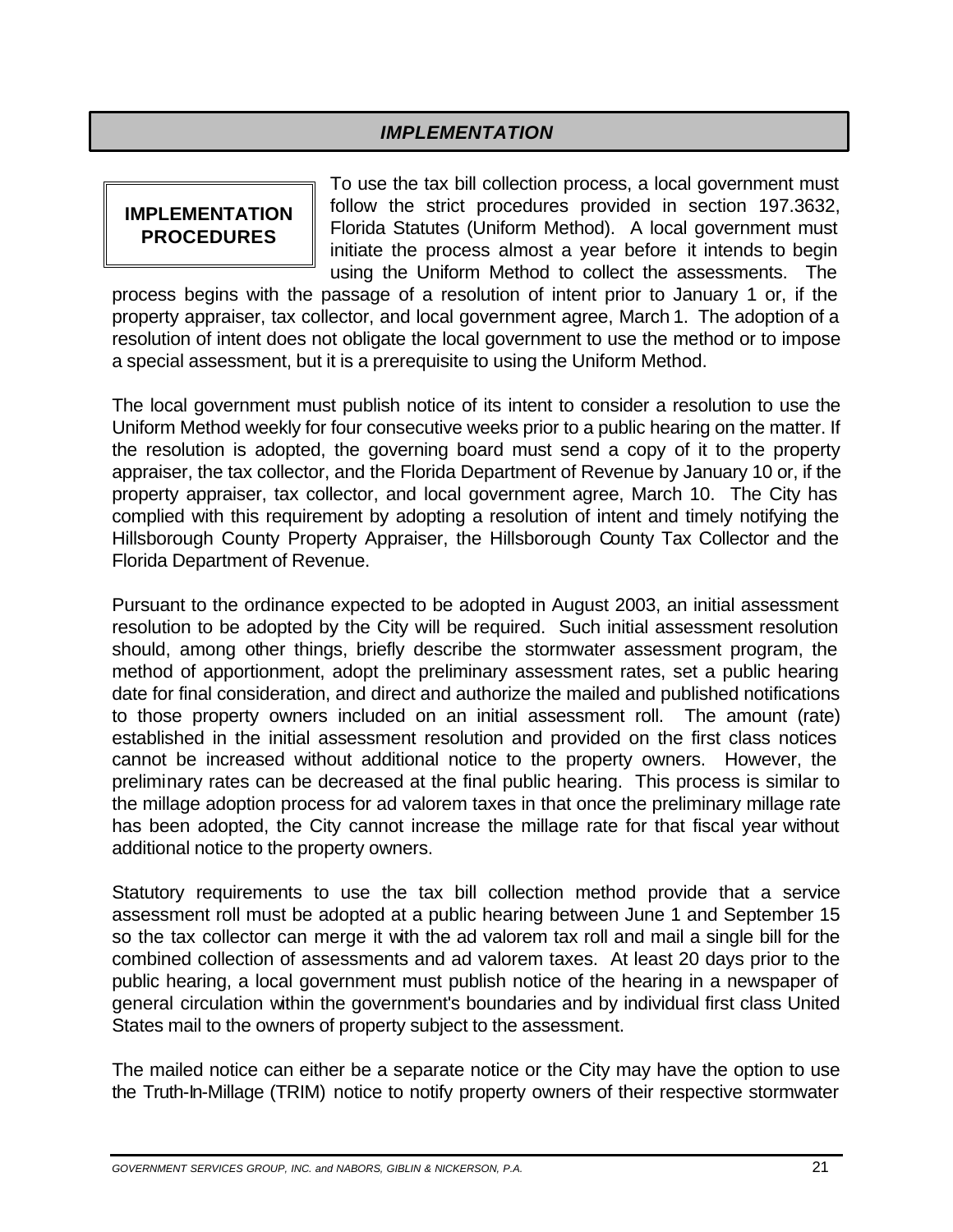### *IMPLEMENTATION*

To use the tax bill collection process, a local government must **IMPLEMENTATION inducedures provided in section 197.3632,**<br>**IMPLEMENTATION Florida Statutes (Uniform Method).** A local government must initiate the process almost a year before it intends to begin using the Uniform Method to collect the assessments. The

process begins with the passage of a resolution of intent prior to January 1 or, if the property appraiser, tax collector, and local government agree, March 1. The adoption of a resolution of intent does not obligate the local government to use the method or to impose a special assessment, but it is a prerequisite to using the Uniform Method.

The local government must publish notice of its intent to consider a resolution to use the Uniform Method weekly for four consecutive weeks prior to a public hearing on the matter. If the resolution is adopted, the governing board must send a copy of it to the property appraiser, the tax collector, and the Florida Department of Revenue by January 10 or, if the property appraiser, tax collector, and local government agree, March 10. The City has complied with this requirement by adopting a resolution of intent and timely notifying the Hillsborough County Property Appraiser, the Hillsborough County Tax Collector and the Florida Department of Revenue.

Pursuant to the ordinance expected to be adopted in August 2003, an initial assessment resolution to be adopted by the City will be required. Such initial assessment resolution should, among other things, briefly describe the stormwater assessment program, the method of apportionment, adopt the preliminary assessment rates, set a public hearing date for final consideration, and direct and authorize the mailed and published notifications to those property owners included on an initial assessment roll. The amount (rate) established in the initial assessment resolution and provided on the first class notices cannot be increased without additional notice to the property owners. However, the preliminary rates can be decreased at the final public hearing. This process is similar to the millage adoption process for ad valorem taxes in that once the preliminary millage rate has been adopted, the City cannot increase the millage rate for that fiscal year without additional notice to the property owners.

Statutory requirements to use the tax bill collection method provide that a service assessment roll must be adopted at a public hearing between June 1 and September 15 so the tax collector can merge it with the ad valorem tax roll and mail a single bill for the combined collection of assessments and ad valorem taxes. At least 20 days prior to the public hearing, a local government must publish notice of the hearing in a newspaper of general circulation within the government's boundaries and by individual first class United States mail to the owners of property subject to the assessment.

The mailed notice can either be a separate notice or the City may have the option to use the Truth-In-Millage (TRIM) notice to notify property owners of their respective stormwater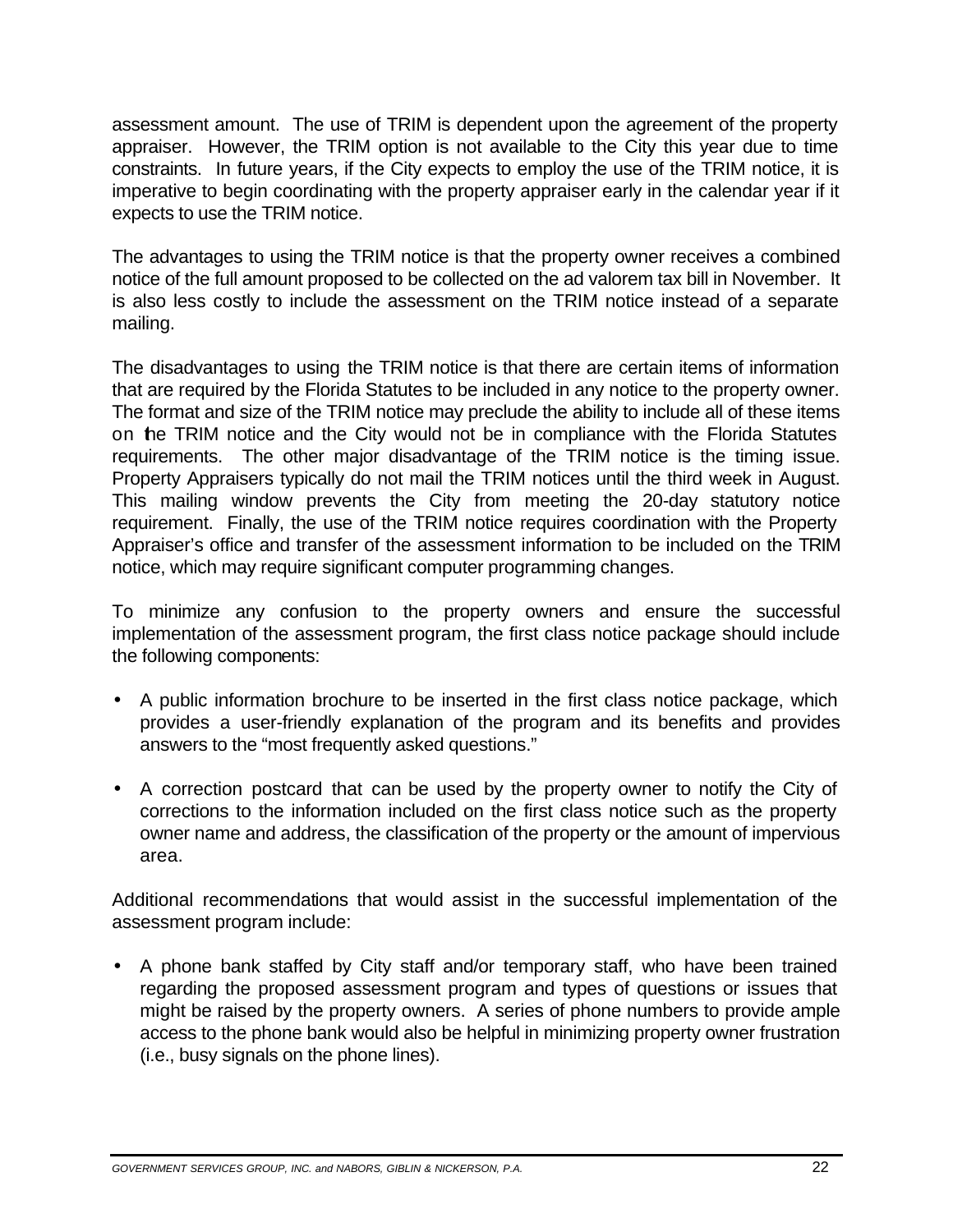assessment amount. The use of TRIM is dependent upon the agreement of the property appraiser. However, the TRIM option is not available to the City this year due to time constraints. In future years, if the City expects to employ the use of the TRIM notice, it is imperative to begin coordinating with the property appraiser early in the calendar year if it expects to use the TRIM notice.

The advantages to using the TRIM notice is that the property owner receives a combined notice of the full amount proposed to be collected on the ad valorem tax bill in November. It is also less costly to include the assessment on the TRIM notice instead of a separate mailing.

requirements. The other major disadvantage of the TRIM notice is the timing issue. Property Appraisers typically do not mail the TRIM notices until the third week in August. The disadvantages to using the TRIM notice is that there are certain items of information that are required by the Florida Statutes to be included in any notice to the property owner. The format and size of the TRIM notice may preclude the ability to include all of these items on the TRIM notice and the City would not be in compliance with the Florida Statutes This mailing window prevents the City from meeting the 20-day statutory notice requirement. Finally, the use of the TRIM notice requires coordination with the Property Appraiser's office and transfer of the assessment information to be included on the TRIM notice, which may require significant computer programming changes.

To minimize any confusion to the property owners and ensure the successful implementation of the assessment program, the first class notice package should include the following components:

- A public information brochure to be inserted in the first class notice package, which provides a user-friendly explanation of the program and its benefits and provides answers to the "most frequently asked questions."
- · A correction postcard that can be used by the property owner to notify the City of corrections to the information included on the first class notice such as the property owner name and address, the classification of the property or the amount of impervious area.

Additional recommendations that would assist in the successful implementation of the assessment program include:

· A phone bank staffed by City staff and/or temporary staff, who have been trained regarding the proposed assessment program and types of questions or issues that might be raised by the property owners. A series of phone numbers to provide ample access to the phone bank would also be helpful in minimizing property owner frustration (i.e., busy signals on the phone lines).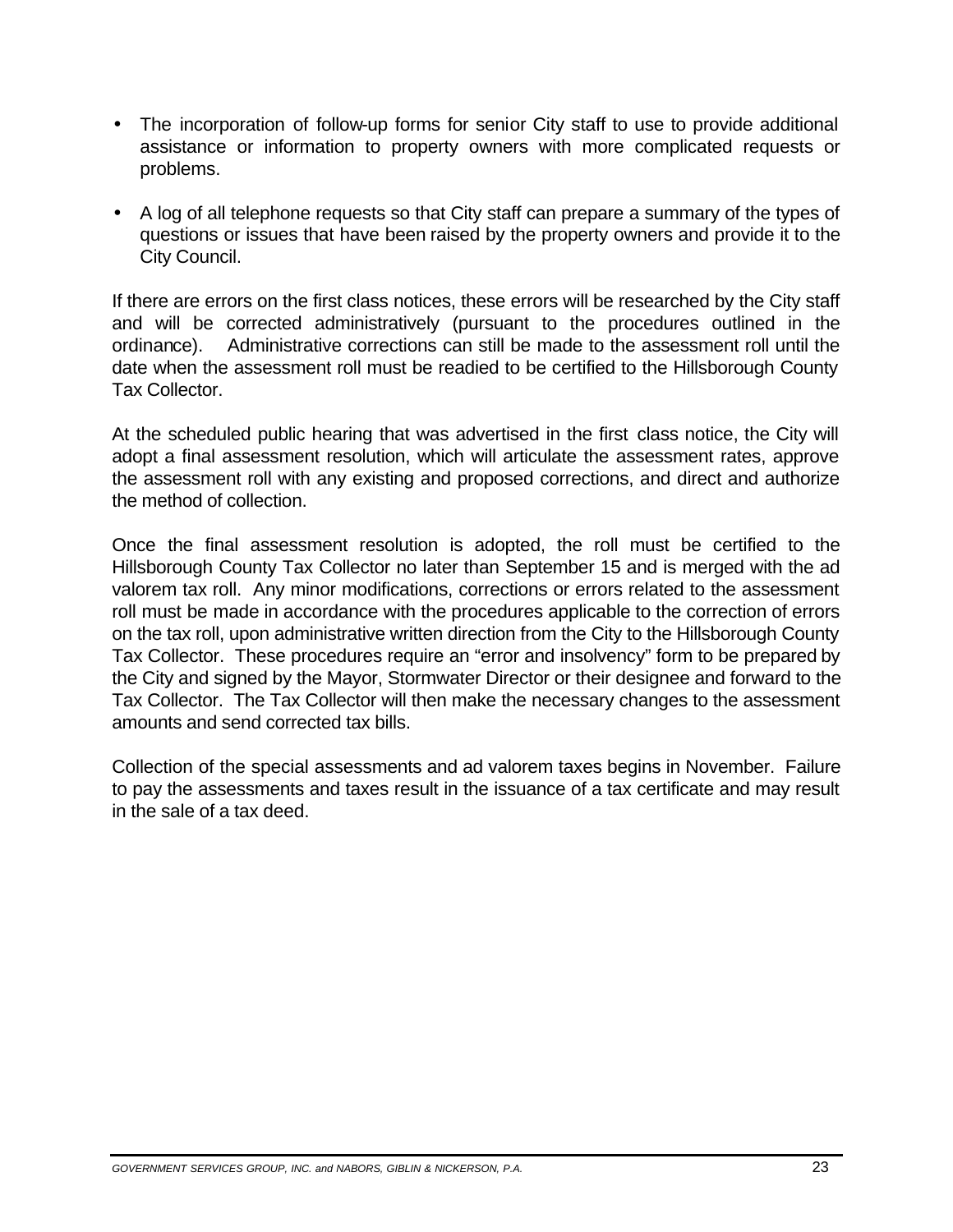- · The incorporation of follow-up forms for senior City staff to use to provide additional assistance or information to property owners with more complicated requests or problems.
- · A log of all telephone requests so that City staff can prepare a summary of the types of questions or issues that have been raised by the property owners and provide it to the City Council.

 ordinance). Administrative corrections can still be made to the assessment roll until the If there are errors on the first class notices, these errors will be researched by the City staff and will be corrected administratively (pursuant to the procedures outlined in the date when the assessment roll must be readied to be certified to the Hillsborough County Tax Collector.

At the scheduled public hearing that was advertised in the first class notice, the City will adopt a final assessment resolution, which will articulate the assessment rates, approve the assessment roll with any existing and proposed corrections, and direct and authorize the method of collection.

Once the final assessment resolution is adopted, the roll must be certified to the Hillsborough County Tax Collector no later than September 15 and is merged with the ad valorem tax roll. Any minor modifications, corrections or errors related to the assessment roll must be made in accordance with the procedures applicable to the correction of errors on the tax roll, upon administrative written direction from the City to the Hillsborough County Tax Collector. These procedures require an "error and insolvency" form to be prepared by the City and signed by the Mayor, Stormwater Director or their designee and forward to the Tax Collector. The Tax Collector will then make the necessary changes to the assessment amounts and send corrected tax bills.

Collection of the special assessments and ad valorem taxes begins in November. Failure to pay the assessments and taxes result in the issuance of a tax certificate and may result in the sale of a tax deed.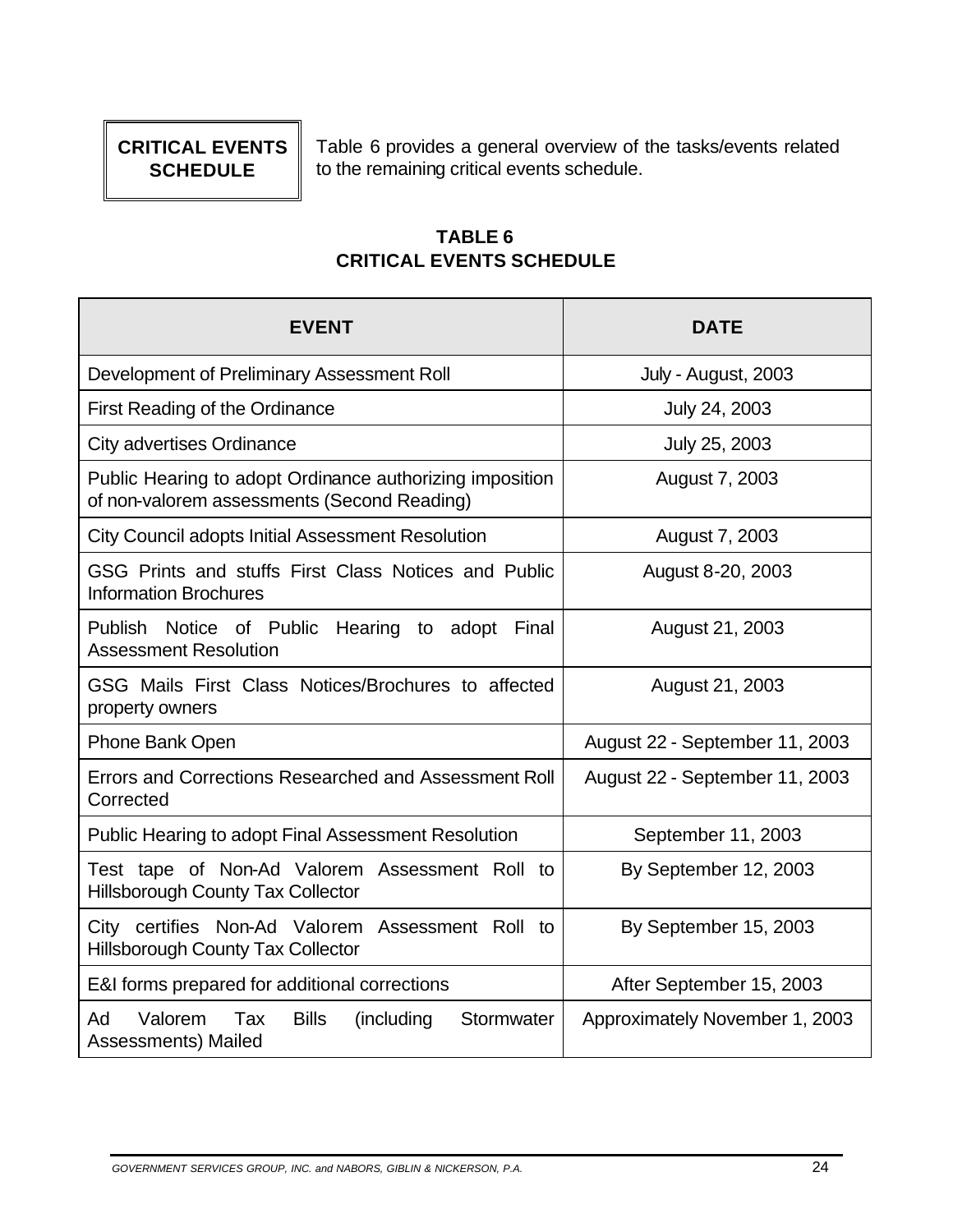# **CRITICAL EVENTS SCHEDULE**

Table 6 provides a general overview of the tasks/events related to the remaining critical events schedule.

### **TABLE 6 CRITICAL EVENTS SCHEDULE**

| <b>EVENT</b>                                                                                            | <b>DATE</b>                    |
|---------------------------------------------------------------------------------------------------------|--------------------------------|
| Development of Preliminary Assessment Roll                                                              | July - August, 2003            |
| First Reading of the Ordinance                                                                          | July 24, 2003                  |
| <b>City advertises Ordinance</b>                                                                        | July 25, 2003                  |
| Public Hearing to adopt Ordinance authorizing imposition<br>of non-valorem assessments (Second Reading) | August 7, 2003                 |
| <b>City Council adopts Initial Assessment Resolution</b>                                                | August 7, 2003                 |
| GSG Prints and stuffs First Class Notices and Public<br><b>Information Brochures</b>                    | August 8-20, 2003              |
| Publish Notice of Public Hearing to adopt<br>Final<br><b>Assessment Resolution</b>                      | August 21, 2003                |
| GSG Mails First Class Notices/Brochures to affected<br>property owners                                  | August 21, 2003                |
| Phone Bank Open                                                                                         | August 22 - September 11, 2003 |
| Errors and Corrections Researched and Assessment Roll<br>Corrected                                      | August 22 - September 11, 2003 |
| Public Hearing to adopt Final Assessment Resolution                                                     | September 11, 2003             |
| Test tape of Non-Ad Valorem<br>Assessment Roll to<br><b>Hillsborough County Tax Collector</b>           | By September 12, 2003          |
| City certifies Non-Ad Valorem<br>Assessment Roll to<br><b>Hillsborough County Tax Collector</b>         | By September 15, 2003          |
| E&I forms prepared for additional corrections                                                           | After September 15, 2003       |
| Valorem<br>Tax<br><b>Bills</b><br>Ad<br>(including<br>Stormwater<br>Assessments) Mailed                 | Approximately November 1, 2003 |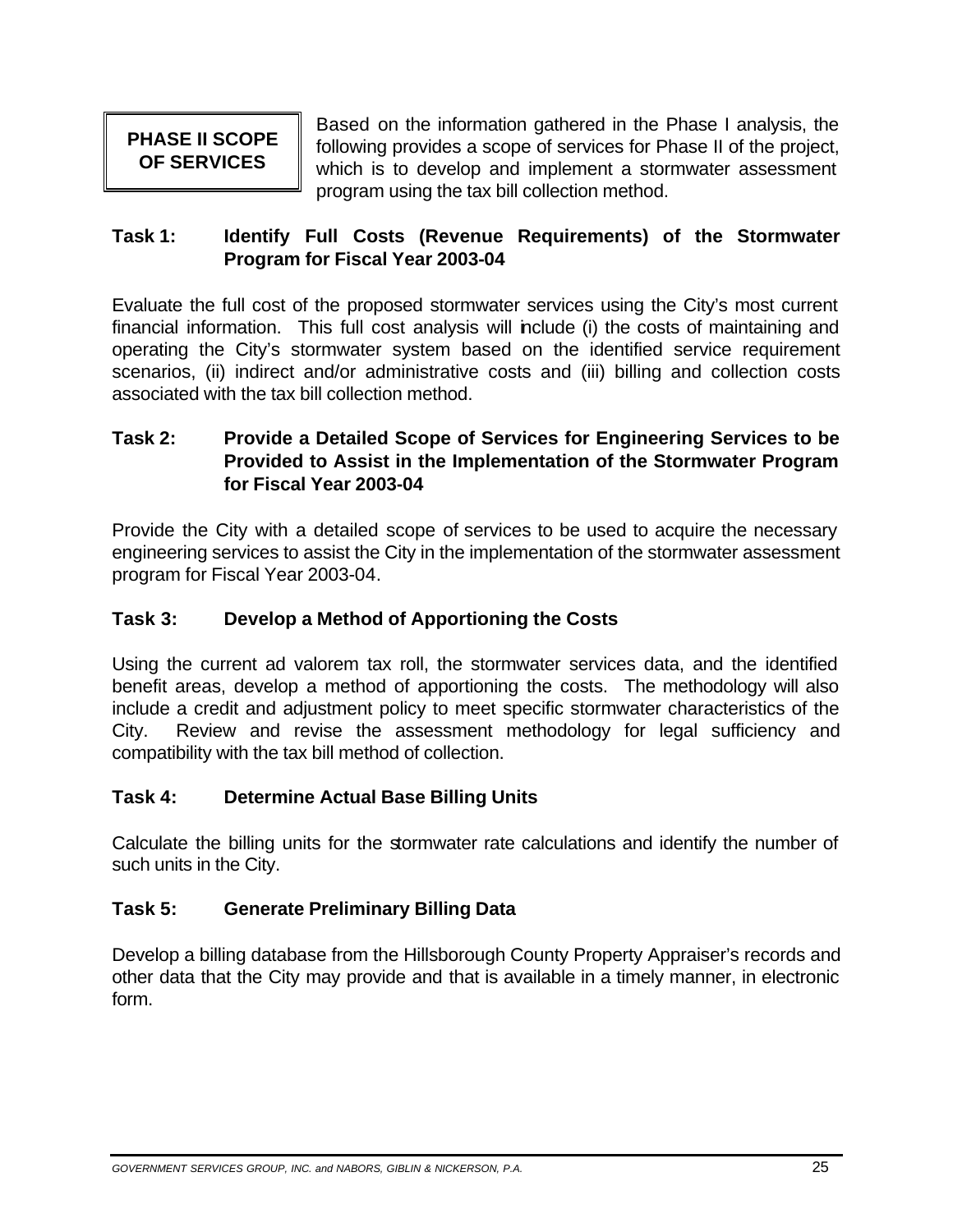**PHASE II SCOPE** Based on the information gathered in the Phase I analysis, the following provides a scope of services for Phase II of the project, **OF SERVICES** which is to develop and implement a stormwater assessment program using the tax bill collection method.

### **Task 1: Identify Full Costs (Revenue Requirements) of the Stormwater Program for Fiscal Year 2003-04**

Evaluate the full cost of the proposed stormwater services using the City's most current financial information. This full cost analysis will include (i) the costs of maintaining and operating the City's stormwater system based on the identified service requirement scenarios, (ii) indirect and/or administrative costs and (iii) billing and collection costs associated with the tax bill collection method.

#### **Task 2: Provide a Detailed Scope of Services for Engineering Services to be Provided to Assist in the Implementation of the Stormwater Program for Fiscal Year 2003-04**

Provide the City with a detailed scope of services to be used to acquire the necessary engineering services to assist the City in the implementation of the stormwater assessment program for Fiscal Year 2003-04.

### **Task 3: Develop a Method of Apportioning the Costs**

Using the current ad valorem tax roll, the stormwater services data, and the identified benefit areas, develop a method of apportioning the costs. The methodology will also include a credit and adjustment policy to meet specific stormwater characteristics of the City. Review and revise the assessment methodology for legal sufficiency and compatibility with the tax bill method of collection.

#### **Task 4: Determine Actual Base Billing Units**

Calculate the billing units for the stormwater rate calculations and identify the number of such units in the City.

#### **Task 5: Generate Preliminary Billing Data**

Develop a billing database from the Hillsborough County Property Appraiser's records and other data that the City may provide and that is available in a timely manner, in electronic form.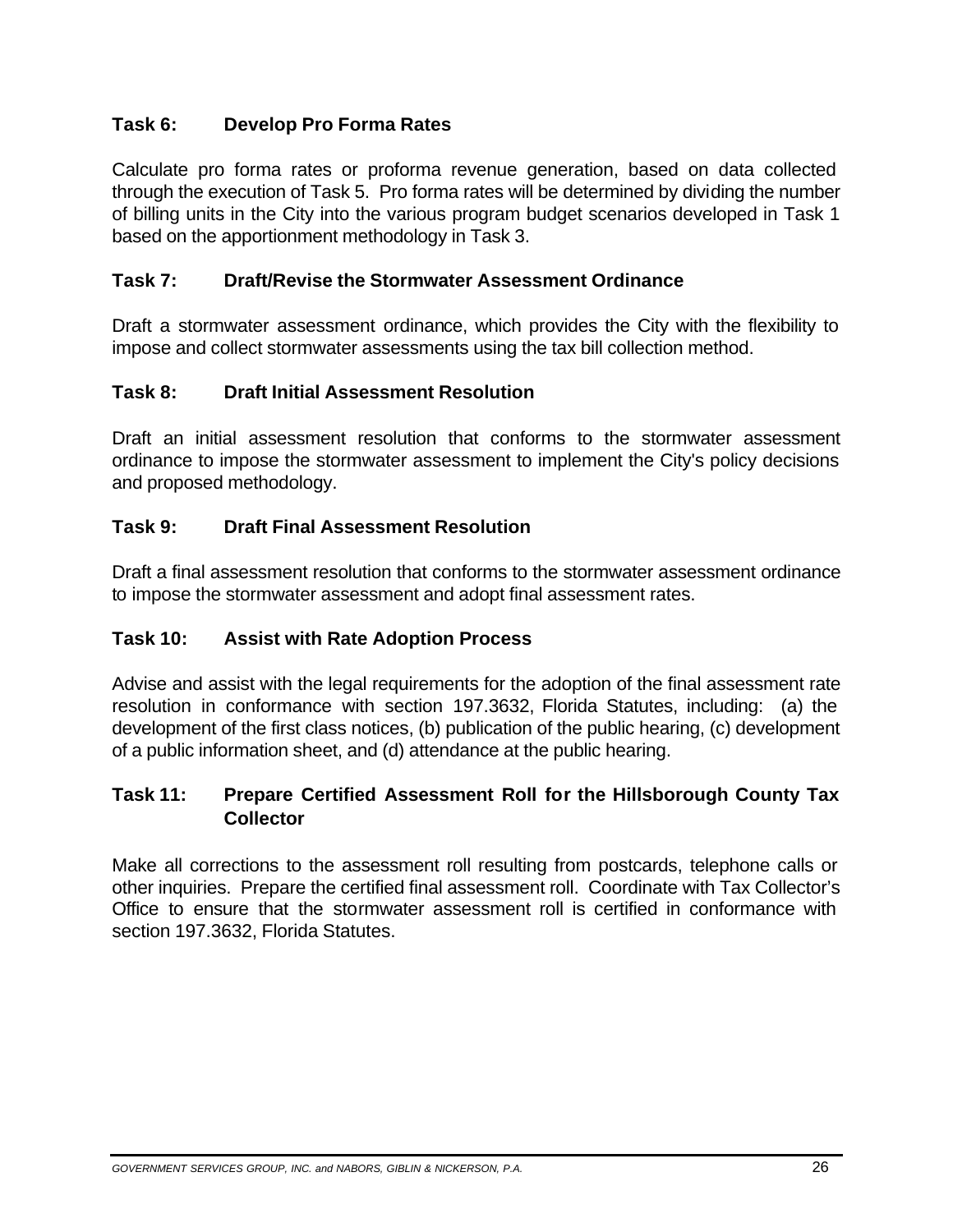### **Task 6: Develop Pro Forma Rates**

Calculate pro forma rates or proforma revenue generation, based on data collected through the execution of Task 5. Pro forma rates will be determined by dividing the number of billing units in the City into the various program budget scenarios developed in Task 1 based on the apportionment methodology in Task 3.

### **Task 7: Draft/Revise the Stormwater Assessment Ordinance**

Draft a stormwater assessment ordinance, which provides the City with the flexibility to impose and collect stormwater assessments using the tax bill collection method.

#### **Task 8: Draft Initial Assessment Resolution**

Draft an initial assessment resolution that conforms to the stormwater assessment ordinance to impose the stormwater assessment to implement the City's policy decisions and proposed methodology.

### **Task 9: Draft Final Assessment Resolution**

Draft a final assessment resolution that conforms to the stormwater assessment ordinance to impose the stormwater assessment and adopt final assessment rates.

#### **Task 10: Assist with Rate Adoption Process**

Advise and assist with the legal requirements for the adoption of the final assessment rate resolution in conformance with section 197.3632, Florida Statutes, including: (a) the development of the first class notices, (b) publication of the public hearing, (c) development of a public information sheet, and (d) attendance at the public hearing.

#### **Task 11: Prepare Certified Assessment Roll for the Hillsborough County Tax Collector**

Make all corrections to the assessment roll resulting from postcards, telephone calls or other inquiries. Prepare the certified final assessment roll. Coordinate with Tax Collector's Office to ensure that the stormwater assessment roll is certified in conformance with section 197.3632, Florida Statutes.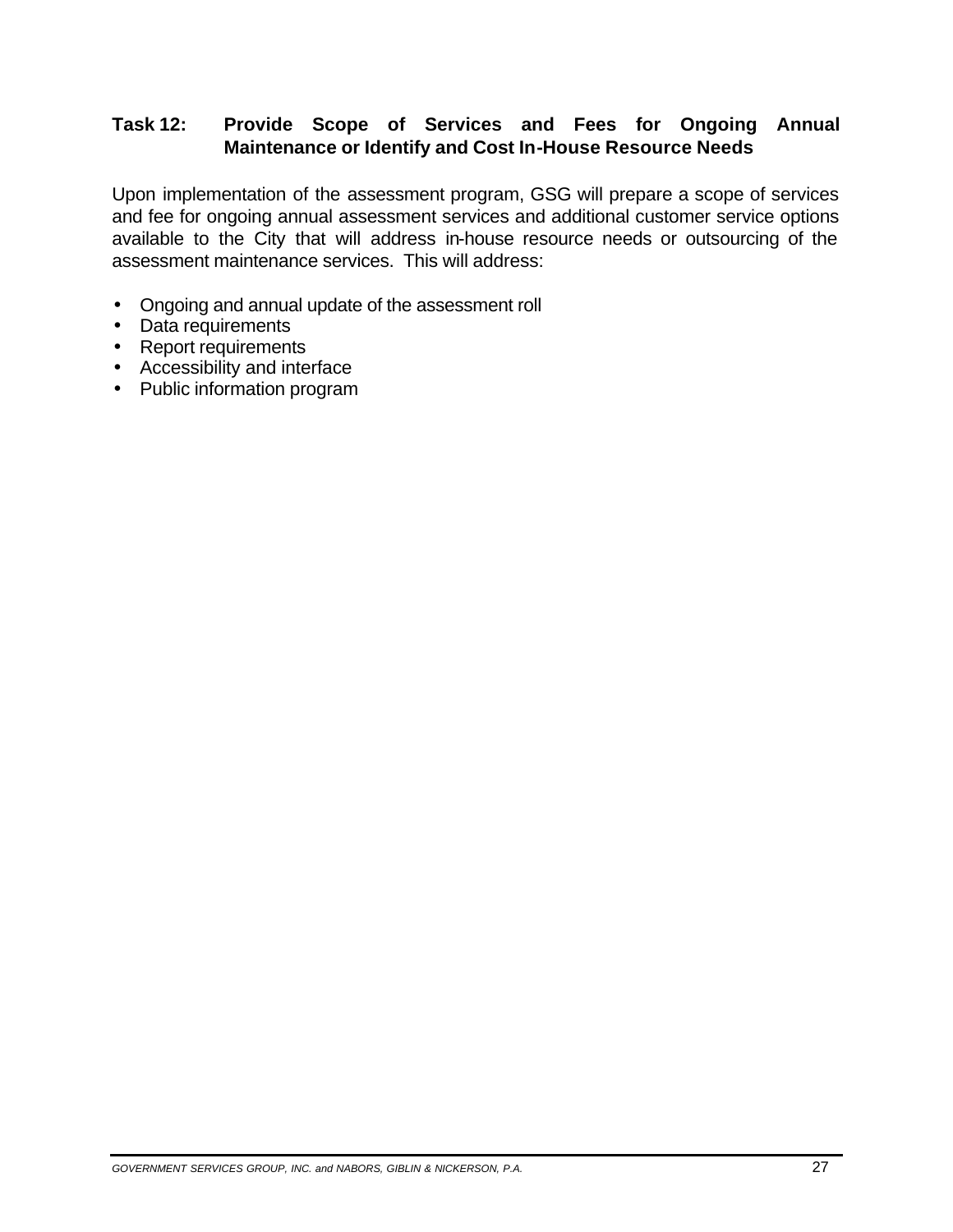### **Task 12: Provide Scope of Services and Fees for Ongoing Annual Maintenance or Identify and Cost In-House Resource Needs**

Upon implementation of the assessment program, GSG will prepare a scope of services and fee for ongoing annual assessment services and additional customer service options available to the City that will address in-house resource needs or outsourcing of the assessment maintenance services. This will address:

- · Ongoing and annual update of the assessment roll
- · Data requirements
- Report requirements
- · Accessibility and interface
- · Public information program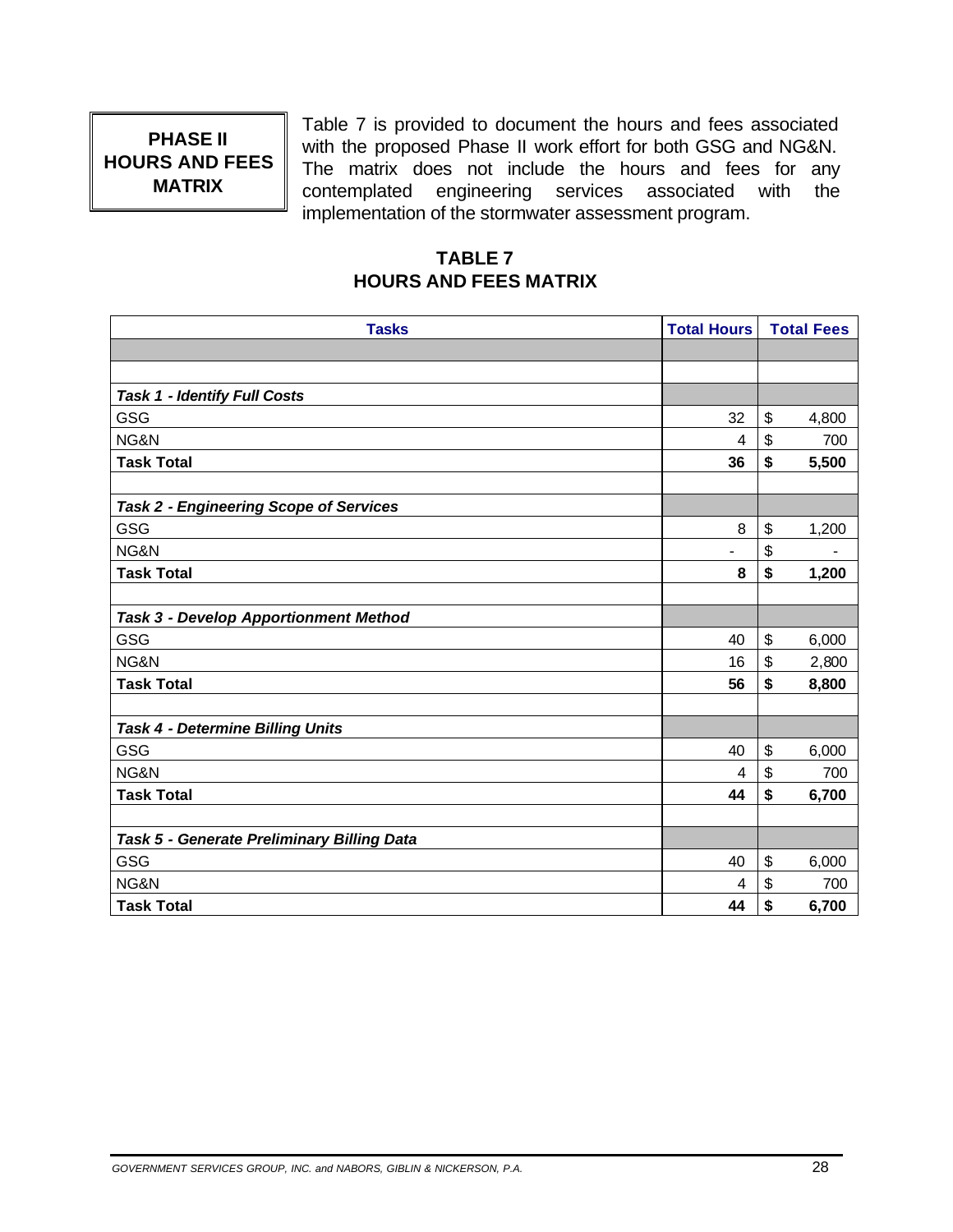# **PHASE II HOURS AND FEES MATRIX**

Table 7 is provided to document the hours and fees associated with the proposed Phase II work effort for both GSG and NG&N. The matrix does not include the hours and fees for any contemplated engineering services associated with the implementation of the stormwater assessment program.

### **TABLE 7 HOURS AND FEES MATRIX**

| <b>Tasks</b>                                  | <b>Total Hours</b> | <b>Total Fees</b>     |       |
|-----------------------------------------------|--------------------|-----------------------|-------|
|                                               |                    |                       |       |
|                                               |                    |                       |       |
| <b>Task 1 - Identify Full Costs</b>           |                    |                       |       |
| GSG                                           | 32                 | \$                    | 4,800 |
| NG&N                                          | 4                  | \$                    | 700   |
| <b>Task Total</b>                             | 36                 | \$                    | 5,500 |
|                                               |                    |                       |       |
| <b>Task 2 - Engineering Scope of Services</b> |                    |                       |       |
| GSG                                           | 8                  | \$                    | 1,200 |
| NG&N                                          |                    | \$                    |       |
| <b>Task Total</b>                             | 8                  | \$                    | 1,200 |
|                                               |                    |                       |       |
| <b>Task 3 - Develop Apportionment Method</b>  |                    |                       |       |
| GSG                                           | 40                 | \$                    | 6,000 |
| NG&N                                          | 16                 | \$                    | 2,800 |
| <b>Task Total</b>                             | 56                 | \$                    | 8,800 |
|                                               |                    |                       |       |
| Task 4 - Determine Billing Units              |                    |                       |       |
| GSG                                           | 40                 | \$                    | 6,000 |
| NG&N                                          | 4                  | \$                    | 700   |
| <b>Task Total</b>                             | 44                 | \$                    | 6,700 |
|                                               |                    |                       |       |
| Task 5 - Generate Preliminary Billing Data    |                    |                       |       |
| GSG                                           | 40                 | $\boldsymbol{\theta}$ | 6,000 |
| NG&N                                          | 4                  | \$                    | 700   |
| <b>Task Total</b>                             | 44                 | \$                    | 6,700 |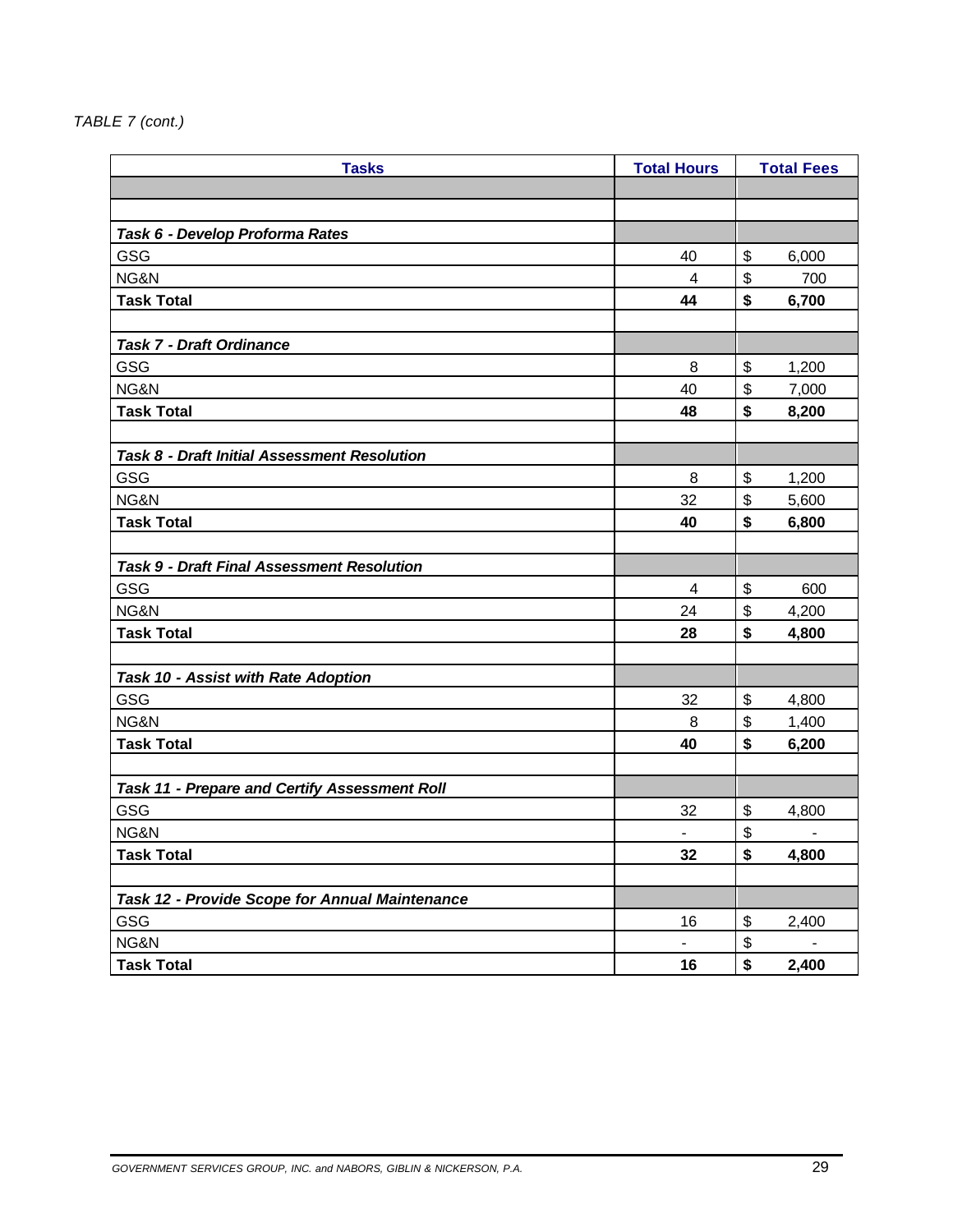#### *TABLE 7 (cont.)*

| <b>Tasks</b>                                         | <b>Total Hours</b> |    | <b>Total Fees</b> |
|------------------------------------------------------|--------------------|----|-------------------|
|                                                      |                    |    |                   |
|                                                      |                    |    |                   |
| Task 6 - Develop Proforma Rates                      |                    |    |                   |
| GSG                                                  | 40                 | \$ | 6,000             |
| NG&N                                                 | 4                  | \$ | 700               |
| <b>Task Total</b>                                    | 44                 | \$ | 6,700             |
|                                                      |                    |    |                   |
| <b>Task 7 - Draft Ordinance</b>                      |                    |    |                   |
| GSG                                                  | 8                  | \$ | 1,200             |
| NG&N                                                 | 40                 | \$ | 7,000             |
| <b>Task Total</b>                                    | 48                 | \$ | 8,200             |
|                                                      |                    |    |                   |
| Task 8 - Draft Initial Assessment Resolution         |                    |    |                   |
| GSG                                                  | 8                  | \$ | 1,200             |
| NG&N                                                 | 32                 | \$ | 5,600             |
| <b>Task Total</b>                                    | 40                 | \$ | 6,800             |
|                                                      |                    |    |                   |
| <b>Task 9 - Draft Final Assessment Resolution</b>    |                    |    |                   |
| GSG                                                  | 4                  | \$ | 600               |
| NG&N                                                 | 24                 | \$ | 4,200             |
| <b>Task Total</b>                                    | 28                 | \$ | 4,800             |
|                                                      |                    |    |                   |
| Task 10 - Assist with Rate Adoption                  |                    |    |                   |
| GSG                                                  | 32                 | \$ | 4,800             |
| NG&N                                                 | 8                  | \$ | 1,400             |
| <b>Task Total</b>                                    | 40                 | \$ | 6,200             |
|                                                      |                    |    |                   |
| <b>Task 11 - Prepare and Certify Assessment Roll</b> |                    |    |                   |
| GSG                                                  | 32                 | \$ | 4,800             |
| NG&N                                                 | $\blacksquare$     | \$ |                   |
| <b>Task Total</b>                                    | 32                 | \$ | 4,800             |
|                                                      |                    |    |                   |
| Task 12 - Provide Scope for Annual Maintenance       |                    |    |                   |
| GSG                                                  | 16                 | \$ | 2,400             |
| NG&N                                                 | $\blacksquare$     | \$ |                   |
| <b>Task Total</b>                                    | 16                 | \$ | 2,400             |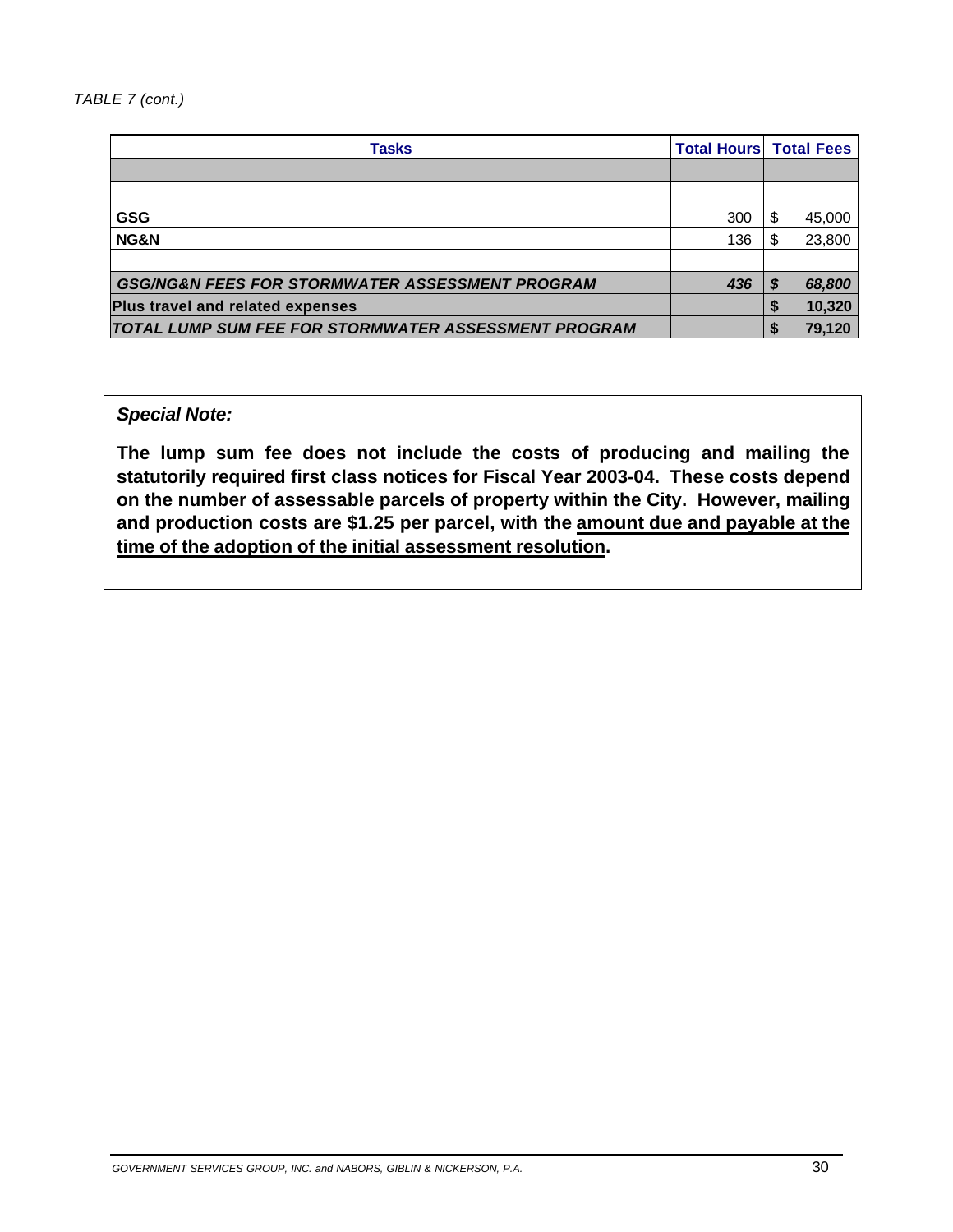| <b>Tasks</b>                                               | <b>Total Hours Total Fees</b> |    |        |
|------------------------------------------------------------|-------------------------------|----|--------|
|                                                            |                               |    |        |
|                                                            |                               |    |        |
| <b>GSG</b>                                                 | 300                           | \$ | 45,000 |
| NG&N                                                       | 136                           | \$ | 23,800 |
|                                                            |                               |    |        |
| <b>GSG/NG&amp;N FEES FOR STORMWATER ASSESSMENT PROGRAM</b> | 436                           | S  | 68,800 |
| <b>Plus travel and related expenses</b>                    |                               |    | 10,320 |
| TOTAL LUMP SUM FEE FOR STORMWATER ASSESSMENT PROGRAM       |                               |    | 79,120 |

#### *Special Note:*

**The lump sum fee does not include the costs of producing and mailing the statutorily required first class notices for Fiscal Year 2003-04. These costs depend on the number of assessable parcels of property within the City. However, mailing and production costs are \$1.25 per parcel, with the amount due and payable at the time of the adoption of the initial assessment resolution.**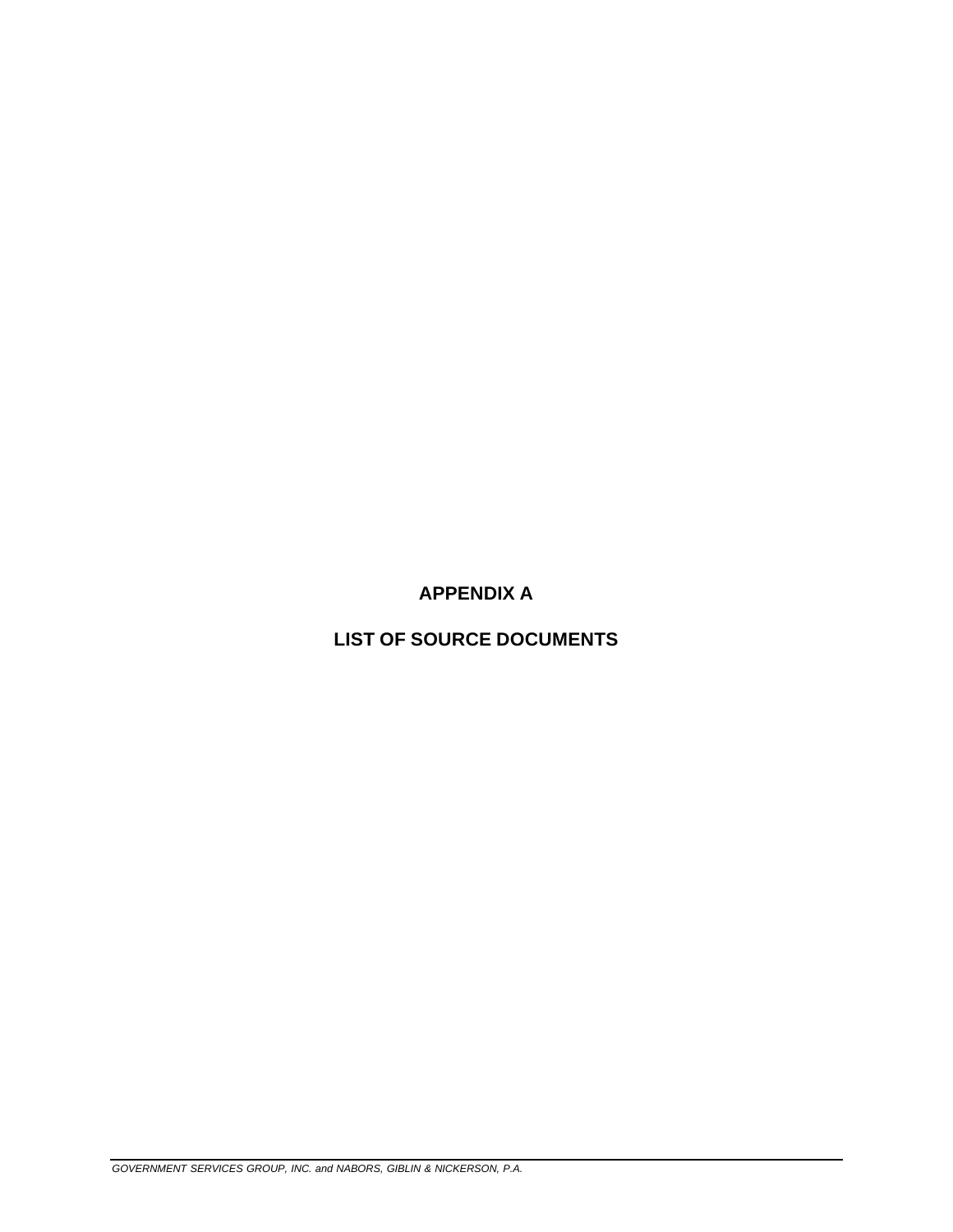**APPENDIX A** 

**LIST OF SOURCE DOCUMENTS**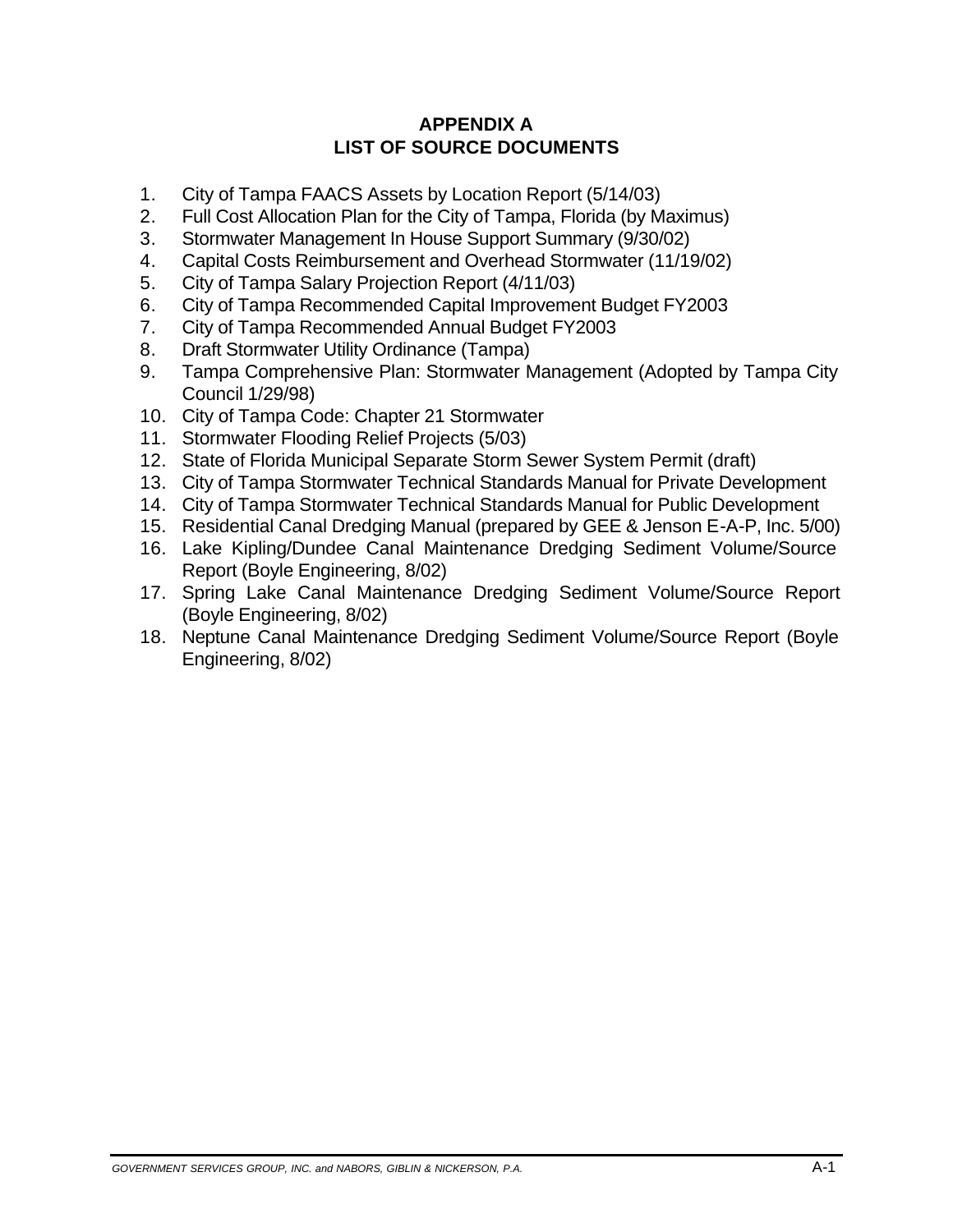### **APPENDIX A LIST OF SOURCE DOCUMENTS**

- 1. City of Tampa FAACS Assets by Location Report (5/14/03)
- 2. Full Cost Allocation Plan for the City of Tampa, Florida (by Maximus)
- 3. Stormwater Management In House Support Summary (9/30/02)
- 4. Capital Costs Reimbursement and Overhead Stormwater (11/19/02)
- 5. City of Tampa Salary Projection Report (4/11/03)
- 6. City of Tampa Recommended Capital Improvement Budget FY2003
- 7. City of Tampa Recommended Annual Budget FY2003
- 8. Draft Stormwater Utility Ordinance (Tampa)
- 9. Tampa Comprehensive Plan: Stormwater Management (Adopted by Tampa City Council 1/29/98)
- 10. City of Tampa Code: Chapter 21 Stormwater
- 11. Stormwater Flooding Relief Projects (5/03)
- 12. State of Florida Municipal Separate Storm Sewer System Permit (draft)
- 13. City of Tampa Stormwater Technical Standards Manual for Private Development
- 14. City of Tampa Stormwater Technical Standards Manual for Public Development
- 15. Residential Canal Dredging Manual (prepared by GEE & Jenson E-A-P, Inc. 5/00)
- 16. Lake Kipling/Dundee Canal Maintenance Dredging Sediment Volume/Source Report (Boyle Engineering, 8/02)
- 17. Spring Lake Canal Maintenance Dredging Sediment Volume/Source Report (Boyle Engineering, 8/02)
- 18. Neptune Canal Maintenance Dredging Sediment Volume/Source Report (Boyle Engineering, 8/02)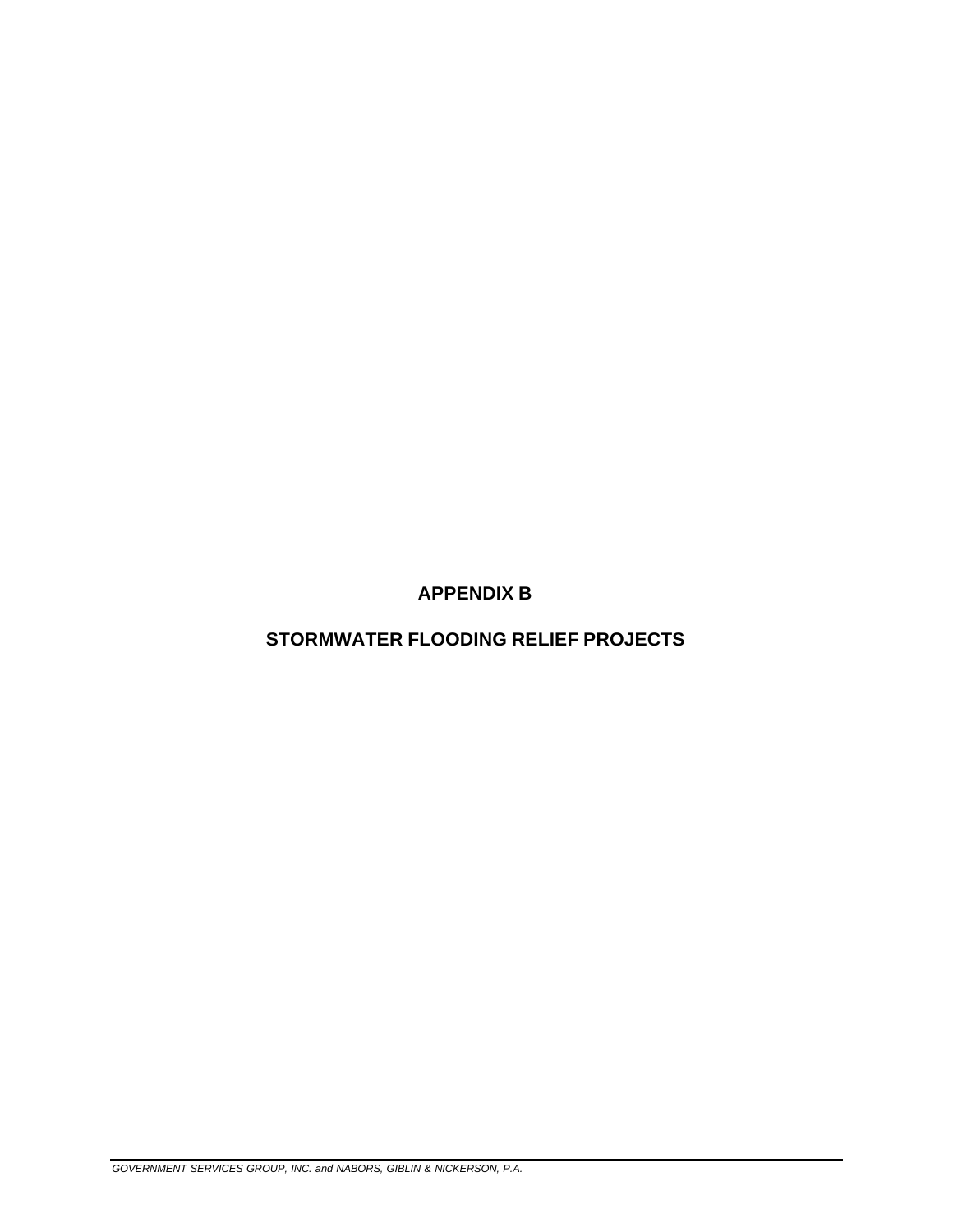**APPENDIX B** 

**STORMWATER FLOODING RELIEF PROJECTS**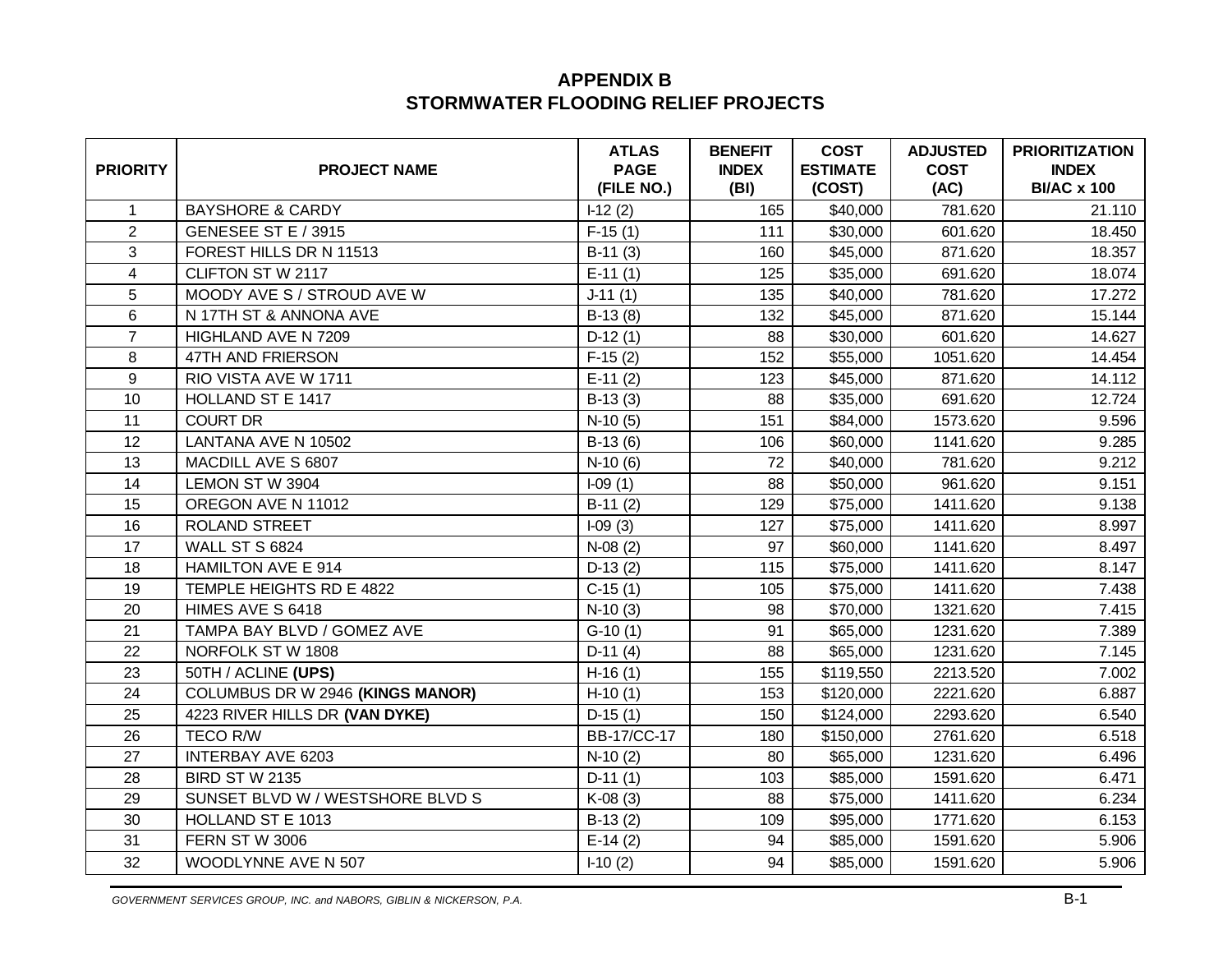### **APPENDIX B STORMWATER FLOODING RELIEF PROJECTS**

| <b>PRIORITY</b> | <b>PROJECT NAME</b>              | <b>ATLAS</b><br><b>PAGE</b><br>(FILE NO.) | <b>BENEFIT</b><br><b>INDEX</b><br>(BI) | <b>COST</b><br><b>ESTIMATE</b><br>(COST) | <b>ADJUSTED</b><br><b>COST</b><br>(AC) | <b>PRIORITIZATION</b><br><b>INDEX</b><br><b>BI/AC x 100</b> |
|-----------------|----------------------------------|-------------------------------------------|----------------------------------------|------------------------------------------|----------------------------------------|-------------------------------------------------------------|
| $\mathbf{1}$    | <b>BAYSHORE &amp; CARDY</b>      | $1-12(2)$                                 | 165                                    | \$40,000                                 | 781.620                                | 21.110                                                      |
| $\overline{2}$  | GENESEE ST E / 3915              | $F-15(1)$                                 | 111                                    | \$30,000                                 | 601.620                                | 18.450                                                      |
| 3               | FOREST HILLS DR N 11513          | $B-11(3)$                                 | 160                                    | \$45,000                                 | 871.620                                | 18.357                                                      |
| 4               | CLIFTON ST W 2117                | $E-11(1)$                                 | 125                                    | \$35,000                                 | 691.620                                | 18.074                                                      |
| 5               | MOODY AVE S / STROUD AVE W       | $J-11(1)$                                 | 135                                    | \$40,000                                 | 781.620                                | 17.272                                                      |
| 6               | N 17TH ST & ANNONA AVE           | $B-13(8)$                                 | 132                                    | \$45,000                                 | 871.620                                | 15.144                                                      |
| $\overline{7}$  | HIGHLAND AVE N 7209              | $D-12(1)$                                 | 88                                     | \$30,000                                 | 601.620                                | 14.627                                                      |
| 8               | 47TH AND FRIERSON                | $F-15(2)$                                 | 152                                    | \$55,000                                 | 1051.620                               | 14.454                                                      |
| 9               | RIO VISTA AVE W 1711             | $E-11(2)$                                 | 123                                    | \$45,000                                 | 871.620                                | 14.112                                                      |
| 10              | HOLLAND ST E 1417                | $B-13(3)$                                 | 88                                     | \$35,000                                 | 691.620                                | 12.724                                                      |
| 11              | <b>COURT DR</b>                  | $N-10(5)$                                 | 151                                    | \$84,000                                 | 1573.620                               | 9.596                                                       |
| 12              | LANTANA AVE N 10502              | $B-13(6)$                                 | 106                                    | \$60,000                                 | 1141.620                               | 9.285                                                       |
| 13              | MACDILL AVE S 6807               | $N-10(6)$                                 | 72                                     | \$40,000                                 | 781.620                                | 9.212                                                       |
| 14              | LEMON ST W 3904                  | $I-09(1)$                                 | 88                                     | \$50,000                                 | 961.620                                | 9.151                                                       |
| 15              | OREGON AVE N 11012               | $B-11(2)$                                 | 129                                    | \$75,000                                 | 1411.620                               | 9.138                                                       |
| 16              | <b>ROLAND STREET</b>             | $I-09(3)$                                 | 127                                    | \$75,000                                 | 1411.620                               | 8.997                                                       |
| 17              | <b>WALL ST S 6824</b>            | $N-08(2)$                                 | 97                                     | \$60,000                                 | 1141.620                               | 8.497                                                       |
| 18              | HAMILTON AVE E 914               | $D-13(2)$                                 | 115                                    | \$75,000                                 | 1411.620                               | 8.147                                                       |
| 19              | TEMPLE HEIGHTS RD E 4822         | $C-15(1)$                                 | 105                                    | \$75,000                                 | 1411.620                               | 7.438                                                       |
| 20              | HIMES AVE S 6418                 | $N-10(3)$                                 | 98                                     | \$70,000                                 | 1321.620                               | 7.415                                                       |
| 21              | TAMPA BAY BLVD / GOMEZ AVE       | $G-10(1)$                                 | 91                                     | \$65,000                                 | 1231.620                               | 7.389                                                       |
| 22              | NORFOLK ST W 1808                | $D-11(4)$                                 | 88                                     | \$65,000                                 | 1231.620                               | 7.145                                                       |
| 23              | 50TH / ACLINE (UPS)              | $H-16(1)$                                 | 155                                    | \$119,550                                | 2213.520                               | 7.002                                                       |
| 24              | COLUMBUS DR W 2946 (KINGS MANOR) | $H-10(1)$                                 | 153                                    | \$120,000                                | 2221.620                               | 6.887                                                       |
| 25              | 4223 RIVER HILLS DR (VAN DYKE)   | $D-15(1)$                                 | 150                                    | \$124,000                                | 2293.620                               | 6.540                                                       |
| 26              | <b>TECO R/W</b>                  | <b>BB-17/CC-17</b>                        | 180                                    | \$150,000                                | 2761.620                               | 6.518                                                       |
| 27              | <b>INTERBAY AVE 6203</b>         | $N-10(2)$                                 | 80                                     | \$65,000                                 | 1231.620                               | 6.496                                                       |
| 28              | <b>BIRD ST W 2135</b>            | $D-11(1)$                                 | 103                                    | \$85,000                                 | 1591.620                               | 6.471                                                       |
| 29              | SUNSET BLVD W / WESTSHORE BLVD S | $K-08(3)$                                 | 88                                     | \$75,000                                 | 1411.620                               | 6.234                                                       |
| 30              | HOLLAND ST E 1013                | $B-13(2)$                                 | 109                                    | \$95,000                                 | 1771.620                               | 6.153                                                       |
| 31              | <b>FERN ST W 3006</b>            | $E-14(2)$                                 | 94                                     | \$85,000                                 | 1591.620                               | 5.906                                                       |
| 32              | WOODLYNNE AVE N 507              | $I-10(2)$                                 | 94                                     | \$85,000                                 | 1591.620                               | 5.906                                                       |

GOVERNMENT SERVICES GROUP, INC. and NABORS, GIBLIN & NICKERSON, P.A.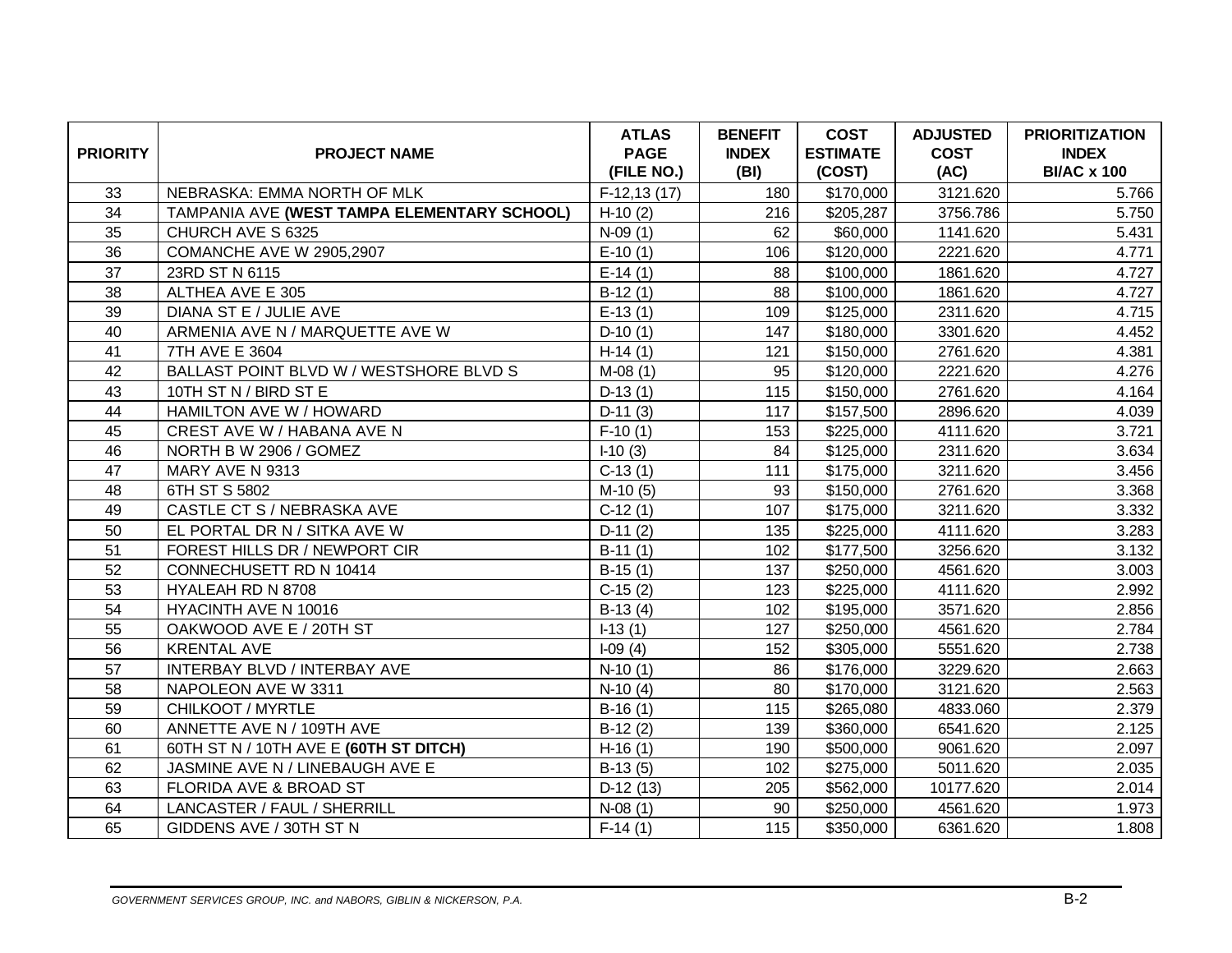| <b>PRIORITY</b> | <b>PROJECT NAME</b>                         | <b>ATLAS</b><br><b>PAGE</b><br>(FILE NO.) | <b>BENEFIT</b><br><b>INDEX</b><br>(BI) | <b>COST</b><br><b>ESTIMATE</b><br>(COST) | <b>ADJUSTED</b><br><b>COST</b><br>(AC) | <b>PRIORITIZATION</b><br><b>INDEX</b><br><b>BI/AC x 100</b> |
|-----------------|---------------------------------------------|-------------------------------------------|----------------------------------------|------------------------------------------|----------------------------------------|-------------------------------------------------------------|
| 33              | NEBRASKA: EMMA NORTH OF MLK                 | $F-12, 13(17)$                            | 180                                    | \$170,000                                | 3121.620                               | 5.766                                                       |
| 34              | TAMPANIA AVE (WEST TAMPA ELEMENTARY SCHOOL) | $H-10(2)$                                 | 216                                    | \$205,287                                | 3756.786                               | 5.750                                                       |
| 35              | CHURCH AVE S 6325                           | $N-09(1)$                                 | 62                                     | \$60,000                                 | 1141.620                               | 5.431                                                       |
| 36              | COMANCHE AVE W 2905,2907                    | $E-10(1)$                                 | 106                                    | \$120,000                                | 2221.620                               | 4.771                                                       |
| 37              | 23RD ST N 6115                              | $E-14(1)$                                 | 88                                     | \$100,000                                | 1861.620                               | 4.727                                                       |
| 38              | ALTHEA AVE E 305                            | $B-12(1)$                                 | 88                                     | \$100,000                                | 1861.620                               | 4.727                                                       |
| 39              | DIANA ST E / JULIE AVE                      | $E-13(1)$                                 | 109                                    | \$125,000                                | 2311.620                               | 4.715                                                       |
| 40              | ARMENIA AVE N / MARQUETTE AVE W             | $D-10(1)$                                 | 147                                    | \$180,000                                | 3301.620                               | 4.452                                                       |
| 41              | 7TH AVE E 3604                              | $H-14(1)$                                 | 121                                    | \$150,000                                | 2761.620                               | 4.381                                                       |
| 42              | BALLAST POINT BLVD W / WESTSHORE BLVD S     | $M-08(1)$                                 | 95                                     | \$120,000                                | 2221.620                               | 4.276                                                       |
| 43              | 10TH ST N / BIRD ST E                       | $D-13(1)$                                 | 115                                    | \$150,000                                | 2761.620                               | 4.164                                                       |
| 44              | HAMILTON AVE W / HOWARD                     | $D-11(3)$                                 | 117                                    | \$157,500                                | 2896.620                               | 4.039                                                       |
| 45              | CREST AVE W / HABANA AVE N                  | $F-10(1)$                                 | 153                                    | \$225,000                                | 4111.620                               | 3.721                                                       |
| 46              | NORTH B W 2906 / GOMEZ                      | $-10(3)$                                  | 84                                     | \$125,000                                | 2311.620                               | 3.634                                                       |
| 47              | MARY AVE N 9313                             | $C-13(1)$                                 | 111                                    | \$175,000                                | 3211.620                               | 3.456                                                       |
| 48              | 6TH ST S 5802                               | $M-10(5)$                                 | 93                                     | \$150,000                                | 2761.620                               | 3.368                                                       |
| 49              | CASTLE CT S / NEBRASKA AVE                  | $C-12(1)$                                 | 107                                    | \$175,000                                | 3211.620                               | 3.332                                                       |
| 50              | EL PORTAL DR N / SITKA AVE W                | $D-11(2)$                                 | 135                                    | \$225,000                                | 4111.620                               | 3.283                                                       |
| 51              | FOREST HILLS DR / NEWPORT CIR               | $B-11(1)$                                 | 102                                    | \$177,500                                | 3256.620                               | 3.132                                                       |
| 52              | CONNECHUSETT RD N 10414                     | $B-15(1)$                                 | 137                                    | \$250,000                                | 4561.620                               | 3.003                                                       |
| 53              | HYALEAH RD N 8708                           | $C-15(2)$                                 | 123                                    | \$225,000                                | 4111.620                               | 2.992                                                       |
| 54              | HYACINTH AVE N 10016                        | $B-13(4)$                                 | 102                                    | \$195,000                                | 3571.620                               | 2.856                                                       |
| 55              | OAKWOOD AVE E / 20TH ST                     | $I-13(1)$                                 | 127                                    | \$250,000                                | 4561.620                               | 2.784                                                       |
| 56              | <b>KRENTAL AVE</b>                          | $I-09(4)$                                 | 152                                    | \$305,000                                | 5551.620                               | 2.738                                                       |
| 57              | INTERBAY BLVD / INTERBAY AVE                | $N-10(1)$                                 | 86                                     | \$176,000                                | 3229.620                               | 2.663                                                       |
| 58              | NAPOLEON AVE W 3311                         | $N-10(4)$                                 | 80                                     | \$170,000                                | 3121.620                               | 2.563                                                       |
| 59              | CHILKOOT / MYRTLE                           | $B-16(1)$                                 | 115                                    | \$265,080                                | 4833.060                               | 2.379                                                       |
| 60              | ANNETTE AVE N / 109TH AVE                   | $B-12(2)$                                 | 139                                    | \$360,000                                | 6541.620                               | 2.125                                                       |
| 61              | 60TH ST N / 10TH AVE E (60TH ST DITCH)      | $H-16(1)$                                 | 190                                    | \$500,000                                | 9061.620                               | 2.097                                                       |
| 62              | JASMINE AVE N / LINEBAUGH AVE E             | $B-13(5)$                                 | 102                                    | \$275,000                                | 5011.620                               | 2.035                                                       |
| 63              | FLORIDA AVE & BROAD ST                      | $D-12(13)$                                | 205                                    | \$562,000                                | 10177.620                              | 2.014                                                       |
| 64              | LANCASTER / FAUL / SHERRILL                 | $N-08(1)$                                 | 90                                     | \$250,000                                | 4561.620                               | 1.973                                                       |
| 65              | GIDDENS AVE / 30TH ST N                     | $F-14(1)$                                 | 115                                    | \$350,000                                | 6361.620                               | 1.808                                                       |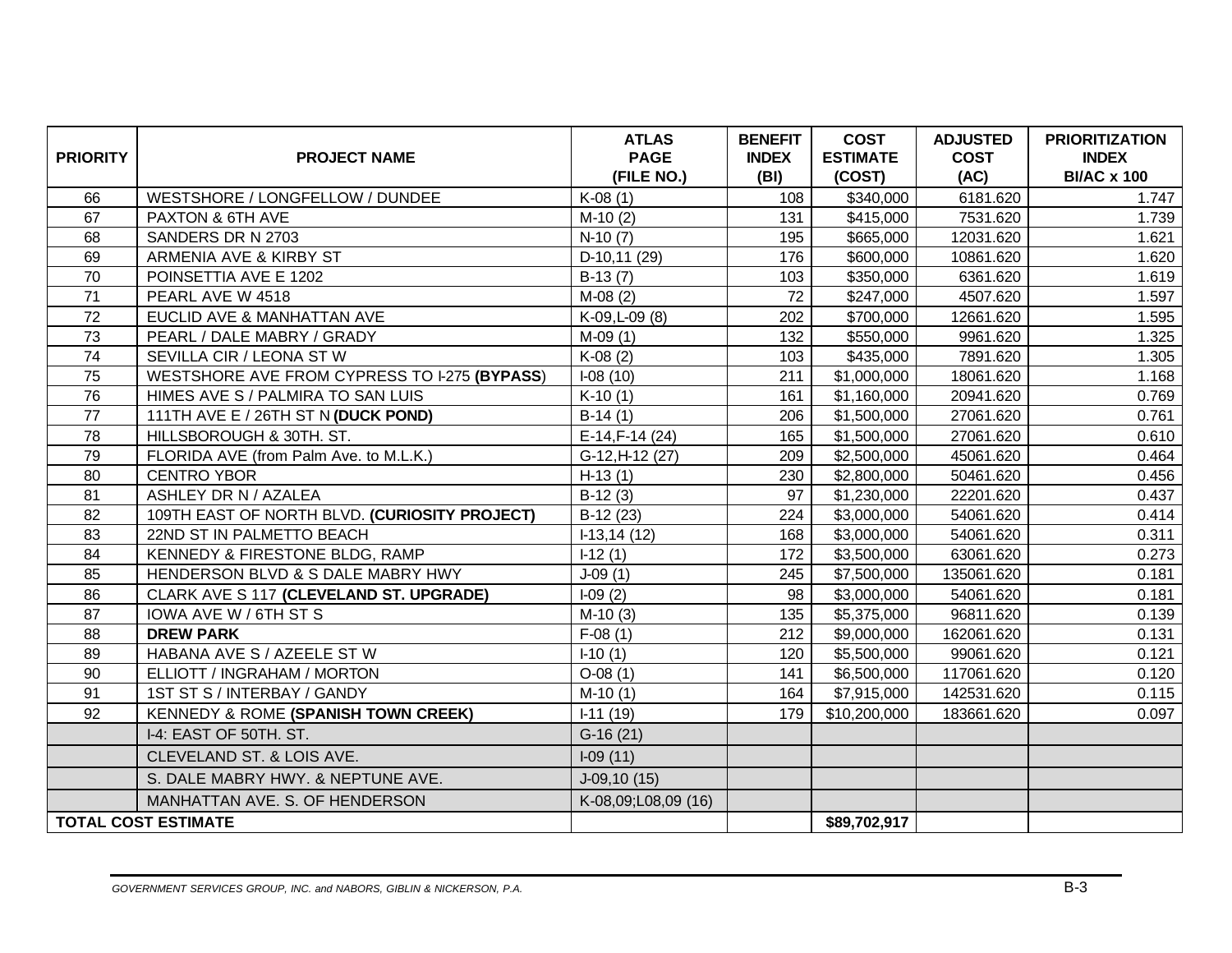| <b>PRIORITY</b> | <b>PROJECT NAME</b>                            | <b>ATLAS</b><br><b>PAGE</b><br>(FILE NO.) | <b>BENEFIT</b><br><b>INDEX</b><br>(BI) | <b>COST</b><br><b>ESTIMATE</b><br>(COST) | <b>ADJUSTED</b><br><b>COST</b><br>(AC) | <b>PRIORITIZATION</b><br><b>INDEX</b><br><b>BI/AC x 100</b> |
|-----------------|------------------------------------------------|-------------------------------------------|----------------------------------------|------------------------------------------|----------------------------------------|-------------------------------------------------------------|
| 66              | WESTSHORE / LONGFELLOW / DUNDEE                | $K-08(1)$                                 | 108                                    | \$340,000                                | 6181.620                               | 1.747                                                       |
| 67              | PAXTON & 6TH AVE                               | $M-10(2)$                                 | 131                                    | \$415,000                                | 7531.620                               | 1.739                                                       |
| 68              | SANDERS DR N 2703                              | $N-10(7)$                                 | 195                                    | \$665,000                                | 12031.620                              | 1.621                                                       |
| 69              | ARMENIA AVE & KIRBY ST                         | D-10,11 (29)                              | 176                                    | \$600,000                                | 10861.620                              | 1.620                                                       |
| 70              | POINSETTIA AVE E 1202                          | $B-13(7)$                                 | 103                                    | \$350,000                                | 6361.620                               | 1.619                                                       |
| 71              | PEARL AVE W 4518                               | $M-08(2)$                                 | 72                                     | \$247,000                                | 4507.620                               | 1.597                                                       |
| 72              | EUCLID AVE & MANHATTAN AVE                     | K-09, L-09 (8)                            | 202                                    | \$700,000                                | 12661.620                              | 1.595                                                       |
| 73              | PEARL / DALE MABRY / GRADY                     | $M-09(1)$                                 | 132                                    | \$550,000                                | 9961.620                               | 1.325                                                       |
| 74              | SEVILLA CIR / LEONA ST W                       | $K-08(2)$                                 | 103                                    | \$435,000                                | 7891.620                               | 1.305                                                       |
| 75              | WESTSHORE AVE FROM CYPRESS TO I-275 (BYPASS)   | $I-08(10)$                                | 211                                    | \$1,000,000                              | 18061.620                              | 1.168                                                       |
| 76              | HIMES AVE S / PALMIRA TO SAN LUIS              | $K-10(1)$                                 | 161                                    | \$1,160,000                              | 20941.620                              | 0.769                                                       |
| 77              | 111TH AVE E / 26TH ST N (DUCK POND)            | $B-14(1)$                                 | 206                                    | \$1,500,000                              | 27061.620                              | 0.761                                                       |
| 78              | HILLSBOROUGH & 30TH. ST.                       | E-14, F-14 (24)                           | 165                                    | \$1,500,000                              | 27061.620                              | 0.610                                                       |
| 79              | FLORIDA AVE (from Palm Ave. to M.L.K.)         | G-12, H-12 (27)                           | 209                                    | \$2,500,000                              | 45061.620                              | 0.464                                                       |
| 80              | <b>CENTRO YBOR</b>                             | $H-13(1)$                                 | 230                                    | \$2,800,000                              | 50461.620                              | 0.456                                                       |
| 81              | ASHLEY DR N / AZALEA                           | $B-12(3)$                                 | 97                                     | \$1,230,000                              | 22201.620                              | 0.437                                                       |
| 82              | 109TH EAST OF NORTH BLVD. (CURIOSITY PROJECT)  | $B-12(23)$                                | 224                                    | \$3,000,000                              | 54061.620                              | 0.414                                                       |
| 83              | 22ND ST IN PALMETTO BEACH                      | $-13, 14(12)$                             | 168                                    | \$3,000,000                              | 54061.620                              | 0.311                                                       |
| 84              | KENNEDY & FIRESTONE BLDG, RAMP                 | $I-12(1)$                                 | 172                                    | \$3,500,000                              | 63061.620                              | 0.273                                                       |
| 85              | HENDERSON BLVD & S DALE MABRY HWY              | $J-09(1)$                                 | 245                                    | \$7,500,000                              | 135061.620                             | 0.181                                                       |
| 86              | CLARK AVE S 117 (CLEVELAND ST. UPGRADE)        | $I-09(2)$                                 | 98                                     | \$3,000,000                              | 54061.620                              | 0.181                                                       |
| 87              | IOWA AVE W / 6TH ST S                          | $M-10(3)$                                 | 135                                    | \$5,375,000                              | 96811.620                              | 0.139                                                       |
| 88              | <b>DREW PARK</b>                               | $F-08(1)$                                 | 212                                    | \$9,000,000                              | 162061.620                             | 0.131                                                       |
| 89              | HABANA AVE S / AZEELE ST W                     | $I-10(1)$                                 | 120                                    | \$5,500,000                              | 99061.620                              | 0.121                                                       |
| 90              | ELLIOTT / INGRAHAM / MORTON                    | $O-08(1)$                                 | 141                                    | \$6,500,000                              | 117061.620                             | 0.120                                                       |
| 91              | 1ST ST S / INTERBAY / GANDY                    | $M-10(1)$                                 | 164                                    | \$7,915,000                              | 142531.620                             | 0.115                                                       |
| 92              | <b>KENNEDY &amp; ROME (SPANISH TOWN CREEK)</b> | $I-11(19)$                                | 179                                    | \$10,200,000                             | 183661.620                             | 0.097                                                       |
|                 | I-4: EAST OF 50TH. ST.                         | $G-16(21)$                                |                                        |                                          |                                        |                                                             |
|                 | CLEVELAND ST. & LOIS AVE.                      | $I-09(11)$                                |                                        |                                          |                                        |                                                             |
|                 | S. DALE MABRY HWY. & NEPTUNE AVE.              | $J-09, 10(15)$                            |                                        |                                          |                                        |                                                             |
|                 | MANHATTAN AVE. S. OF HENDERSON                 | K-08,09;L08,09 (16)                       |                                        |                                          |                                        |                                                             |
|                 | <b>TOTAL COST ESTIMATE</b>                     |                                           |                                        | \$89,702,917                             |                                        |                                                             |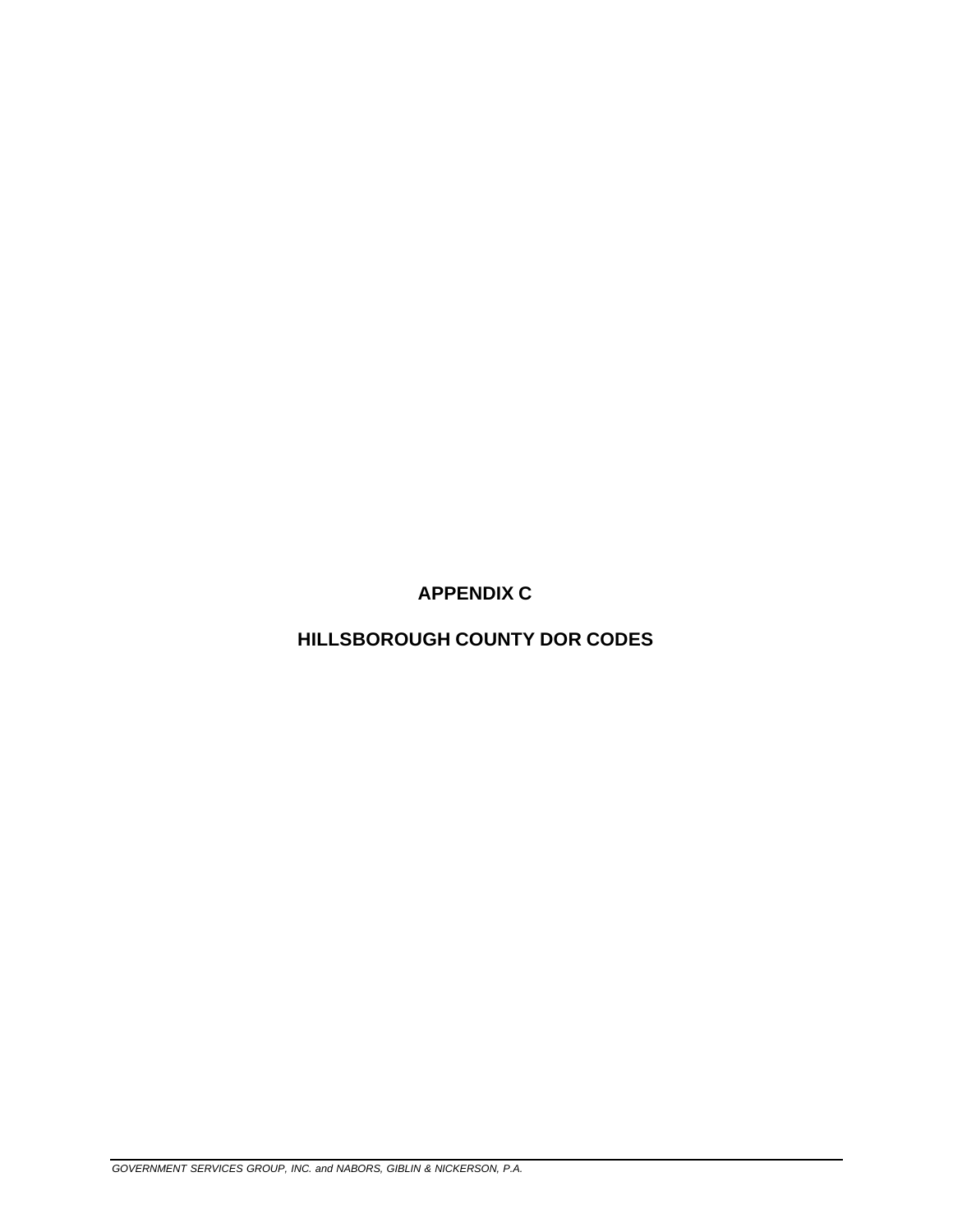**APPENDIX C** 

**HILLSBOROUGH COUNTY DOR CODES**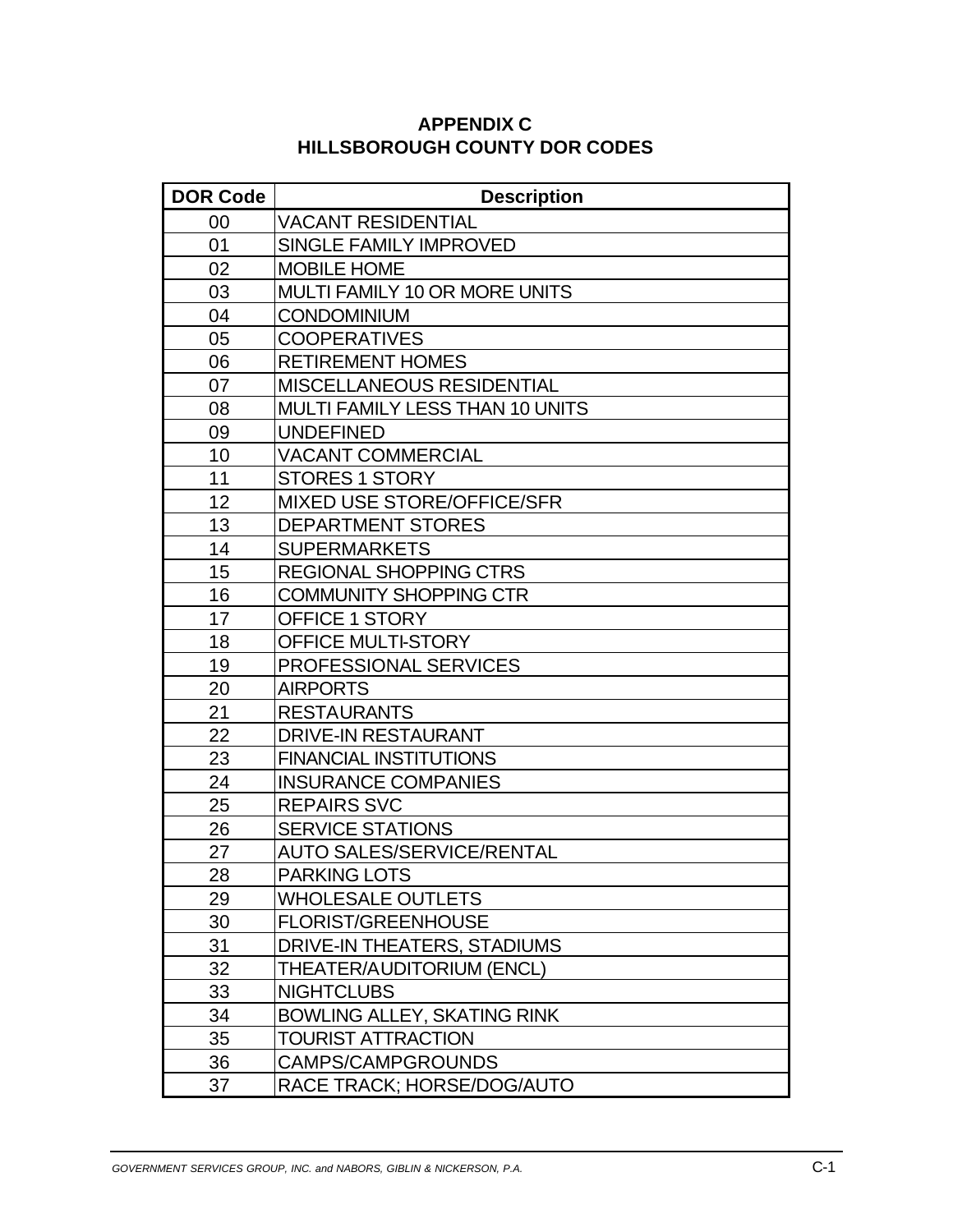| <b>DOR Code</b> | <b>Description</b>                     |
|-----------------|----------------------------------------|
| 00              | <b>VACANT RESIDENTIAL</b>              |
| 01              | <b>SINGLE FAMILY IMPROVED</b>          |
| 02              | <b>MOBILE HOME</b>                     |
| 03              | MULTI FAMILY 10 OR MORE UNITS          |
| 04              | <b>CONDOMINIUM</b>                     |
| 05              | <b>COOPERATIVES</b>                    |
| 06              | <b>RETIREMENT HOMES</b>                |
| 07              | <b>MISCELLANEOUS RESIDENTIAL</b>       |
| 08              | <b>MULTI FAMILY LESS THAN 10 UNITS</b> |
| 09              | <b>UNDEFINED</b>                       |
| 10              | <b>VACANT COMMERCIAL</b>               |
| 11              | <b>STORES 1 STORY</b>                  |
| 12              | <b>MIXED USE STORE/OFFICE/SFR</b>      |
| 13              | <b>DEPARTMENT STORES</b>               |
| 14              | <b>SUPERMARKETS</b>                    |
| 15              | <b>REGIONAL SHOPPING CTRS</b>          |
| 16              | <b>COMMUNITY SHOPPING CTR</b>          |
| 17              | <b>OFFICE 1 STORY</b>                  |
| 18              | <b>OFFICE MULTI-STORY</b>              |
| 19              | PROFESSIONAL SERVICES                  |
| 20              | <b>AIRPORTS</b>                        |
| 21              | <b>RESTAURANTS</b>                     |
| 22              | <b>DRIVE-IN RESTAURANT</b>             |
| 23              | <b>FINANCIAL INSTITUTIONS</b>          |
| 24              | <b>INSURANCE COMPANIES</b>             |
| 25              | <b>REPAIRS SVC</b>                     |
| 26              | <b>SERVICE STATIONS</b>                |
| 27              | <b>AUTO SALES/SERVICE/RENTAL</b>       |
| 28              | <b>PARKING LOTS</b>                    |
| 29              | <b>WHOLESALE OUTLETS</b>               |
| 30              | <b>FLORIST/GREENHOUSE</b>              |
| 31              | DRIVE-IN THEATERS, STADIUMS            |
| 32              | THEATER/AUDITORIUM (ENCL)              |
| 33              | <b>NIGHTCLUBS</b>                      |
| 34              | <b>BOWLING ALLEY, SKATING RINK</b>     |
| 35              | <b>TOURIST ATTRACTION</b>              |
| 36              | <b>CAMPS/CAMPGROUNDS</b>               |
| 37              | RACE TRACK; HORSE/DOG/AUTO             |

### **APPENDIX C HILLSBOROUGH COUNTY DOR CODES**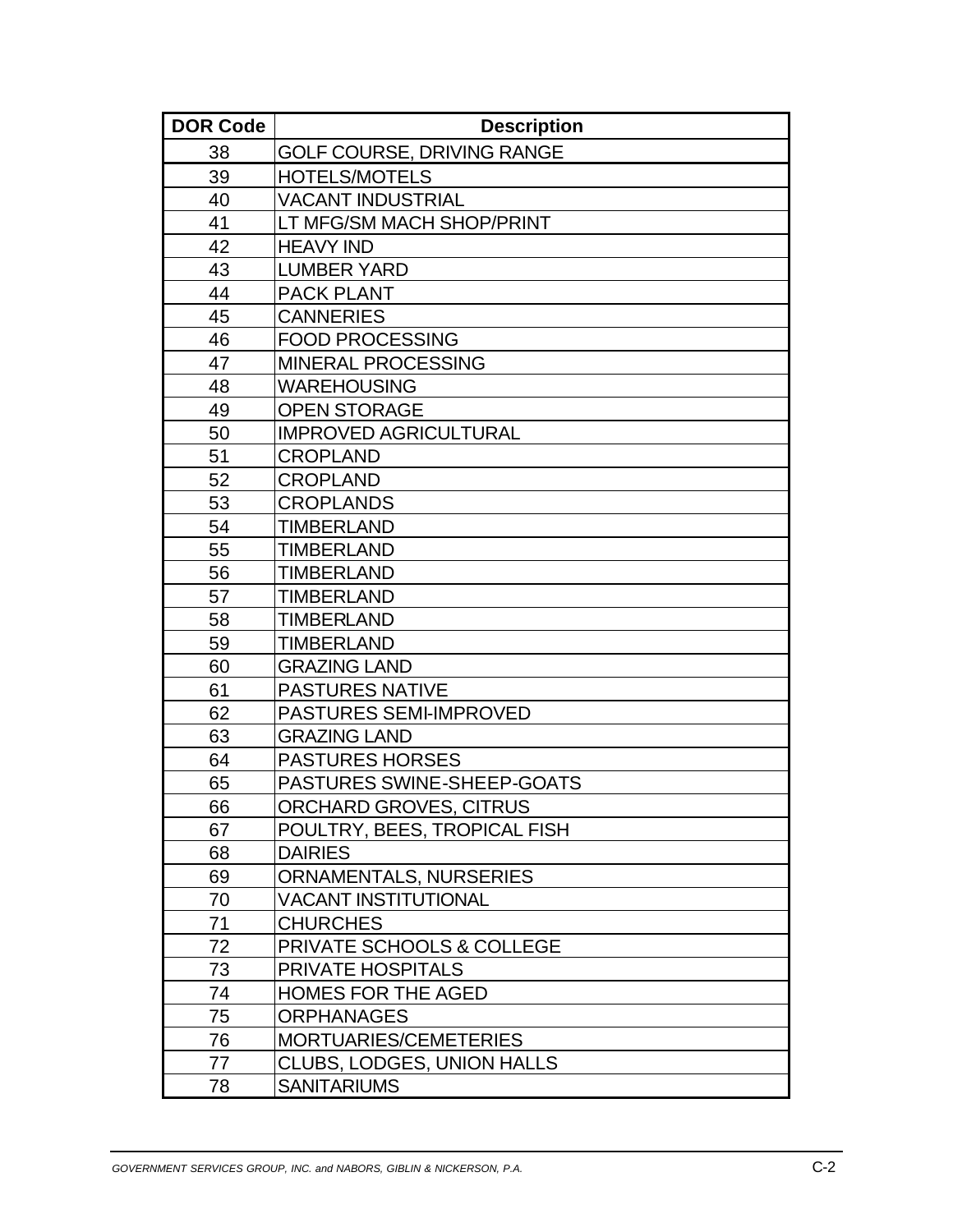| <b>DOR Code</b> | <b>Description</b>                |
|-----------------|-----------------------------------|
| 38              | <b>GOLF COURSE, DRIVING RANGE</b> |
| 39              | <b>HOTELS/MOTELS</b>              |
| 40              | <b>VACANT INDUSTRIAL</b>          |
| 41              | LT MFG/SM MACH SHOP/PRINT         |
| 42              | <b>HEAVY IND</b>                  |
| 43              | <b>LUMBER YARD</b>                |
| 44              | <b>PACK PLANT</b>                 |
| 45              | <b>CANNERIES</b>                  |
| 46              | <b>FOOD PROCESSING</b>            |
| 47              | <b>MINERAL PROCESSING</b>         |
| 48              | <b>WAREHOUSING</b>                |
| 49              | <b>OPEN STORAGE</b>               |
| 50              | <b>IMPROVED AGRICULTURAL</b>      |
| 51              | <b>CROPLAND</b>                   |
| 52              | <b>CROPLAND</b>                   |
| 53              | <b>CROPLANDS</b>                  |
| 54              | <b>TIMBERLAND</b>                 |
| 55              | <b>TIMBERLAND</b>                 |
| 56              | <b>TIMBERLAND</b>                 |
| 57              | <b>TIMBERLAND</b>                 |
| 58              | <b>TIMBERLAND</b>                 |
| 59              | <b>TIMBERLAND</b>                 |
| 60              | <b>GRAZING LAND</b>               |
| 61              | <b>PASTURES NATIVE</b>            |
| 62              | <b>PASTURES SEMI-IMPROVED</b>     |
| 63              | <b>GRAZING LAND</b>               |
| 64              | <b>PASTURES HORSES</b>            |
| 65              | <b>PASTURES SWINE-SHEEP-GOATS</b> |
| 66              | ORCHARD GROVES, CITRUS            |
| 67              | POULTRY, BEES, TROPICAL FISH      |
| 68              | <b>DAIRIES</b>                    |
| 69              | <b>ORNAMENTALS, NURSERIES</b>     |
| 70              | <b>VACANT INSTITUTIONAL</b>       |
| 71              | <b>CHURCHES</b>                   |
| 72              | PRIVATE SCHOOLS & COLLEGE         |
| 73              | <b>PRIVATE HOSPITALS</b>          |
| 74              | <b>HOMES FOR THE AGED</b>         |
| 75              | <b>ORPHANAGES</b>                 |
| 76              | MORTUARIES/CEMETERIES             |
| 77              | CLUBS, LODGES, UNION HALLS        |
| 78              | <b>SANITARIUMS</b>                |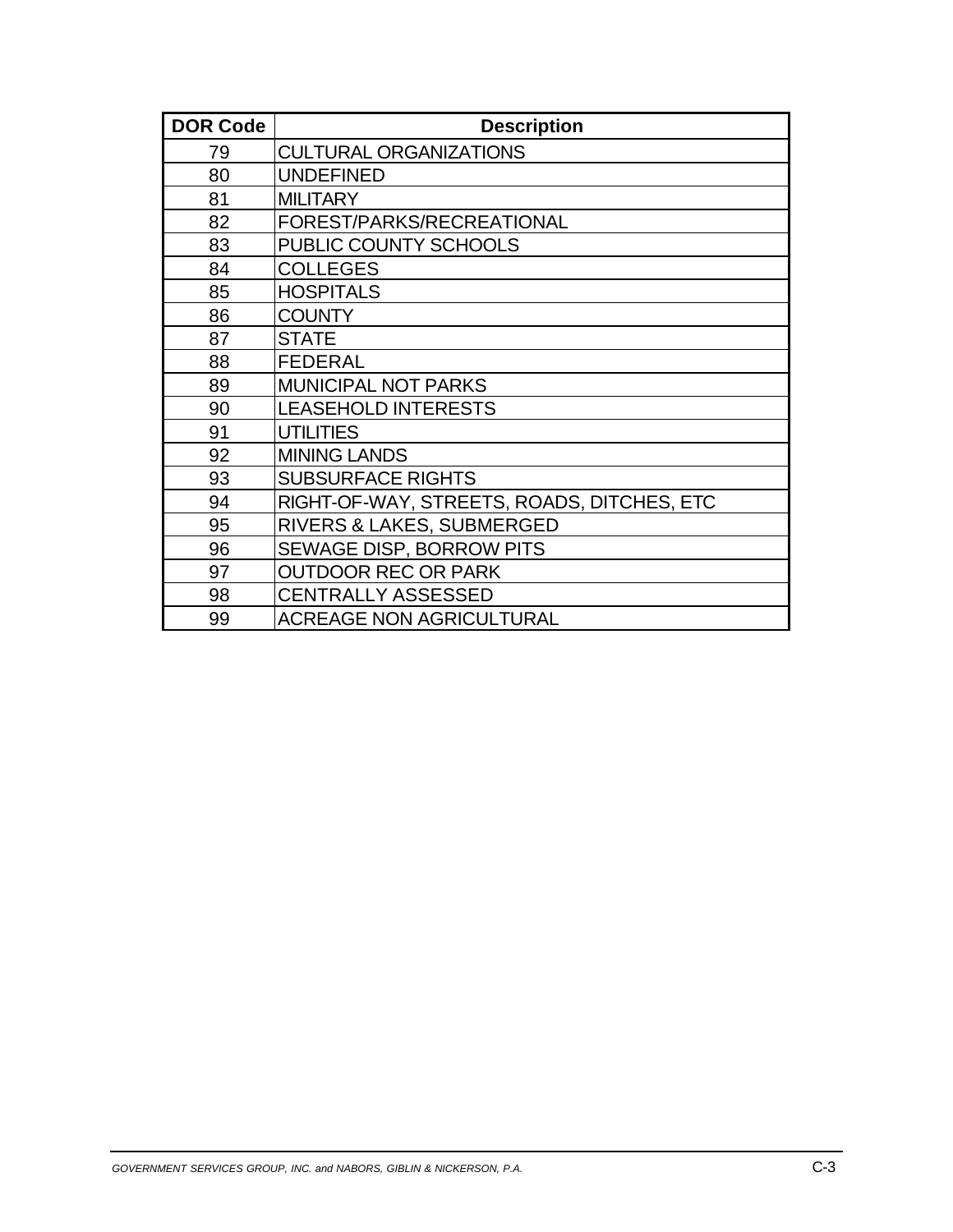| <b>DOR Code</b> | <b>Description</b>                         |
|-----------------|--------------------------------------------|
| 79              | <b>CULTURAL ORGANIZATIONS</b>              |
| 80              | <b>UNDEFINED</b>                           |
| 81              | <b>MILITARY</b>                            |
| 82              | FOREST/PARKS/RECREATIONAL                  |
| 83              | PUBLIC COUNTY SCHOOLS                      |
| 84              | <b>COLLEGES</b>                            |
| 85              | <b>HOSPITALS</b>                           |
| 86              | <b>COUNTY</b>                              |
| 87              | <b>STATE</b>                               |
| 88              | <b>FEDERAL</b>                             |
| 89              | <b>MUNICIPAL NOT PARKS</b>                 |
| 90              | <b>LEASEHOLD INTERESTS</b>                 |
| 91              | <b>UTILITIES</b>                           |
| 92              | <b>MINING LANDS</b>                        |
| 93              | <b>SUBSURFACE RIGHTS</b>                   |
| 94              | RIGHT-OF-WAY, STREETS, ROADS, DITCHES, ETC |
| 95              | RIVERS & LAKES, SUBMERGED                  |
| 96              | SEWAGE DISP, BORROW PITS                   |
| 97              | <b>OUTDOOR REC OR PARK</b>                 |
| 98              | <b>CENTRALLY ASSESSED</b>                  |
| 99              | <b>ACREAGE NON AGRICULTURAL</b>            |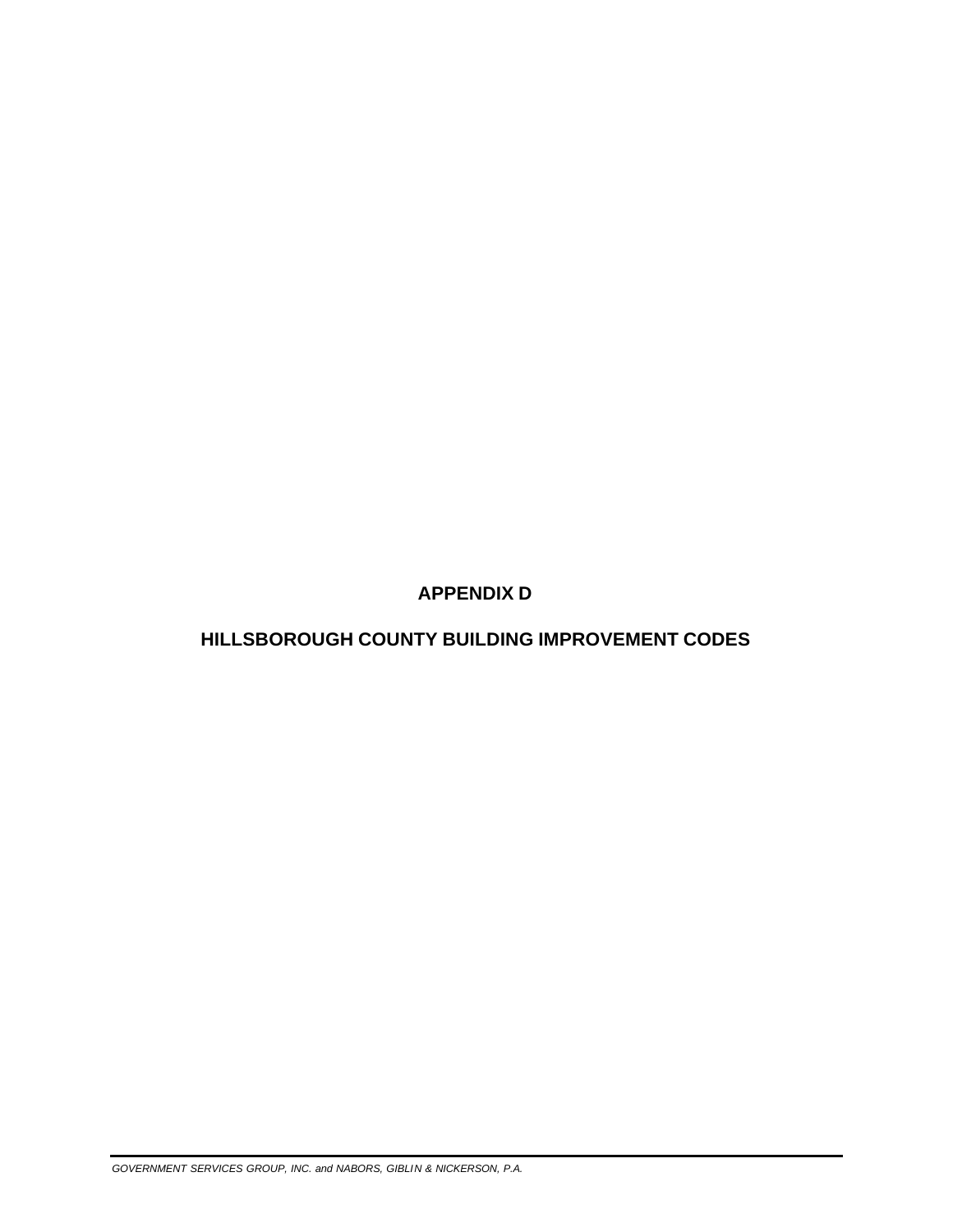**APPENDIX D** 

## **HILLSBOROUGH COUNTY BUILDING IMPROVEMENT CODES**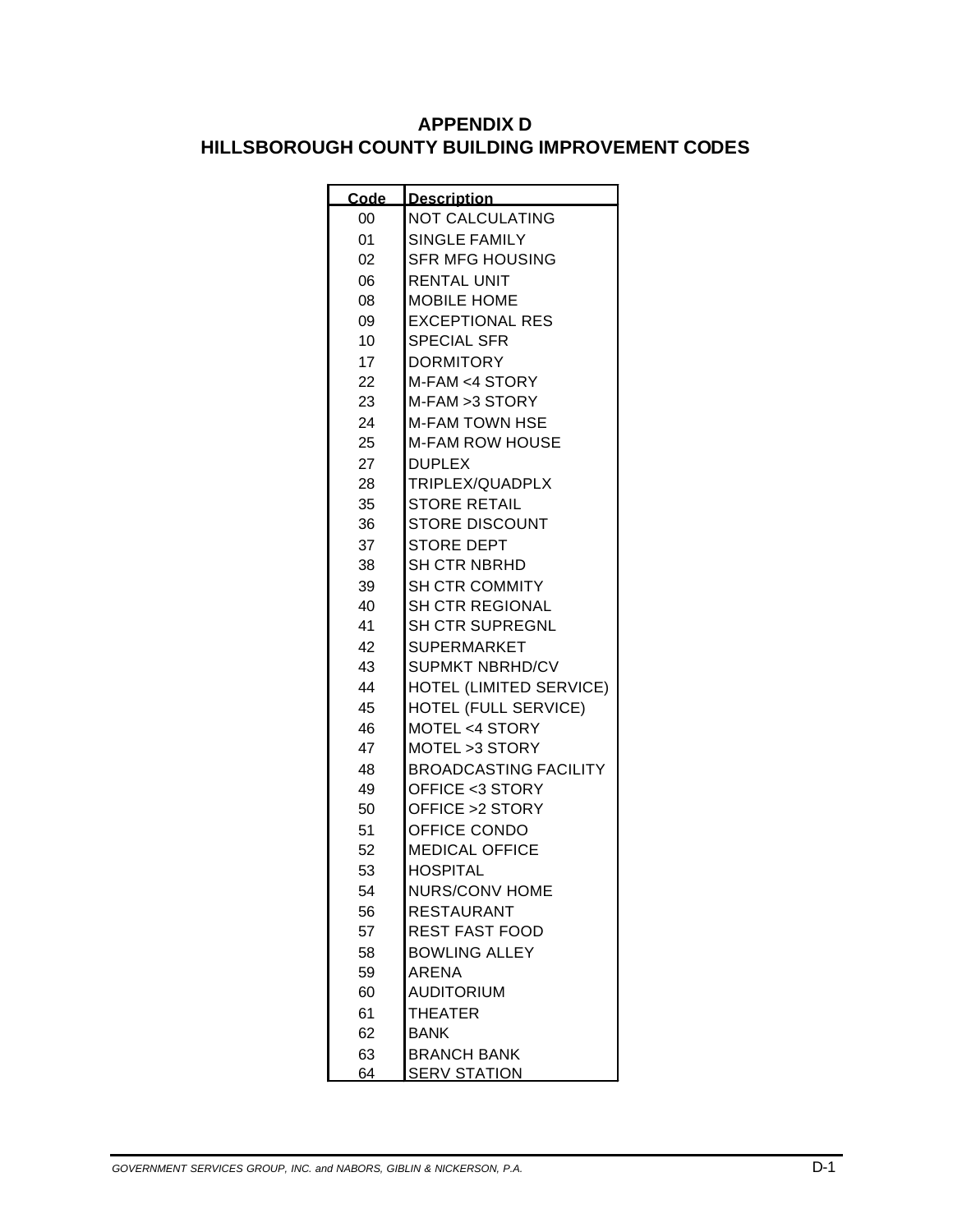### **APPENDIX D HILLSBOROUGH COUNTY BUILDING IMPROVEMENT CODES**

| Code | <b>Description</b>           |
|------|------------------------------|
| 00   | <b>NOT CALCULATING</b>       |
| 01   | <b>SINGLE FAMILY</b>         |
| 02   | <b>SFR MFG HOUSING</b>       |
| 06   | <b>RENTAL UNIT</b>           |
| 08   | <b>MOBILE HOME</b>           |
| 09   | <b>EXCEPTIONAL RES</b>       |
| 10   | <b>SPECIAL SFR</b>           |
| 17   | <b>DORMITORY</b>             |
| 22   | M-FAM <4 STORY               |
| 23   | M-FAM > 3 STORY              |
| 24   | <b>M-FAM TOWN HSE</b>        |
| 25   | <b>M-FAM ROW HOUSE</b>       |
| 27   | <b>DUPLEX</b>                |
| 28   | TRIPLEX/QUADPLX              |
| 35   | <b>STORE RETAIL</b>          |
| 36   | STORE DISCOUNT               |
| 37   | <b>STORE DEPT</b>            |
| 38   | <b>SH CTR NBRHD</b>          |
| 39   | <b>SH CTR COMMITY</b>        |
| 40   | <b>SH CTR REGIONAL</b>       |
| 41   | <b>SH CTR SUPREGNL</b>       |
| 42   | SUPERMARKET                  |
| 43   | <b>SUPMKT NBRHD/CV</b>       |
| 44   | HOTEL (LIMITED SERVICE)      |
| 45   | HOTEL (FULL SERVICE)         |
| 46   | MOTEL <4 STORY               |
| 47   | MOTEL > 3 STORY              |
| 48   | <b>BROADCASTING FACILITY</b> |
| 49   | OFFICE <3 STORY              |
| 50   | OFFICE > 2 STORY             |
| 51   | OFFICE CONDO                 |
| 52   | <b>MEDICAL OFFICE</b>        |
| 53   | <b>HOSPITAL</b>              |
| 54   | NURS/CONV HOME               |
| 56   | <b>RESTAURANT</b>            |
| 57   | <b>REST FAST FOOD</b>        |
| 58   | <b>BOWLING ALLEY</b>         |
| 59   | ARENA                        |
| 60   | <b>AUDITORIUM</b>            |
| 61   | <b>THEATER</b>               |
| 62   | <b>BANK</b>                  |
| 63   | <b>BRANCH BANK</b>           |
| 64   | <u>SERV STATION</u>          |